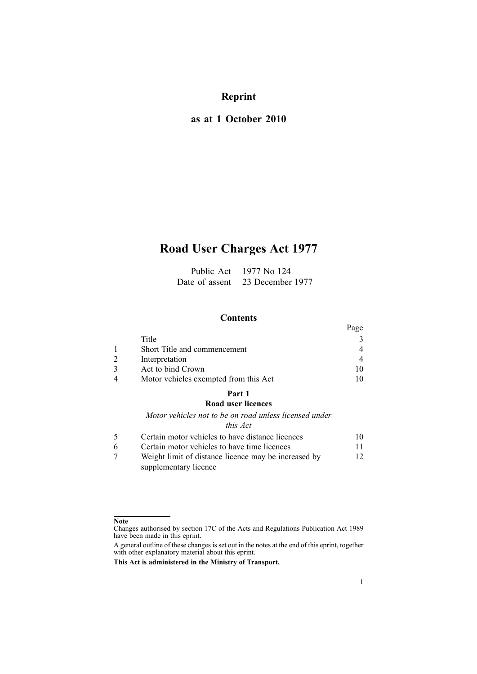# **Reprint**

# **as at 1 October 2010**

# **Road User Charges Act 1977**

| Public Act     | 1977 No 124      |
|----------------|------------------|
| Date of assent | 23 December 1977 |

# **Contents**

|                                       | Page           |
|---------------------------------------|----------------|
| Title                                 |                |
| Short Title and commencement          | 4              |
| Interpretation                        | $\overline{4}$ |
| Act to bind Crown                     |                |
| Motor vehicles exempted from this Act |                |

# **[Part](#page-9-0) 1**

# **Road user [licences](#page-9-0)**

*Motor vehicles not to be on road unless [licensed](#page-9-0) under*

# *this [Act](#page-9-0)*

|   | Certain motor vehicles to have distance licences     | 10  |
|---|------------------------------------------------------|-----|
| 6 | Certain motor vehicles to have time licences         | 11. |
|   | Weight limit of distance licence may be increased by | 12  |
|   | supplementary licence                                |     |

### **Note**

Changes authorised by [section](http://www.legislation.govt.nz/pdflink.aspx?id=DLM195466) 17C of the Acts and Regulations Publication Act 1989 have been made in this eprint.

A general outline of these changes is set out in the notes at the end of this eprint, together with other explanatory material about this eprint.

**This Act is administered in the Ministry of Transport.**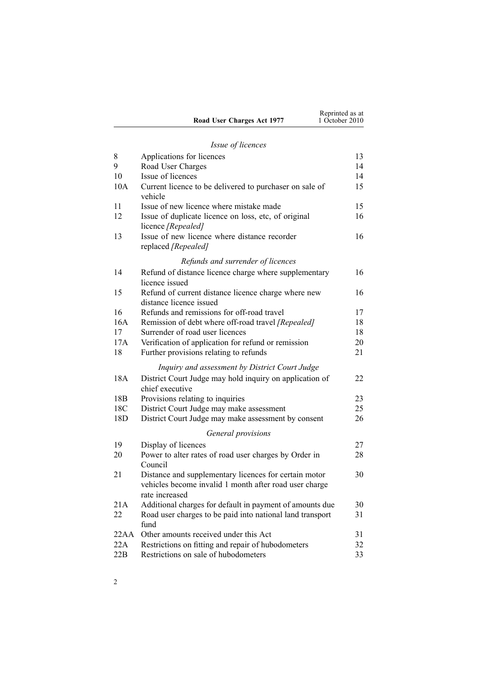| Road User Charges Act 1977 | Reprinted as at<br>1 October 2010 |
|----------------------------|-----------------------------------|
|                            |                                   |

# *Issue of [licences](#page-12-0)*

| 8               | Applications for licences                                                                                                         | 13 |
|-----------------|-----------------------------------------------------------------------------------------------------------------------------------|----|
| 9               | Road User Charges                                                                                                                 | 14 |
| 10              | Issue of licences                                                                                                                 | 14 |
| 10A             | Current licence to be delivered to purchaser on sale of<br>vehicle                                                                | 15 |
| 11              | Issue of new licence where mistake made                                                                                           | 15 |
| 12              | Issue of duplicate licence on loss, etc, of original<br>licence [Repealed]                                                        | 16 |
| 13              | Issue of new licence where distance recorder<br>replaced [Repealed]                                                               | 16 |
|                 | Refunds and surrender of licences                                                                                                 |    |
| 14              | Refund of distance licence charge where supplementary<br>licence issued                                                           | 16 |
| 15              | Refund of current distance licence charge where new<br>distance licence issued                                                    | 16 |
| 16              | Refunds and remissions for off-road travel                                                                                        | 17 |
| 16A             | Remission of debt where off-road travel [Repealed]                                                                                | 18 |
| 17              | Surrender of road user licences                                                                                                   | 18 |
| 17A             | Verification of application for refund or remission                                                                               | 20 |
| 18              | Further provisions relating to refunds                                                                                            | 21 |
|                 | Inquiry and assessment by District Court Judge                                                                                    |    |
| 18A             | District Court Judge may hold inquiry on application of<br>chief executive                                                        | 22 |
| 18 <sub>B</sub> | Provisions relating to inquiries                                                                                                  | 23 |
| 18C             | District Court Judge may make assessment                                                                                          | 25 |
| 18D             | District Court Judge may make assessment by consent                                                                               | 26 |
|                 | General provisions                                                                                                                |    |
| 19              | Display of licences                                                                                                               | 27 |
| 20              | Power to alter rates of road user charges by Order in<br>Council                                                                  | 28 |
| 21              | Distance and supplementary licences for certain motor<br>vehicles become invalid 1 month after road user charge<br>rate increased | 30 |
| 21A             | Additional charges for default in payment of amounts due                                                                          | 30 |
| 22              | Road user charges to be paid into national land transport<br>fund                                                                 | 31 |
| 22AA            | Other amounts received under this Act                                                                                             | 31 |
| 22A             | Restrictions on fitting and repair of hubodometers                                                                                | 32 |
| 22B             | Restrictions on sale of hubodometers                                                                                              | 33 |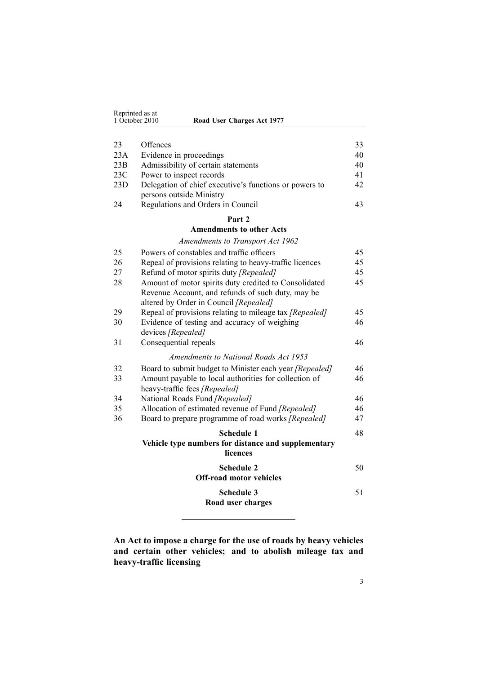<span id="page-2-0"></span>

| Reprinted as at<br>1 October 2010 |          | Road User Charges Act 1977 |          |
|-----------------------------------|----------|----------------------------|----------|
| 23<br>23A                         | Offences | Evidence in proceedings    | 33<br>40 |

| 23B | Admissibility of certain statements                    | 40 |
|-----|--------------------------------------------------------|----|
| 23C | Power to inspect records                               | 41 |
| 23D | Delegation of chief executive's functions or powers to | 42 |
|     | persons outside Ministry                               |    |
| 24  | Regulations and Orders in Council                      | 43 |

#### **[Part](#page-44-0) 2**

#### **[Amendments](#page-44-0) to other Acts**

# *[Amendments](#page-44-0) to Transport Act 1962*

| 25 | Powers of constables and traffic officers                                                                  | 45 |
|----|------------------------------------------------------------------------------------------------------------|----|
| 26 | Repeal of provisions relating to heavy-traffic licences                                                    | 45 |
| 27 | Refund of motor spirits duty [Repealed]                                                                    | 45 |
| 28 | Amount of motor spirits duty credited to Consolidated<br>Revenue Account, and refunds of such duty, may be | 45 |
|    | altered by Order in Council [Repealed]                                                                     |    |
| 29 | Repeal of provisions relating to mileage tax [Repealed]                                                    | 45 |
| 30 | Evidence of testing and accuracy of weighing                                                               | 46 |
|    | devices [Repealed]                                                                                         |    |
| 31 | Consequential repeals                                                                                      | 46 |
|    | Amendments to National Roads Act 1953                                                                      |    |
| 32 | Board to submit budget to Minister each year [Repealed]                                                    | 46 |
| 33 | Amount payable to local authorities for collection of                                                      | 46 |
|    | heavy-traffic fees [Repealed]                                                                              |    |
| 34 | National Roads Fund [Repealed]                                                                             | 46 |
| 35 | Allocation of estimated revenue of Fund [Repealed]                                                         | 46 |
| 36 | Board to prepare programme of road works [Repealed]                                                        | 47 |
|    | <b>Schedule 1</b>                                                                                          | 48 |
|    | Vehicle type numbers for distance and supplementary                                                        |    |
|    | licences                                                                                                   |    |
|    | <b>Schedule 2</b>                                                                                          | 50 |
|    | <b>Off-road motor vehicles</b>                                                                             |    |
|    | <b>Schedule 3</b>                                                                                          | 51 |
|    | Road user charges                                                                                          |    |

**An Act to impose <sup>a</sup> charge for the use of roads by heavy vehicles and certain other vehicles; and to abolish mileage tax and heavy-traffic licensing**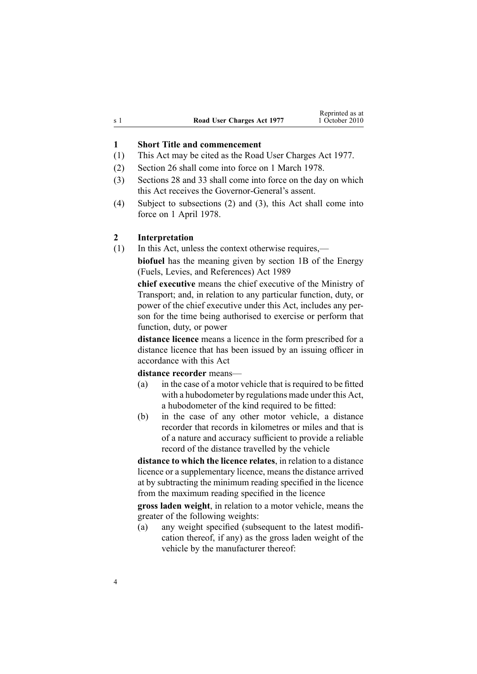<span id="page-3-0"></span>

|       |                            | Reprinted as at |
|-------|----------------------------|-----------------|
| .s. 1 | Road User Charges Act 1977 | 1 October 2010  |

#### **1 Short Title and commencement**

- (1) This Act may be cited as the Road User Charges Act 1977.
- (2) [Section](#page-44-0) 26 shall come into force on 1 March 1978.
- (3) [Sections](#page-44-0) 28 and [33](#page-45-0) shall come into force on the day on which this Act receives the Governor-General's assent.
- (4) Subject to subsections (2) and (3), this Act shall come into force on 1 April 1978.

#### **2 Interpretation**

(1) In this Act, unless the context otherwise requires,—

**biofuel** has the meaning given by [section](http://www.legislation.govt.nz/pdflink.aspx?id=DLM1660100) 1B of the Energy (Fuels, Levies, and References) Act 1989

**chief executive** means the chief executive of the Ministry of Transport; and, in relation to any particular function, duty, or power of the chief executive under this Act, includes any person for the time being authorised to exercise or perform that function, duty, or power

**distance licence** means <sup>a</sup> licence in the form prescribed for <sup>a</sup> distance licence that has been issued by an issuing officer in accordance with this Act

#### **distance recorder** means—

- (a) in the case of <sup>a</sup> motor vehicle that is required to be fitted with <sup>a</sup> hubodometer by regulations made under this Act, <sup>a</sup> hubodometer of the kind required to be fitted:
- (b) in the case of any other motor vehicle, <sup>a</sup> distance recorder that records in kilometres or miles and that is of <sup>a</sup> nature and accuracy sufficient to provide <sup>a</sup> reliable record of the distance travelled by the vehicle

**distance to which the licence relates**, in relation to <sup>a</sup> distance licence or <sup>a</sup> supplementary licence, means the distance arrived at by subtracting the minimum reading specified in the licence from the maximum reading specified in the licence

**gross laden weight**, in relation to <sup>a</sup> motor vehicle, means the greater of the following weights:

(a) any weight specified (subsequent to the latest modification thereof, if any) as the gross laden weight of the vehicle by the manufacturer thereof: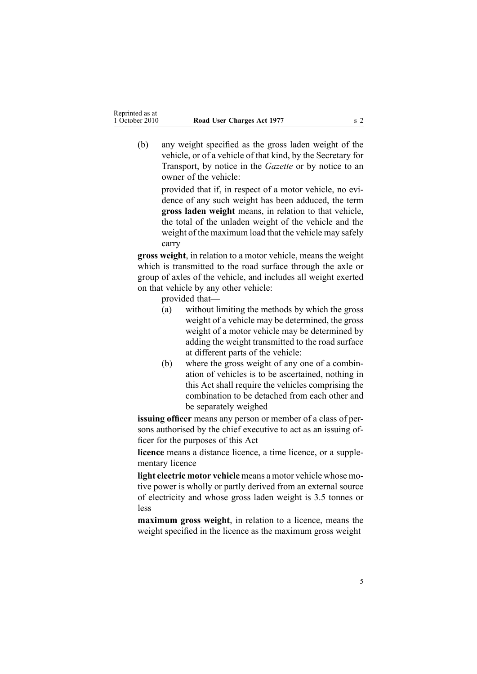(b) any weight specified as the gross laden weight of the vehicle, or of <sup>a</sup> vehicle of that kind, by the Secretary for Transport, by notice in the *Gazette* or by notice to an owner of the vehicle:

> provided that if, in respec<sup>t</sup> of <sup>a</sup> motor vehicle, no evidence of any such weight has been adduced, the term **gross laden weight** means, in relation to that vehicle, the total of the unladen weight of the vehicle and the weight of the maximum load that the vehicle may safely carry

**gross weight**, in relation to <sup>a</sup> motor vehicle, means the weight which is transmitted to the road surface through the axle or group of axles of the vehicle, and includes all weight exerted on that vehicle by any other vehicle:

provided that—

- (a) without limiting the methods by which the gross weight of <sup>a</sup> vehicle may be determined, the gross weight of <sup>a</sup> motor vehicle may be determined by adding the weight transmitted to the road surface at different parts of the vehicle:
- (b) where the gross weight of any one of <sup>a</sup> combination of vehicles is to be ascertained, nothing in this Act shall require the vehicles comprising the combination to be detached from each other and be separately weighed

**issuing officer** means any person or member of <sup>a</sup> class of persons authorised by the chief executive to act as an issuing officer for the purposes of this Act

**licence** means <sup>a</sup> distance licence, <sup>a</sup> time licence, or <sup>a</sup> supplementary licence

**light electric motor vehicle** means <sup>a</sup> motor vehicle whose motive power is wholly or partly derived from an external source of electricity and whose gross laden weight is 3.5 tonnes or less

**maximum gross weight**, in relation to <sup>a</sup> licence, means the weight specified in the licence as the maximum gross weight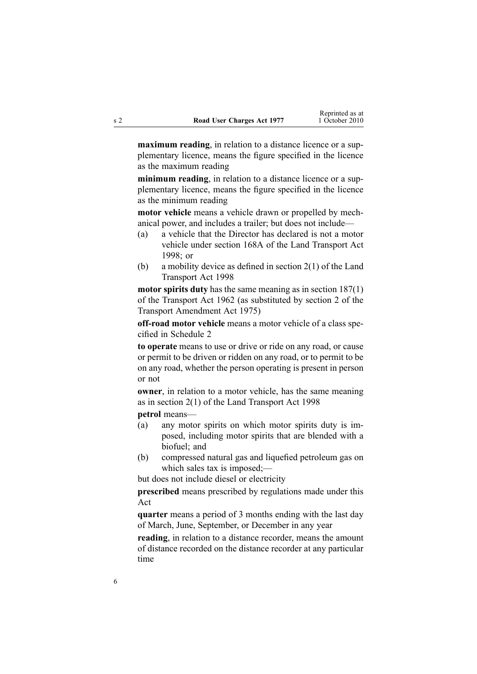**maximum reading**, in relation to <sup>a</sup> distance licence or <sup>a</sup> supplementary licence, means the figure specified in the licence as the maximum reading

**minimum reading**, in relation to <sup>a</sup> distance licence or <sup>a</sup> supplementary licence, means the figure specified in the licence as the minimum reading

**motor vehicle** means <sup>a</sup> vehicle drawn or propelled by mechanical power, and includes <sup>a</sup> trailer; but does not include—

- (a) <sup>a</sup> vehicle that the Director has declared is not <sup>a</sup> motor vehicle under [section](http://www.legislation.govt.nz/pdflink.aspx?id=DLM435415) 168A of the Land Transport Act 1998; or
- (b) <sup>a</sup> mobility device as defined in [section](http://www.legislation.govt.nz/pdflink.aspx?id=DLM433619) 2(1) of the Land Transport Act 1998

**motor spirits duty** has the same meaning as in section [187\(1\)](http://www.legislation.govt.nz/pdflink.aspx?id=DLM344812) of the Transport Act 1962 (as substituted by section 2 of the Transport Amendment Act 1975)

**off-road motor vehicle** means <sup>a</sup> motor vehicle of <sup>a</sup> class specified in [Schedule](#page-49-0) 2

**to operate** means to use or drive or ride on any road, or cause or permit to be driven or ridden on any road, or to permit to be on any road, whether the person operating is presen<sup>t</sup> in person or not

**owner**, in relation to <sup>a</sup> motor vehicle, has the same meaning as in [section](http://www.legislation.govt.nz/pdflink.aspx?id=DLM433619) 2(1) of the Land Transport Act 1998

**petrol** means—

- (a) any motor spirits on which motor spirits duty is imposed, including motor spirits that are blended with <sup>a</sup> biofuel; and
- (b) compressed natural gas and liquefied petroleum gas on which sales tax is imposed;—

but does not include diesel or electricity

**prescribed** means prescribed by regulations made under this Act

**quarter** means <sup>a</sup> period of 3 months ending with the last day of March, June, September, or December in any year

**reading**, in relation to <sup>a</sup> distance recorder, means the amount of distance recorded on the distance recorder at any particular time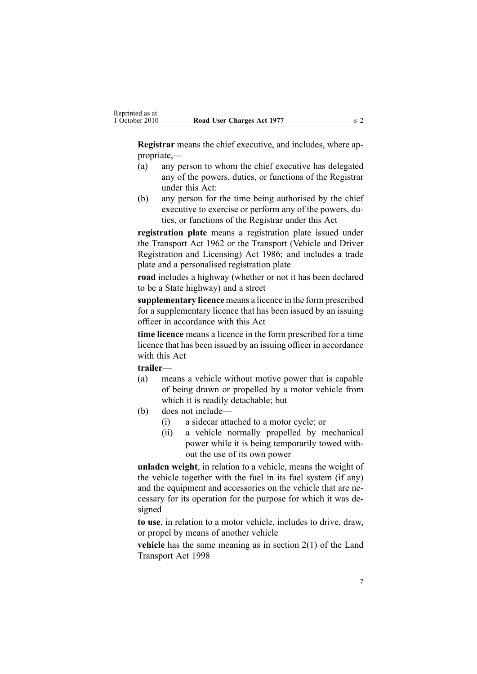**Registrar** means the chief executive, and includes, where appropriate,—

- (a) any person to whom the chief executive has delegated any of the powers, duties, or functions of the Registrar under this Act:
- (b) any person for the time being authorised by the chief executive to exercise or perform any of the powers, duties, or functions of the Registrar under this Act

**registration plate** means a registration plate issued under the [Transport](http://www.legislation.govt.nz/pdflink.aspx?id=DLM341189) Act 1962 or the [Transport](http://www.legislation.govt.nz/pdflink.aspx?id=DLM90414) (Vehicle and Driver [Registration](http://www.legislation.govt.nz/pdflink.aspx?id=DLM90414) and Licensing) Act 1986; and includes <sup>a</sup> trade plate and <sup>a</sup> personalised registration plate

**road** includes <sup>a</sup> highway (whether or not it has been declared to be <sup>a</sup> State highway) and <sup>a</sup> street

**supplementary licence** means <sup>a</sup> licence in the form prescribed for <sup>a</sup> supplementary licence that has been issued by an issuing officer in accordance with this Act

**time licence** means <sup>a</sup> licence in the form prescribed for <sup>a</sup> time licence that has been issued by an issuing officer in accordance with this Act

**trailer**—

- (a) means <sup>a</sup> vehicle without motive power that is capable of being drawn or propelled by <sup>a</sup> motor vehicle from which it is readily detachable; but
- (b) does not include—
	- (i) <sup>a</sup> sidecar attached to <sup>a</sup> motor cycle; or
	- (ii) <sup>a</sup> vehicle normally propelled by mechanical power while it is being temporarily towed without the use of its own power

**unladen weight**, in relation to <sup>a</sup> vehicle, means the weight of the vehicle together with the fuel in its fuel system (if any) and the equipment and accessories on the vehicle that are necessary for its operation for the purpose for which it was designed

**to use**, in relation to <sup>a</sup> motor vehicle, includes to drive, draw, or propel by means of another vehicle

**vehicle** has the same meaning as in [section](http://www.legislation.govt.nz/pdflink.aspx?id=DLM433619) 2(1) of the Land Transport Act 1998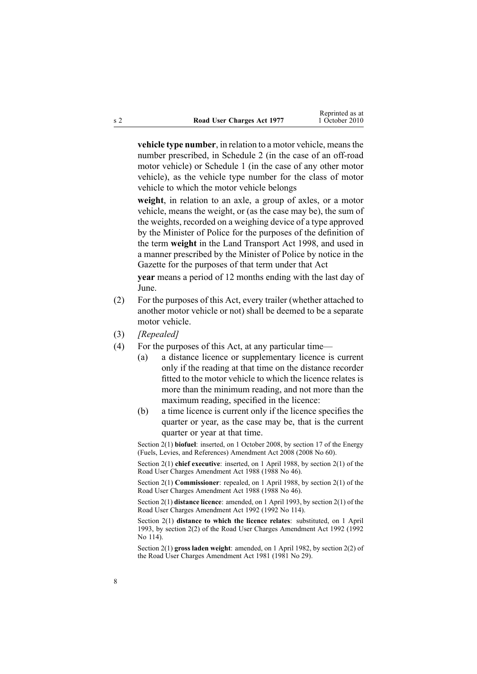**vehicle type number**, in relation to <sup>a</sup> motor vehicle, meansthe number prescribed, in [Schedule](#page-49-0) 2 (in the case of an off-road motor vehicle) or [Schedule](#page-47-0) 1 (in the case of any other motor vehicle), as the vehicle type number for the class of motor vehicle to which the motor vehicle belongs

**weight**, in relation to an axle, <sup>a</sup> group of axles, or <sup>a</sup> motor vehicle, means the weight, or (as the case may be), the sum of the weights, recorded on <sup>a</sup> weighing device of <sup>a</sup> type approved by the Minister of Police for the purposes of the definition of the term **weight** in the Land [Transport](http://www.legislation.govt.nz/pdflink.aspx?id=DLM433612) Act 1998, and used in <sup>a</sup> manner prescribed by the Minister of Police by notice in the Gazette for the purposes of that term under that Act

**year** means <sup>a</sup> period of 12 months ending with the last day of June.

- (2) For the purposes of this Act, every trailer (whether attached to another motor vehicle or not) shall be deemed to be <sup>a</sup> separate motor vehicle.
- (3) *[Repealed]*
- (4) For the purposes of this Act, at any particular time—
	- (a) <sup>a</sup> distance licence or supplementary licence is current only if the reading at that time on the distance recorder fitted to the motor vehicle to which the licence relates is more than the minimum reading, and not more than the maximum reading, specified in the licence:
	- (b) <sup>a</sup> time licence is current only if the licence specifies the quarter or year, as the case may be, that is the current quarter or year at that time.

Section 2(1) **biofuel**: inserted, on 1 October 2008, by [section](http://www.legislation.govt.nz/pdflink.aspx?id=DLM1382846) 17 of the Energy (Fuels, Levies, and References) Amendment Act 2008 (2008 No 60).

Section 2(1) **chief executive**: inserted, on 1 April 1988, by section 2(1) of the Road User Charges Amendment Act 1988 (1988 No 46).

Section 2(1) **Commissioner**: repealed, on 1 April 1988, by section 2(1) of the Road User Charges Amendment Act 1988 (1988 No 46).

Section 2(1) **distance licence**: amended, on 1 April 1993, by section 2(1) of the Road User Charges Amendment Act 1992 (1992 No 114).

Section 2(1) **distance to which the licence relates**: substituted, on 1 April 1993, by section 2(2) of the Road User Charges Amendment Act 1992 (1992 No 114).

Section 2(1) **gross laden weight**: amended, on 1 April 1982, by [section](http://www.legislation.govt.nz/pdflink.aspx?id=DLM44887) 2(2) of the Road User Charges Amendment Act 1981 (1981 No 29).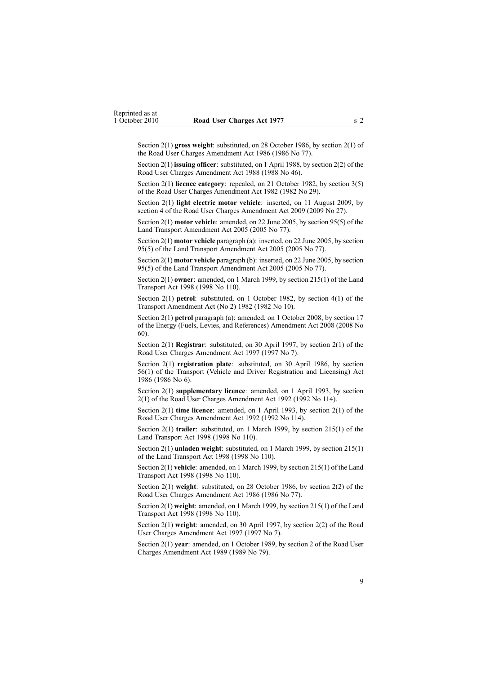Section 2(1) **gross weight**: substituted, on 28 October 1986, by section 2(1) of the Road User Charges Amendment Act 1986 (1986 No 77).

Section 2(1) **issuing officer**: substituted, on 1 April 1988, by section 2(2) of the Road User Charges Amendment Act 1988 (1988 No 46).

Section 2(1) **licence category**: repealed, on 21 October 1982, by [section](http://www.legislation.govt.nz/pdflink.aspx?id=DLM59703) 3(5) of the Road User Charges Amendment Act 1982 (1982 No 29).

Section 2(1) **light electric motor vehicle**: inserted, on 11 August 2009, by [section](http://www.legislation.govt.nz/pdflink.aspx?id=DLM2172209) 4 of the Road User Charges Amendment Act 2009 (2009 No 27).

Section 2(1) **motor vehicle**: amended, on 22 June 2005, by [section](http://www.legislation.govt.nz/pdflink.aspx?id=DLM353501) 95(5) of the Land Transport Amendment Act 2005 (2005 No 77).

Section 2(1) **motor vehicle** paragraph (a): inserted, on 22 June 2005, by [section](http://www.legislation.govt.nz/pdflink.aspx?id=DLM353501) [95\(5\)](http://www.legislation.govt.nz/pdflink.aspx?id=DLM353501) of the Land Transport Amendment Act 2005 (2005 No 77).

Section 2(1) **motor vehicle** paragraph (b): inserted, on 22 June 2005, by [section](http://www.legislation.govt.nz/pdflink.aspx?id=DLM353501) [95\(5\)](http://www.legislation.govt.nz/pdflink.aspx?id=DLM353501) of the Land Transport Amendment Act 2005 (2005 No 77).

Section 2(1) **owner**: amended, on 1 March 1999, by section [215\(1\)](http://www.legislation.govt.nz/pdflink.aspx?id=DLM435656) of the Land Transport Act 1998 (1998 No 110).

Section 2(1) **petrol**: substituted, on 1 October 1982, by section 4(1) of the Transport Amendment Act (No 2) 1982 (1982 No 10).

Section 2(1) **petrol** paragraph (a): amended, on 1 October 2008, by [section](http://www.legislation.govt.nz/pdflink.aspx?id=DLM1382846) 17 of the Energy (Fuels, Levies, and References) Amendment Act 2008 (2008 No 60).

Section 2(1) **Registrar**: substituted, on 30 April 1997, by [section](http://www.legislation.govt.nz/pdflink.aspx?id=DLM407964) 2(1) of the Road User Charges Amendment Act 1997 (1997 No 7).

Section 2(1) **registration plate**: substituted, on 30 April 1986, by [section](http://www.legislation.govt.nz/pdflink.aspx?id=DLM92149) [56\(1\)](http://www.legislation.govt.nz/pdflink.aspx?id=DLM92149) of the Transport (Vehicle and Driver Registration and Licensing) Act 1986 (1986 No 6).

Section 2(1) **supplementary licence**: amended, on 1 April 1993, by section 2(1) of the Road User Charges Amendment Act 1992 (1992 No 114).

Section 2(1) **time licence**: amended, on 1 April 1993, by section 2(1) of the Road User Charges Amendment Act 1992 (1992 No 114).

Section 2(1) **trailer**: substituted, on 1 March 1999, by section [215\(1\)](http://www.legislation.govt.nz/pdflink.aspx?id=DLM435656) of the Land Transport Act 1998 (1998 No 110).

Section 2(1) **unladen weight**: substituted, on 1 March 1999, by section [215\(1\)](http://www.legislation.govt.nz/pdflink.aspx?id=DLM435656) of the Land Transport Act 1998 (1998 No 110).

Section 2(1) **vehicle**: amended, on 1 March 1999, by section [215\(1\)](http://www.legislation.govt.nz/pdflink.aspx?id=DLM435656) of the Land Transport Act 1998 (1998 No 110).

Section 2(1) **weight**: substituted, on 28 October 1986, by section 2(2) of the Road User Charges Amendment Act 1986 (1986 No 77).

Section 2(1) **weight**: amended, on 1 March 1999, by section [215\(1\)](http://www.legislation.govt.nz/pdflink.aspx?id=DLM435656) of the Land Transport Act 1998 (1998 No 110).

Section 2(1) **weight**: amended, on 30 April 1997, by [section](http://www.legislation.govt.nz/pdflink.aspx?id=DLM407964) 2(2) of the Road User Charges Amendment Act 1997 (1997 No 7).

Section 2(1) **year**: amended, on 1 October 1989, by section 2 of the Road User Charges Amendment Act 1989 (1989 No 79).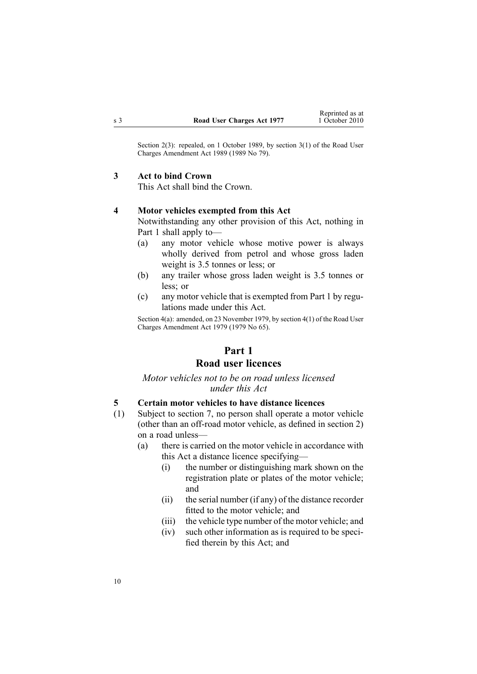<span id="page-9-0"></span>Section 2(3): repealed, on 1 October 1989, by section 3(1) of the Road User Charges Amendment Act 1989 (1989 No 79).

## **3 Act to bind Crown**

This Act shall bind the Crown.

### **4 Motor vehicles exempted from this Act**

Notwithstanding any other provision of this Act, nothing in Part 1 shall apply to—

- (a) any motor vehicle whose motive power is always wholly derived from petrol and whose gross laden weight is 3.5 tonnes or less; or
- (b) any trailer whose gross laden weight is 3.5 tonnes or less; or
- (c) any motor vehicle that is exempted from Part 1 by regulations made under this Act.

Section 4(a): amended, on 23 November 1979, by [section](http://www.legislation.govt.nz/pdflink.aspx?id=DLM34691) 4(1) of the Road User Charges Amendment Act 1979 (1979 No 65).

# **Part 1 Road user licences**

# *Motor vehicles not to be on road unless licensed under this Act*

### **5 Certain motor vehicles to have distance licences**

- (1) Subject to [section](#page-11-0) 7, no person shall operate <sup>a</sup> motor vehicle (other than an off-road motor vehicle, as defined in [section](#page-3-0) 2) on <sup>a</sup> road unless—
	- (a) there is carried on the motor vehicle in accordance with this Act <sup>a</sup> distance licence specifying—
		- (i) the number or distinguishing mark shown on the registration plate or plates of the motor vehicle; and
		- (ii) the serial number (if any) of the distance recorder fitted to the motor vehicle; and
		- (iii) the vehicle type number of the motor vehicle; and
		- (iv) such other information as is required to be specified therein by this Act; and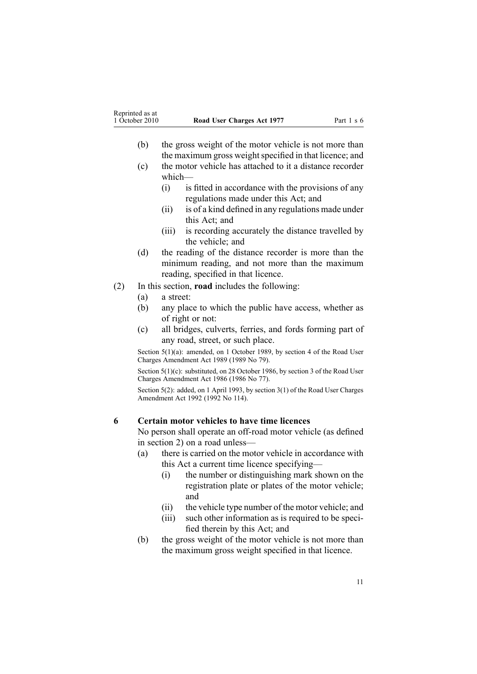- <span id="page-10-0"></span>(b) the gross weight of the motor vehicle is not more than the maximum gross weight specified in that licence; and
- (c) the motor vehicle has attached to it <sup>a</sup> distance recorder which—
	- (i) is fitted in accordance with the provisions of any regulations made under this Act; and
	- (ii) is of <sup>a</sup> kind defined in any regulations made under this Act; and
	- (iii) is recording accurately the distance travelled by the vehicle; and
- (d) the reading of the distance recorder is more than the minimum reading, and not more than the maximum reading, specified in that licence.
- (2) In this section, **road** includes the following:
	- (a) <sup>a</sup> street:
	- (b) any place to which the public have access, whether as of right or not:
	- (c) all bridges, culverts, ferries, and fords forming par<sup>t</sup> of any road, street, or such place.

Section 5(1)(a): amended, on 1 October 1989, by section 4 of the Road User Charges Amendment Act 1989 (1989 No 79).

Section 5(1)(c): substituted, on 28 October 1986, by section 3 of the Road User Charges Amendment Act 1986 (1986 No 77).

Section 5(2): added, on 1 April 1993, by section 3(1) of the Road User Charges Amendment Act 1992 (1992 No 114).

# **6 Certain motor vehicles to have time licences**

No person shall operate an off-road motor vehicle (as defined in [section](#page-3-0) 2) on <sup>a</sup> road unless—

- (a) there is carried on the motor vehicle in accordance with this Act <sup>a</sup> current time licence specifying—
	- (i) the number or distinguishing mark shown on the registration plate or plates of the motor vehicle; and
	- (ii) the vehicle type number of the motor vehicle; and
	- (iii) such other information as is required to be specified therein by this Act; and
- (b) the gross weight of the motor vehicle is not more than the maximum gross weight specified in that licence.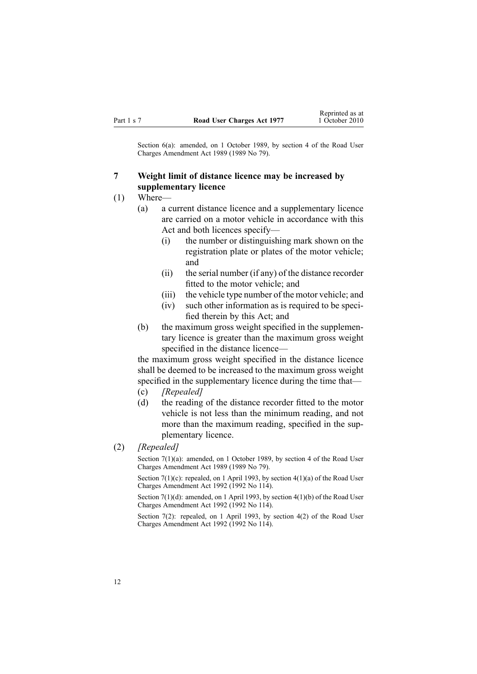<span id="page-11-0"></span>Section 6(a): amended, on 1 October 1989, by section 4 of the Road User Charges Amendment Act 1989 (1989 No 79).

# **7 Weight limit of distance licence may be increased by supplementary licence**

- (1) Where—
	- (a) <sup>a</sup> current distance licence and <sup>a</sup> supplementary licence are carried on <sup>a</sup> motor vehicle in accordance with this Act and both licences specify—
		- (i) the number or distinguishing mark shown on the registration plate or plates of the motor vehicle; and
		- (ii) the serial number (if any) of the distance recorder fitted to the motor vehicle; and
		- (iii) the vehicle type number of the motor vehicle; and
		- (iv) such other information as is required to be specified therein by this Act; and
	- (b) the maximum gross weight specified in the supplementary licence is greater than the maximum gross weight specified in the distance licence—

the maximum gross weight specified in the distance licence shall be deemed to be increased to the maximum gross weight specified in the supplementary licence during the time that— (c) *[Repealed]*

- 
- (d) the reading of the distance recorder fitted to the motor vehicle is not less than the minimum reading, and not more than the maximum reading, specified in the supplementary licence.
- (2) *[Repealed]*

Section 7(1)(a): amended, on 1 October 1989, by section 4 of the Road User Charges Amendment Act 1989 (1989 No 79).

Section  $7(1)(c)$ : repealed, on 1 April 1993, by section  $4(1)(a)$  of the Road User Charges Amendment Act 1992 (1992 No 114).

Section 7(1)(d): amended, on 1 April 1993, by section 4(1)(b) of the Road User Charges Amendment Act 1992 (1992 No 114).

Section 7(2): repealed, on 1 April 1993, by section 4(2) of the Road User Charges Amendment Act 1992 (1992 No 114).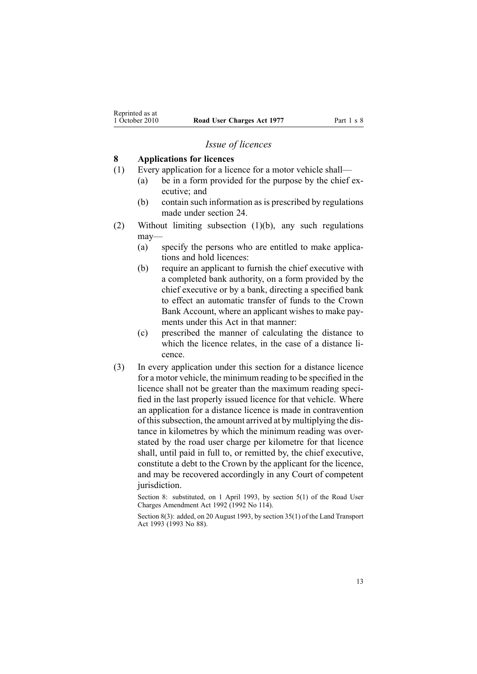### *Issue of licences*

#### <span id="page-12-0"></span>**8 Applications for licences**

- (1) Every application for <sup>a</sup> licence for <sup>a</sup> motor vehicle shall—
	- (a) be in <sup>a</sup> form provided for the purpose by the chief executive; and
	- (b) contain such information as is prescribed by regulations made under [section](#page-42-0) 24.
- (2) Without limiting subsection (1)(b), any such regulations may—
	- (a) specify the persons who are entitled to make applications and hold licences:
	- (b) require an applicant to furnish the chief executive with <sup>a</sup> completed bank authority, on <sup>a</sup> form provided by the chief executive or by <sup>a</sup> bank, directing <sup>a</sup> specified bank to effect an automatic transfer of funds to the Crown Bank Account, where an applicant wishes to make payments under this Act in that manner:
	- (c) prescribed the manner of calculating the distance to which the licence relates, in the case of <sup>a</sup> distance licence.
- (3) In every application under this section for <sup>a</sup> distance licence for <sup>a</sup> motor vehicle, the minimum reading to be specified in the licence shall not be greater than the maximum reading specified in the last properly issued licence for that vehicle. Where an application for <sup>a</sup> distance licence is made in contravention of thissubsection, the amount arrived at by multiplying the distance in kilometres by which the minimum reading was overstated by the road user charge per kilometre for that licence shall, until paid in full to, or remitted by, the chief executive, constitute <sup>a</sup> debt to the Crown by the applicant for the licence, and may be recovered accordingly in any Court of competent jurisdiction.

Section 8: substituted, on 1 April 1993, by section 5(1) of the Road User Charges Amendment Act 1992 (1992 No 114).

Section 8(3): added, on 20 August 1993, by section 35(1) of the Land Transport Act 1993 (1993 No 88).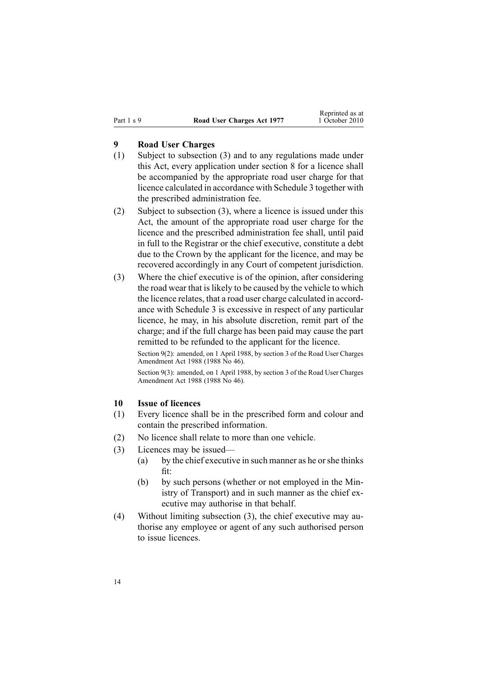# <span id="page-13-0"></span>**9 Road User Charges**

- (1) Subject to subsection (3) and to any regulations made under this Act, every application under [section](#page-12-0) 8 for <sup>a</sup> licence shall be accompanied by the appropriate road user charge for that licence calculated in accordance with [Schedule](#page-50-0) 3 together with the prescribed administration fee.
- (2) Subject to subsection (3), where <sup>a</sup> licence is issued under this Act, the amount of the appropriate road user charge for the licence and the prescribed administration fee shall, until paid in full to the Registrar or the chief executive, constitute <sup>a</sup> debt due to the Crown by the applicant for the licence, and may be recovered accordingly in any Court of competent jurisdiction.
- (3) Where the chief executive is of the opinion, after considering the road wear that is likely to be caused by the vehicle to which the licence relates, that <sup>a</sup> road user charge calculated in accordance with [Schedule](#page-50-0) 3 is excessive in respec<sup>t</sup> of any particular licence, he may, in his absolute discretion, remit par<sup>t</sup> of the charge; and if the full charge has been paid may cause the par<sup>t</sup> remitted to be refunded to the applicant for the licence.

Section 9(2): amended, on 1 April 1988, by section 3 of the Road User Charges Amendment Act 1988 (1988 No 46).

Section 9(3): amended, on 1 April 1988, by section 3 of the Road User Charges Amendment Act 1988 (1988 No 46).

# **10 Issue of licences**

- (1) Every licence shall be in the prescribed form and colour and contain the prescribed information.
- (2) No licence shall relate to more than one vehicle.
- (3) Licences may be issued—
	- (a) by the chief executive in such manner as he orshe thinks fit:
	- (b) by such persons (whether or not employed in the Ministry of Transport) and in such manner as the chief executive may authorise in that behalf.
- (4) Without limiting subsection (3), the chief executive may authorise any employee or agen<sup>t</sup> of any such authorised person to issue licences.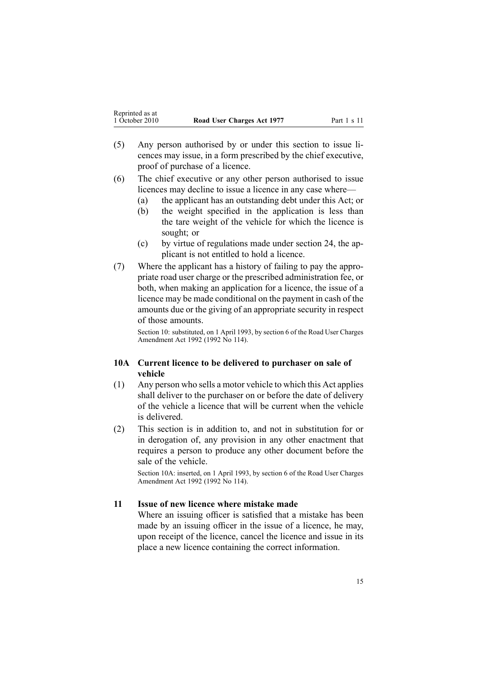- <span id="page-14-0"></span>(5) Any person authorised by or under this section to issue licences may issue, in <sup>a</sup> form prescribed by the chief executive, proof of purchase of <sup>a</sup> licence.
- (6) The chief executive or any other person authorised to issue licences may decline to issue <sup>a</sup> licence in any case where—
	- (a) the applicant has an outstanding debt under this Act; or
	- (b) the weight specified in the application is less than the tare weight of the vehicle for which the licence is sought; or
	- (c) by virtue of regulations made under [section](#page-42-0) 24, the applicant is not entitled to hold <sup>a</sup> licence.
- (7) Where the applicant has <sup>a</sup> history of failing to pay the appropriate road user charge or the prescribed administration fee, or both, when making an application for <sup>a</sup> licence, the issue of <sup>a</sup> licence may be made conditional on the paymen<sup>t</sup> in cash of the amounts due or the giving of an appropriate security in respec<sup>t</sup> of those amounts.

Section 10: substituted, on 1 April 1993, by section 6 of the Road User Charges Amendment Act 1992 (1992 No 114).

# **10A Current licence to be delivered to purchaser on sale of vehicle**

- (1) Any person who sells <sup>a</sup> motor vehicle to which this Act applies shall deliver to the purchaser on or before the date of delivery of the vehicle <sup>a</sup> licence that will be current when the vehicle is delivered.
- (2) This section is in addition to, and not in substitution for or in derogation of, any provision in any other enactment that requires <sup>a</sup> person to produce any other document before the sale of the vehicle.

Section 10A: inserted, on 1 April 1993, by section 6 of the Road User Charges Amendment Act 1992 (1992 No 114).

# **11 Issue of new licence where mistake made**

Where an issuing officer is satisfied that <sup>a</sup> mistake has been made by an issuing officer in the issue of <sup>a</sup> licence, he may, upon receipt of the licence, cancel the licence and issue in its place <sup>a</sup> new licence containing the correct information.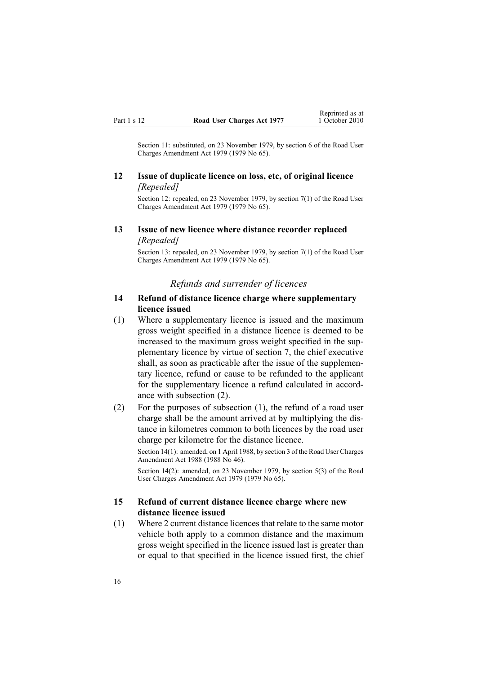<span id="page-15-0"></span>Section 11: substituted, on 23 November 1979, by [section](http://www.legislation.govt.nz/pdflink.aspx?id=DLM34696) 6 of the Road User Charges Amendment Act 1979 (1979 No 65).

# **12 Issue of duplicate licence on loss, etc, of original licence** *[Repealed]*

Section 12: repealed, on 23 November 1979, by [section](http://www.legislation.govt.nz/pdflink.aspx?id=DLM34697) 7(1) of the Road User Charges Amendment Act 1979 (1979 No 65).

# **13 Issue of new licence where distance recorder replaced** *[Repealed]*

Section 13: repealed, on 23 November 1979, by [section](http://www.legislation.govt.nz/pdflink.aspx?id=DLM34697) 7(1) of the Road User Charges Amendment Act 1979 (1979 No 65).

#### *Refunds and surrender of licences*

# **14 Refund of distance licence charge where supplementary licence issued**

(1) Where <sup>a</sup> supplementary licence is issued and the maximum gross weight specified in <sup>a</sup> distance licence is deemed to be increased to the maximum gross weight specified in the supplementary licence by virtue of [section](#page-11-0) 7, the chief executive shall, as soon as practicable after the issue of the supplementary licence, refund or cause to be refunded to the applicant for the supplementary licence <sup>a</sup> refund calculated in accordance with subsection (2).

(2) For the purposes of subsection (1), the refund of <sup>a</sup> road user charge shall be the amount arrived at by multiplying the distance in kilometres common to both licences by the road user charge per kilometre for the distance licence.

Section 14(1): amended, on 1 April 1988, by section 3 of the Road User Charges Amendment Act 1988 (1988 No 46).

Section 14(2): amended, on 23 November 1979, by [section](http://www.legislation.govt.nz/pdflink.aspx?id=DLM34693) 5(3) of the Road User Charges Amendment Act 1979 (1979 No 65).

### **15 Refund of current distance licence charge where new distance licence issued**

(1) Where 2 current distance licencesthat relate to the same motor vehicle both apply to <sup>a</sup> common distance and the maximum gross weight specified in the licence issued last is greater than or equal to that specified in the licence issued first, the chief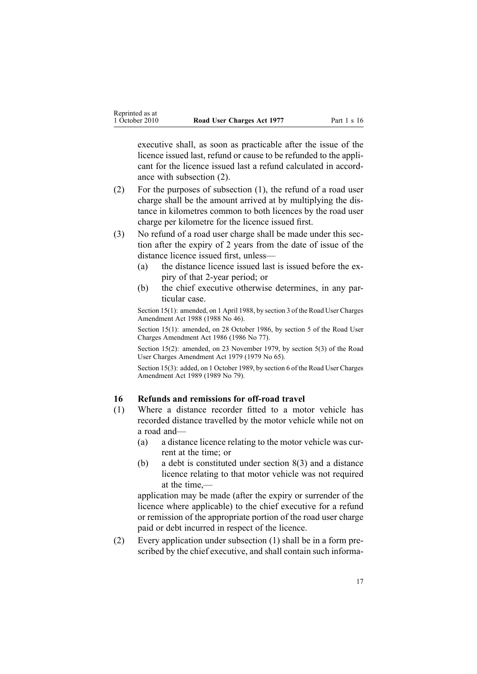<span id="page-16-0"></span>executive shall, as soon as practicable after the issue of the licence issued last, refund or cause to be refunded to the applicant for the licence issued last <sup>a</sup> refund calculated in accordance with subsection (2).

- (2) For the purposes of subsection (1), the refund of <sup>a</sup> road user charge shall be the amount arrived at by multiplying the distance in kilometres common to both licences by the road user charge per kilometre for the licence issued first.
- (3) No refund of <sup>a</sup> road user charge shall be made under this section after the expiry of 2 years from the date of issue of the distance licence issued first, unless—
	- (a) the distance licence issued last is issued before the expiry of that 2-year period; or
	- (b) the chief executive otherwise determines, in any particular case.

Section 15(1): amended, on 1 April 1988, by section 3 of the Road User Charges Amendment Act 1988 (1988 No 46).

Section 15(1): amended, on 28 October 1986, by section 5 of the Road User Charges Amendment Act 1986 (1986 No 77).

Section 15(2): amended, on 23 November 1979, by [section](http://www.legislation.govt.nz/pdflink.aspx?id=DLM34693) 5(3) of the Road User Charges Amendment Act 1979 (1979 No 65).

Section 15(3): added, on 1 October 1989, by section 6 of the Road User Charges Amendment Act 1989 (1989 No 79).

# **16 Refunds and remissions for off-road travel**

- (1) Where <sup>a</sup> distance recorder fitted to <sup>a</sup> motor vehicle has recorded distance travelled by the motor vehicle while not on <sup>a</sup> road and—
	- (a) <sup>a</sup> distance licence relating to the motor vehicle was current at the time; or
	- (b) <sup>a</sup> debt is constituted under [section](#page-12-0) 8(3) and <sup>a</sup> distance licence relating to that motor vehicle was not required at the time,—

application may be made (after the expiry or surrender of the licence where applicable) to the chief executive for <sup>a</sup> refund or remission of the appropriate portion of the road user charge paid or debt incurred in respec<sup>t</sup> of the licence.

(2) Every application under subsection (1) shall be in <sup>a</sup> form prescribed by the chief executive, and shall contain such informa-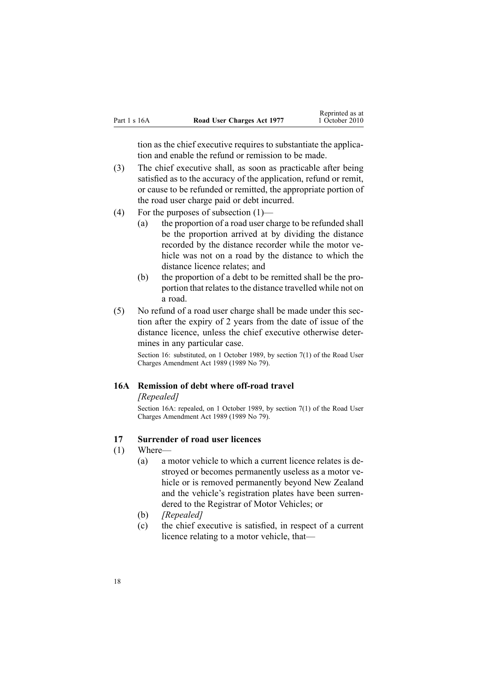<span id="page-17-0"></span>

|              |                            | Reprinted as at |
|--------------|----------------------------|-----------------|
| Part 1 s 16A | Road User Charges Act 1977 | 1 October 2010  |

tion as the chief executive requires to substantiate the application and enable the refund or remission to be made.

- (3) The chief executive shall, as soon as practicable after being satisfied as to the accuracy of the application, refund or remit, or cause to be refunded or remitted, the appropriate portion of the road user charge paid or debt incurred.
- (4) For the purposes of subsection (1)—
	- (a) the proportion of <sup>a</sup> road user charge to be refunded shall be the proportion arrived at by dividing the distance recorded by the distance recorder while the motor vehicle was not on <sup>a</sup> road by the distance to which the distance licence relates; and
	- (b) the proportion of <sup>a</sup> debt to be remitted shall be the proportion that relates to the distance travelled while not on <sup>a</sup> road.
- (5) No refund of <sup>a</sup> road user charge shall be made under this section after the expiry of 2 years from the date of issue of the distance licence, unless the chief executive otherwise determines in any particular case.

Section 16: substituted, on 1 October 1989, by section 7(1) of the Road User Charges Amendment Act 1989 (1989 No 79).

## **16A Remission of debt where off-road travel**

#### *[Repealed]*

Section 16A: repealed, on 1 October 1989, by section 7(1) of the Road User Charges Amendment Act 1989 (1989 No 79).

# **17 Surrender of road user licences**

- (1) Where—
	- (a) <sup>a</sup> motor vehicle to which <sup>a</sup> current licence relates is destroyed or becomes permanently useless as <sup>a</sup> motor vehicle or is removed permanently beyond New Zealand and the vehicle's registration plates have been surrendered to the Registrar of Motor Vehicles; or
	- (b) *[Repealed]*
	- (c) the chief executive is satisfied, in respec<sup>t</sup> of <sup>a</sup> current licence relating to <sup>a</sup> motor vehicle, that—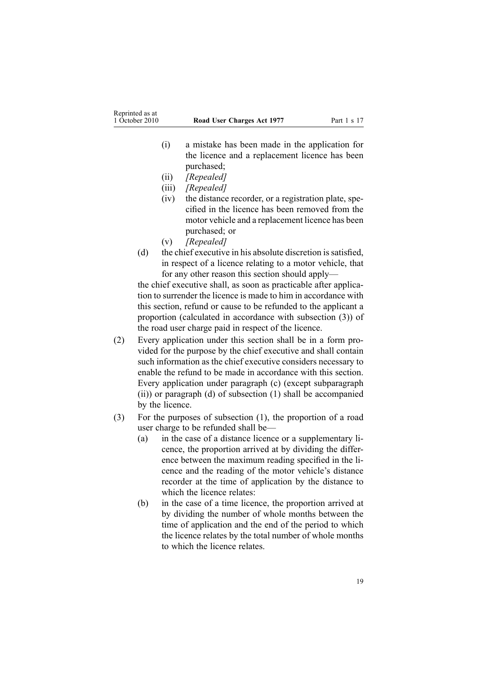- (i) <sup>a</sup> mistake has been made in the application for the licence and <sup>a</sup> replacement licence has been purchased;
- (ii) *[Repealed]*
- (iii) *[Repealed]*
- (iv) the distance recorder, or <sup>a</sup> registration plate, specified in the licence has been removed from the motor vehicle and <sup>a</sup> replacement licence has been purchased; or
- (v) *[Repealed]*
- (d) the chief executive in his absolute discretion is satisfied, in respec<sup>t</sup> of <sup>a</sup> licence relating to <sup>a</sup> motor vehicle, that for any other reason this section should apply—

the chief executive shall, as soon as practicable after application to surrender the licence is made to him in accordance with this section, refund or cause to be refunded to the applicant <sup>a</sup> proportion (calculated in accordance with subsection (3)) of the road user charge paid in respec<sup>t</sup> of the licence.

- (2) Every application under this section shall be in <sup>a</sup> form provided for the purpose by the chief executive and shall contain such information as the chief executive considers necessary to enable the refund to be made in accordance with this section. Every application under paragraph (c) (except subparagraph (ii)) or paragraph (d) of subsection (1) shall be accompanied by the licence.
- (3) For the purposes of subsection (1), the proportion of <sup>a</sup> road user charge to be refunded shall be—
	- (a) in the case of <sup>a</sup> distance licence or <sup>a</sup> supplementary licence, the proportion arrived at by dividing the difference between the maximum reading specified in the licence and the reading of the motor vehicle's distance recorder at the time of application by the distance to which the licence relates:
	- (b) in the case of <sup>a</sup> time licence, the proportion arrived at by dividing the number of whole months between the time of application and the end of the period to which the licence relates by the total number of whole months to which the licence relates.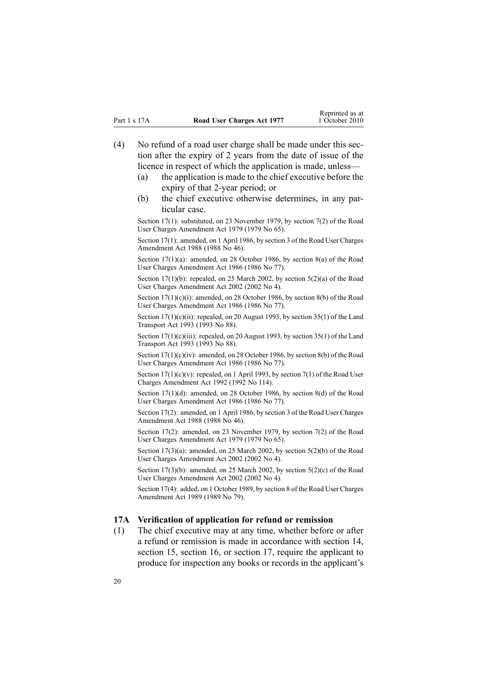- <span id="page-19-0"></span>(4) No refund of <sup>a</sup> road user charge shall be made under this section after the expiry of 2 years from the date of issue of the licence in respec<sup>t</sup> of which the application is made, unless—
	- (a) the application is made to the chief executive before the expiry of that 2-year period; or
	- (b) the chief executive otherwise determines, in any particular case.

Section 17(1): substituted, on 23 November 1979, by [section](http://www.legislation.govt.nz/pdflink.aspx?id=DLM34697) 7(2) of the Road User Charges Amendment Act 1979 (1979 No 65).

Section 17(1): amended, on 1 April 1986, by section 3 of the Road User Charges Amendment Act 1988 (1988 No 46).

Section 17(1)(a): amended, on 28 October 1986, by section 8(a) of the Road User Charges Amendment Act 1986 (1986 No 77).

Section 17(1)(b): repealed, on 25 March 2002, by section [5\(2\)\(a\)](http://www.legislation.govt.nz/pdflink.aspx?id=DLM131348) of the Road User Charges Amendment Act 2002 (2002 No 4).

Section 17(1)(c)(i): amended, on 28 October 1986, by section 8(b) of the Road User Charges Amendment Act 1986 (1986 No 77).

Section 17(1)(c)(ii): repealed, on 20 August 1993, by section 35(1) of the Land Transport Act 1993 (1993 No 88).

Section 17(1)(c)(iii): repealed, on 20 August 1993, by section 35(1) of the Land Transport Act 1993 (1993 No 88).

Section 17(1)(c)(iv): amended, on 28 October 1986, by section 8(b) of the Road User Charges Amendment Act 1986 (1986 No 77).

Section  $17(1)(c)(v)$ : repealed, on 1 April 1993, by section  $7(1)$  of the Road User Charges Amendment Act 1992 (1992 No 114).

Section 17(1)(d): amended, on 28 October 1986, by section 8(d) of the Road User Charges Amendment Act 1986 (1986 No 77).

Section 17(2): amended, on 1 April 1986, by section 3 of the Road User Charges Amendment Act 1988 (1988 No 46).

Section 17(2): amended, on 23 November 1979, by [section](http://www.legislation.govt.nz/pdflink.aspx?id=DLM34697) 7(2) of the Road User Charges Amendment Act 1979 (1979 No 65).

Section  $17(3)(a)$ : amended, on 25 March 2002, by section  $5(2)(b)$  of the Road User Charges Amendment Act 2002 (2002 No 4).

Section 17(3)(b): amended, on 25 March 2002, by section  $5(2)(c)$  of the Road User Charges Amendment Act 2002 (2002 No 4).

Section 17(4): added, on 1 October 1989, by section 8 of the Road User Charges Amendment Act 1989 (1989 No 79).

#### **17A Verification of application for refund or remission**

(1) The chief executive may at any time, whether before or after <sup>a</sup> refund or remission is made in accordance with [section](#page-15-0) 14, [section](#page-17-0) 15, section 16, or section 17, require the applicant to produce for inspection any books or records in the applicant's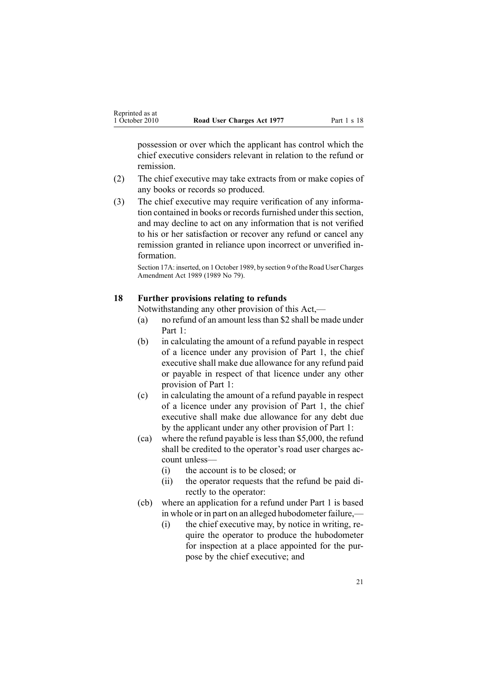<span id="page-20-0"></span>possession or over which the applicant has control which the chief executive considers relevant in relation to the refund or remission.

- (2) The chief executive may take extracts from or make copies of any books or records so produced.
- (3) The chief executive may require verification of any information contained in books or records furnished under this section, and may decline to act on any information that is not verified to his or her satisfaction or recover any refund or cancel any remission granted in reliance upon incorrect or unverified information.

Section 17A: inserted, on 1 October 1989, by section 9 of the Road User Charges Amendment Act 1989 (1989 No 79).

# **18 Further provisions relating to refunds**

Notwithstanding any other provision of this Act,—

- (a) no refund of an amount lessthan \$2 shall be made under [Part](#page-9-0) 1:
- (b) in calculating the amount of <sup>a</sup> refund payable in respec<sup>t</sup> of <sup>a</sup> licence under any provision of [Part](#page-9-0) 1, the chief executive shall make due allowance for any refund paid or payable in respec<sup>t</sup> of that licence under any other provision of Part 1:
- (c) in calculating the amount of <sup>a</sup> refund payable in respec<sup>t</sup> of <sup>a</sup> licence under any provision of [Part](#page-9-0) 1, the chief executive shall make due allowance for any debt due by the applicant under any other provision of Part 1:
- (ca) where the refund payable is less than \$5,000, the refund shall be credited to the operator's road user charges account unless—
	- (i) the account is to be closed; or
	- (ii) the operator requests that the refund be paid directly to the operator:
- (cb) where an application for <sup>a</sup> refund under [Part](#page-9-0) 1 is based in whole or in par<sup>t</sup> on an alleged hubodometer failure,—
	- (i) the chief executive may, by notice in writing, require the operator to produce the hubodometer for inspection at <sup>a</sup> place appointed for the purpose by the chief executive; and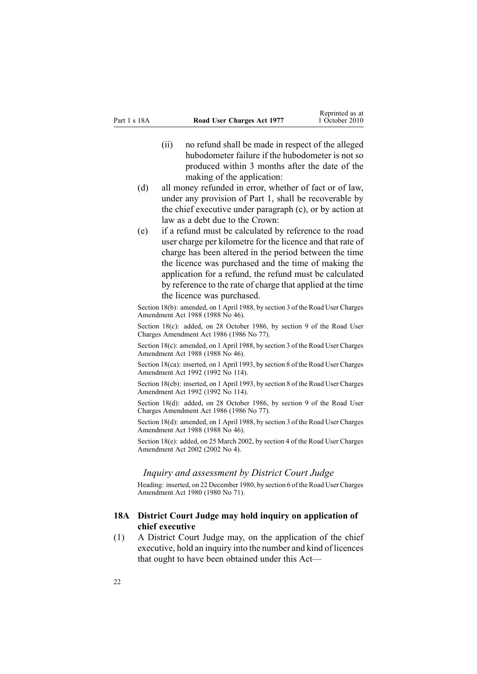- <span id="page-21-0"></span>(ii) no refund shall be made in respec<sup>t</sup> of the alleged hubodometer failure if the hubodometer is not so produced within 3 months after the date of the making of the application:
- (d) all money refunded in error, whether of fact or of law, under any provision of [Part](#page-9-0) 1, shall be recoverable by the chief executive under paragraph (c), or by action at law as <sup>a</sup> debt due to the Crown:
- (e) if <sup>a</sup> refund must be calculated by reference to the road user charge per kilometre for the licence and that rate of charge has been altered in the period between the time the licence was purchased and the time of making the application for <sup>a</sup> refund, the refund must be calculated by reference to the rate of charge that applied at the time the licence was purchased.

Section 18(b): amended, on 1 April 1988, by section 3 of the Road User Charges Amendment Act 1988 (1988 No 46).

Section 18(c): added, on 28 October 1986, by section 9 of the Road User Charges Amendment Act 1986 (1986 No 77).

Section 18(c): amended, on 1 April 1988, by section 3 of the Road User Charges Amendment Act 1988 (1988 No 46).

Section 18(ca): inserted, on 1 April 1993, by section 8 of the Road User Charges Amendment Act 1992 (1992 No 114).

Section 18(cb): inserted, on 1 April 1993, by section 8 of the Road User Charges Amendment Act 1992 (1992 No 114).

Section 18(d): added, on 28 October 1986, by section 9 of the Road User Charges Amendment Act 1986 (1986 No 77).

Section 18(d): amended, on 1 April 1988, by section 3 of the Road User Charges Amendment Act 1988 (1988 No 46).

Section 18(e): added, on 25 March 2002, by [section](http://www.legislation.govt.nz/pdflink.aspx?id=DLM131347) 4 of the Road User Charges Amendment Act 2002 (2002 No 4).

# *Inquiry and assessment by District Court Judge*

Heading: inserted, on 22 December 1980, by [section](http://www.legislation.govt.nz/pdflink.aspx?id=DLM38570) 6 of the Road User Charges Amendment Act 1980 (1980 No 71).

# **18A District Court Judge may hold inquiry on application of chief executive**

(1) A District Court Judge may, on the application of the chief executive, hold an inquiry into the number and kind of licences that ought to have been obtained under this Act—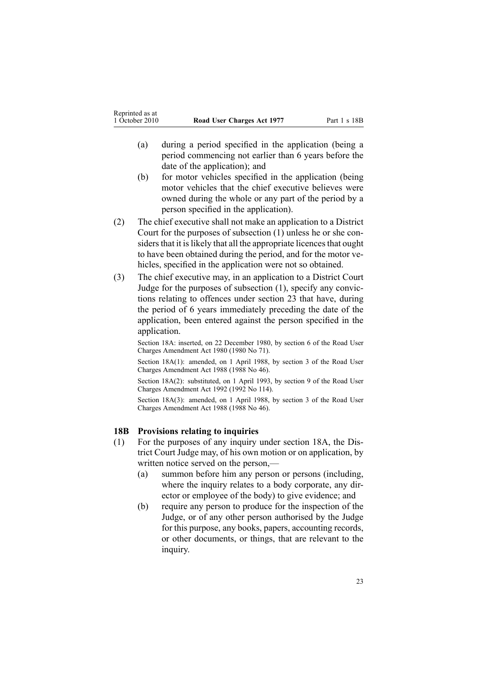- <span id="page-22-0"></span>(a) during <sup>a</sup> period specified in the application (being <sup>a</sup> period commencing not earlier than 6 years before the date of the application); and
- (b) for motor vehicles specified in the application (being motor vehicles that the chief executive believes were owned during the whole or any par<sup>t</sup> of the period by <sup>a</sup> person specified in the application).
- (2) The chief executive shall not make an application to <sup>a</sup> District Court for the purposes of subsection (1) unless he or she considers that it is likely that all the appropriate licences that ought to have been obtained during the period, and for the motor vehicles, specified in the application were not so obtained.
- (3) The chief executive may, in an application to <sup>a</sup> District Court Judge for the purposes of subsection (1), specify any convictions relating to offences under [section](#page-32-0) 23 that have, during the period of 6 years immediately preceding the date of the application, been entered against the person specified in the application.

Section 18A: inserted, on 22 December 1980, by [section](http://www.legislation.govt.nz/pdflink.aspx?id=DLM38570) 6 of the Road User Charges Amendment Act 1980 (1980 No 71).

Section 18A(1): amended, on 1 April 1988, by section 3 of the Road User Charges Amendment Act 1988 (1988 No 46).

Section 18A(2): substituted, on 1 April 1993, by section 9 of the Road User Charges Amendment Act 1992 (1992 No 114).

Section 18A(3): amended, on 1 April 1988, by section 3 of the Road User Charges Amendment Act 1988 (1988 No 46).

#### **18B Provisions relating to inquiries**

- (1) For the purposes of any inquiry under [section](#page-21-0) 18A, the District Court Judge may, of his own motion or on application, by written notice served on the person,—
	- (a) summon before him any person or persons (including, where the inquiry relates to <sup>a</sup> body corporate, any director or employee of the body) to give evidence; and
	- (b) require any person to produce for the inspection of the Judge, or of any other person authorised by the Judge for this purpose, any books, papers, accounting records, or other documents, or things, that are relevant to the inquiry.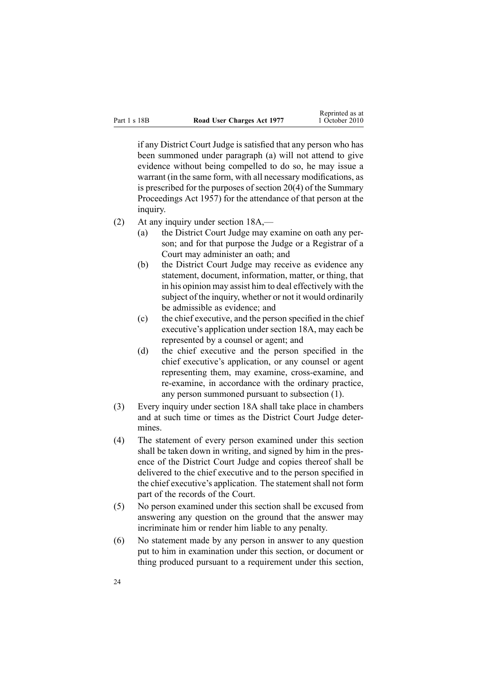if any District Court Judge is satisfied that any person who has been summoned under paragraph (a) will not attend to give evidence without being compelled to do so, he may issue <sup>a</sup> warrant (in the same form, with all necessary modifications, as is prescribed for the purposes of [section](http://www.legislation.govt.nz/pdflink.aspx?id=DLM311316) 20(4) of the Summary Proceedings Act 1957) for the attendance of that person at the inquiry.

- (2) At any inquiry under [section](#page-21-0) 18A,—
	- (a) the District Court Judge may examine on oath any person; and for that purpose the Judge or <sup>a</sup> Registrar of <sup>a</sup> Court may administer an oath; and
	- (b) the District Court Judge may receive as evidence any statement, document, information, matter, or thing, that in his opinion may assist him to deal effectively with the subject of the inquiry, whether or not it would ordinarily be admissible as evidence; and
	- (c) the chief executive, and the person specified in the chief executive's application under [section](#page-21-0) 18A, may each be represented by <sup>a</sup> counsel or agent; and
	- (d) the chief executive and the person specified in the chief executive's application, or any counsel or agen<sup>t</sup> representing them, may examine, cross-examine, and re-examine, in accordance with the ordinary practice, any person summoned pursuan<sup>t</sup> to subsection (1).
- (3) Every inquiry under [section](#page-21-0) 18A shall take place in chambers and at such time or times as the District Court Judge determines.
- (4) The statement of every person examined under this section shall be taken down in writing, and signed by him in the presence of the District Court Judge and copies thereof shall be delivered to the chief executive and to the person specified in the chief executive's application. The statement shall not form par<sup>t</sup> of the records of the Court.
- (5) No person examined under this section shall be excused from answering any question on the ground that the answer may incriminate him or render him liable to any penalty.
- (6) No statement made by any person in answer to any question pu<sup>t</sup> to him in examination under this section, or document or thing produced pursuan<sup>t</sup> to <sup>a</sup> requirement under this section,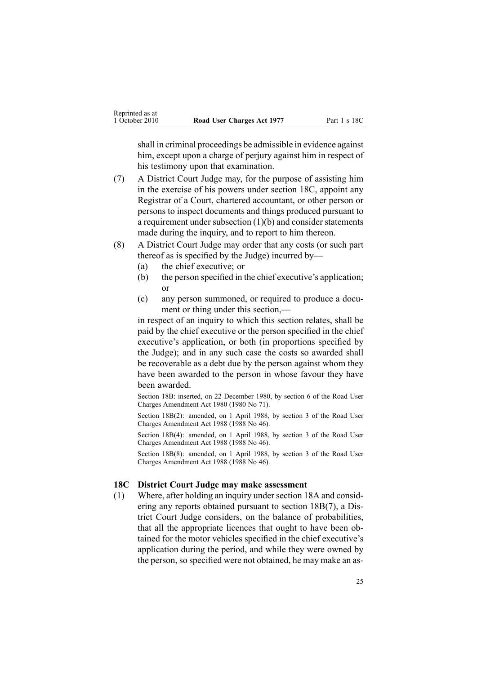<span id="page-24-0"></span>shall in criminal proceedings be admissible in evidence against him, except upon a charge of perjury against him in respect of his testimony upon that examination.

- (7) A District Court Judge may, for the purpose of assisting him in the exercise of his powers under section 18C, appoint any Registrar of <sup>a</sup> Court, chartered accountant, or other person or persons to inspect documents and things produced pursuan<sup>t</sup> to <sup>a</sup> requirement under subsection (1)(b) and consider statements made during the inquiry, and to report to him thereon.
- (8) A District Court Judge may order that any costs (or such par<sup>t</sup> thereof as is specified by the Judge) incurred by—
	- (a) the chief executive; or
	- (b) the person specified in the chief executive's application; or
	- (c) any person summoned, or required to produce <sup>a</sup> document or thing under this section,—

in respec<sup>t</sup> of an inquiry to which this section relates, shall be paid by the chief executive or the person specified in the chief executive's application, or both (in proportions specified by the Judge); and in any such case the costs so awarded shall be recoverable as <sup>a</sup> debt due by the person against whom they have been awarded to the person in whose favour they have been awarded.

Section 18B: inserted, on 22 December 1980, by [section](http://www.legislation.govt.nz/pdflink.aspx?id=DLM38570) 6 of the Road User Charges Amendment Act 1980 (1980 No 71).

Section 18B(2): amended, on 1 April 1988, by section 3 of the Road User Charges Amendment Act 1988 (1988 No 46).

Section 18B(4): amended, on 1 April 1988, by section 3 of the Road User Charges Amendment Act 1988 (1988 No 46).

Section 18B(8): amended, on 1 April 1988, by section 3 of the Road User Charges Amendment Act 1988 (1988 No 46).

#### **18C District Court Judge may make assessment**

(1) Where, after holding an inquiry unde[rsection](#page-21-0) 18A and considering any reports obtained pursuan<sup>t</sup> to section [18B\(7\)](#page-22-0), <sup>a</sup> District Court Judge considers, on the balance of probabilities, that all the appropriate licences that ought to have been obtained for the motor vehicles specified in the chief executive's application during the period, and while they were owned by the person, so specified were not obtained, he may make an as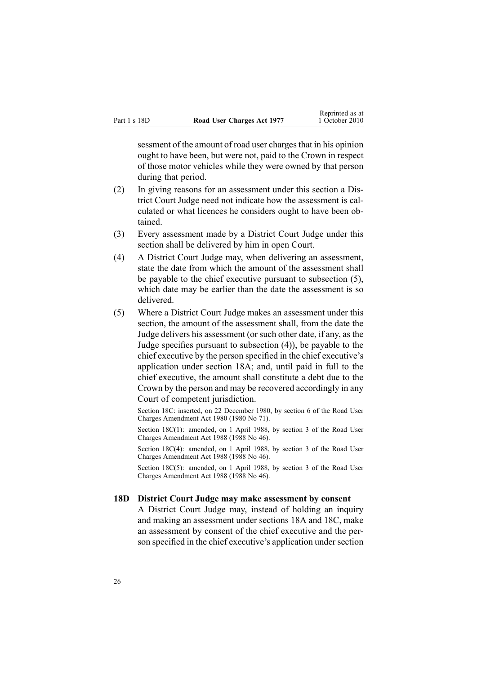<span id="page-25-0"></span>sessment of the amount of road user charges that in his opinion ought to have been, but were not, paid to the Crown in respec<sup>t</sup> of those motor vehicles while they were owned by that person during that period.

- (2) In giving reasons for an assessment under this section <sup>a</sup> District Court Judge need not indicate how the assessment is calculated or what licences he considers ought to have been obtained.
- (3) Every assessment made by <sup>a</sup> District Court Judge under this section shall be delivered by him in open Court.
- (4) A District Court Judge may, when delivering an assessment, state the date from which the amount of the assessment shall be payable to the chief executive pursuan<sup>t</sup> to subsection (5), which date may be earlier than the date the assessment is so delivered.
- (5) Where <sup>a</sup> District Court Judge makes an assessment under this section, the amount of the assessment shall, from the date the Judge delivers his assessment (or such other date, if any, as the Judge specifies pursuan<sup>t</sup> to subsection (4)), be payable to the chief executive by the person specified in the chief executive's application under [section](#page-21-0) 18A; and, until paid in full to the chief executive, the amount shall constitute <sup>a</sup> debt due to the Crown by the person and may be recovered accordingly in any Court of competent jurisdiction.

Section 18C: inserted, on 22 December 1980, by [section](http://www.legislation.govt.nz/pdflink.aspx?id=DLM38570) 6 of the Road User Charges Amendment Act 1980 (1980 No 71).

Section 18C(1): amended, on 1 April 1988, by section 3 of the Road User Charges Amendment Act 1988 (1988 No 46).

Section 18C(4): amended, on 1 April 1988, by section 3 of the Road User Charges Amendment Act 1988 (1988 No 46).

Section 18C(5): amended, on 1 April 1988, by section 3 of the Road User Charges Amendment Act 1988 (1988 No 46).

#### **18D District Court Judge may make assessment by consent**

A District Court Judge may, instead of holding an inquiry and making an assessment under [sections](#page-21-0) 18A and [18C](#page-24-0), make an assessment by consent of the chief executive and the person specified in the chief executive's application under section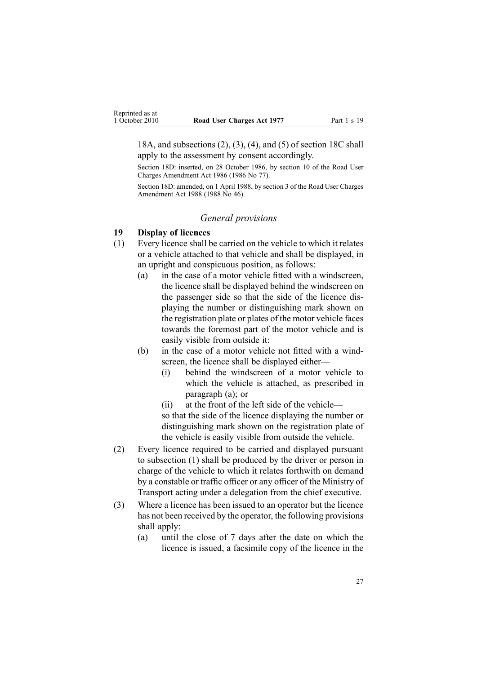<span id="page-26-0"></span>18A, and subsections (2), (3), (4), and (5) of section 18C shall apply to the assessment by consent accordingly.

Section 18D: inserted, on 28 October 1986, by section 10 of the Road User Charges Amendment Act 1986 (1986 No 77).

Section 18D: amended, on 1 April 1988, by section 3 of the Road User Charges Amendment Act 1988 (1988 No 46).

#### *General provisions*

# **19 Display of licences**

- (1) Every licence shall be carried on the vehicle to which it relates or <sup>a</sup> vehicle attached to that vehicle and shall be displayed, in an upright and conspicuous position, as follows:
	- (a) in the case of <sup>a</sup> motor vehicle fitted with <sup>a</sup> windscreen, the licence shall be displayed behind the windscreen on the passenger side so that the side of the licence displaying the number or distinguishing mark shown on the registration plate or plates of the motor vehicle faces towards the foremost par<sup>t</sup> of the motor vehicle and is easily visible from outside it:
	- (b) in the case of <sup>a</sup> motor vehicle not fitted with <sup>a</sup> windscreen, the licence shall be displayed either—
		- (i) behind the windscreen of <sup>a</sup> motor vehicle to which the vehicle is attached, as prescribed in paragraph (a); or
		- (ii) at the front of the left side of the vehicle—

so that the side of the licence displaying the number or distinguishing mark shown on the registration plate of the vehicle is easily visible from outside the vehicle.

- (2) Every licence required to be carried and displayed pursuan<sup>t</sup> to subsection (1) shall be produced by the driver or person in charge of the vehicle to which it relates forthwith on demand by <sup>a</sup> constable or traffic officer or any officer of the Ministry of Transport acting under <sup>a</sup> delegation from the chief executive.
- (3) Where <sup>a</sup> licence has been issued to an operator but the licence has not been received by the operator, the following provisions shall apply:
	- (a) until the close of 7 days after the date on which the licence is issued, <sup>a</sup> facsimile copy of the licence in the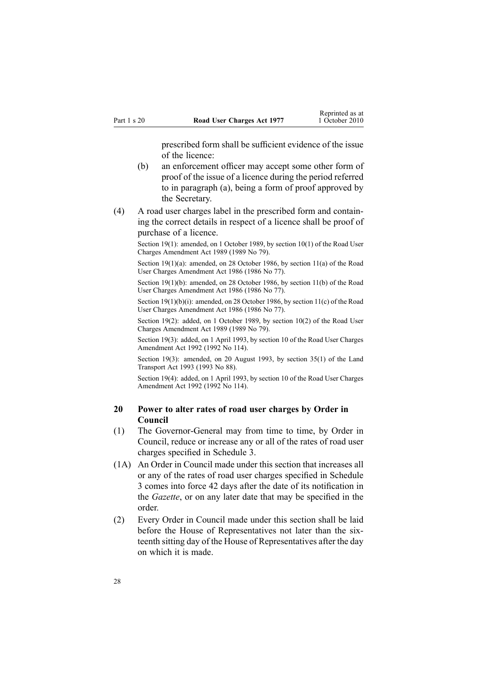prescribed form shall be sufficient evidence of the issue of the licence:

- <span id="page-27-0"></span>(b) an enforcement officer may accep<sup>t</sup> some other form of proof of the issue of <sup>a</sup> licence during the period referred to in paragraph (a), being <sup>a</sup> form of proof approved by the Secretary.
- (4) A road user charges label in the prescribed form and containing the correct details in respec<sup>t</sup> of <sup>a</sup> licence shall be proof of purchase of <sup>a</sup> licence.

Section 19(1): amended, on 1 October 1989, by section 10(1) of the Road User Charges Amendment Act 1989 (1989 No 79).

Section 19(1)(a): amended, on 28 October 1986, by section 11(a) of the Road User Charges Amendment Act 1986 (1986 No 77).

Section 19(1)(b): amended, on 28 October 1986, by section 11(b) of the Road User Charges Amendment Act 1986 (1986 No 77).

Section 19(1)(b)(i): amended, on 28 October 1986, by section 11(c) of the Road User Charges Amendment Act 1986 (1986 No 77).

Section 19(2): added, on 1 October 1989, by section 10(2) of the Road User Charges Amendment Act 1989 (1989 No 79).

Section 19(3): added, on 1 April 1993, by section 10 of the Road User Charges Amendment Act 1992 (1992 No 114).

Section 19(3): amended, on 20 August 1993, by section 35(1) of the Land Transport Act 1993 (1993 No 88).

Section 19(4): added, on 1 April 1993, by section 10 of the Road User Charges Amendment Act 1992 (1992 No 114).

# **20 Power to alter rates of road user charges by Order in Council**

- (1) The Governor-General may from time to time, by Order in Council, reduce or increase any or all of the rates of road user charges specified in [Schedule](#page-50-0) 3.
- (1A) An Order in Council made under this section that increases all or any of the rates of road user charges specified in [Schedule](#page-50-0) [3](#page-50-0) comes into force 42 days after the date of its notification in the *Gazette*, or on any later date that may be specified in the order.
- (2) Every Order in Council made under this section shall be laid before the House of Representatives not later than the sixteenth sitting day of the House of Representatives after the day on which it is made.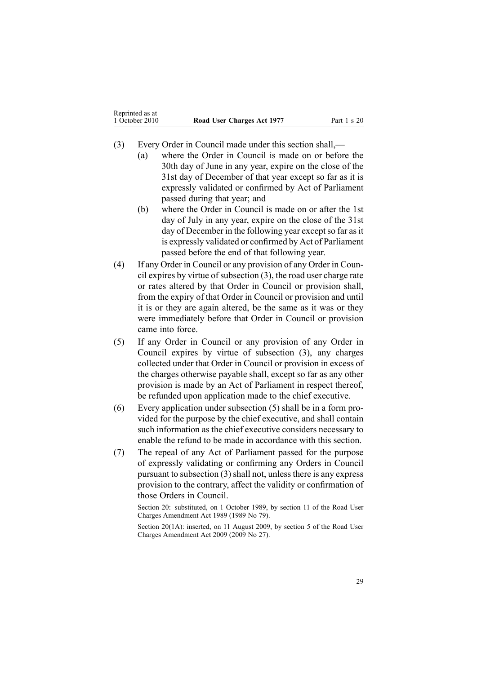- (3) Every Order in Council made under this section shall,—
	- (a) where the Order in Council is made on or before the 30th day of June in any year, expire on the close of the 31st day of December of that year excep<sup>t</sup> so far as it is expressly validated or confirmed by Act of Parliament passed during that year; and
	- (b) where the Order in Council is made on or after the 1st day of July in any year, expire on the close of the 31st day of December in the following year except so far as it is expressly validated or confirmed by Act of Parliament passed before the end of that following year.
- (4) If any Order in Council or any provision of any Order in Council expires by virtue of subsection  $(3)$ , the road user charge rate or rates altered by that Order in Council or provision shall, from the expiry of that Order in Council or provision and until it is or they are again altered, be the same as it was or they were immediately before that Order in Council or provision came into force.
- (5) If any Order in Council or any provision of any Order in Council expires by virtue of subsection (3), any charges collected under that Order in Council or provision in excess of the charges otherwise payable shall, excep<sup>t</sup> so far as any other provision is made by an Act of Parliament in respec<sup>t</sup> thereof, be refunded upon application made to the chief executive.
- (6) Every application under subsection (5) shall be in <sup>a</sup> form provided for the purpose by the chief executive, and shall contain such information as the chief executive considers necessary to enable the refund to be made in accordance with this section.
- (7) The repeal of any Act of Parliament passed for the purpose of expressly validating or confirming any Orders in Council pursuan<sup>t</sup> to subsection (3) shall not, unless there is any express provision to the contrary, affect the validity or confirmation of those Orders in Council.

Section 20: substituted, on 1 October 1989, by section 11 of the Road User Charges Amendment Act 1989 (1989 No 79).

Section 20(1A): inserted, on 11 August 2009, by [section](http://www.legislation.govt.nz/pdflink.aspx?id=DLM2172213) 5 of the Road User Charges Amendment Act 2009 (2009 No 27).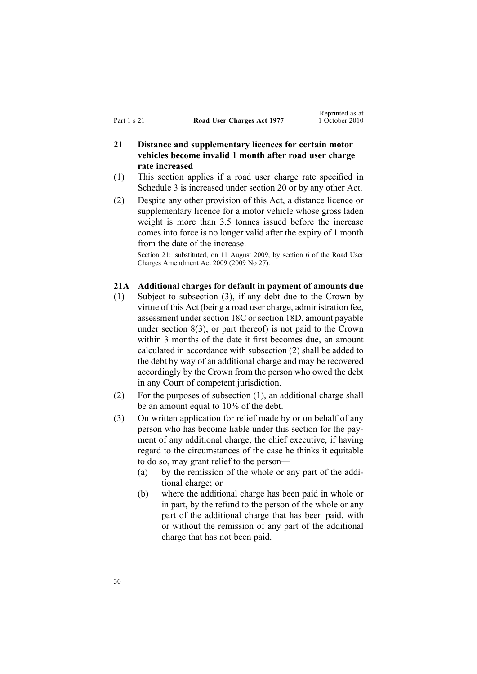# <span id="page-29-0"></span>**21 Distance and supplementary licences for certain motor vehicles become invalid 1 month after road user charge rate increased**

- (1) This section applies if <sup>a</sup> road user charge rate specified in [Schedule](#page-50-0) 3 is increased under [section](#page-27-0) 20 or by any other Act.
- (2) Despite any other provision of this Act, <sup>a</sup> distance licence or supplementary licence for <sup>a</sup> motor vehicle whose gross laden weight is more than 3.5 tonnes issued before the increase comes into force is no longer valid after the expiry of 1 month from the date of the increase.

Section 21: substituted, on 11 August 2009, by [section](http://www.legislation.govt.nz/pdflink.aspx?id=DLM2172214) 6 of the Road User Charges Amendment Act 2009 (2009 No 27).

### **21A Additional charges for default in payment of amounts due**

- (1) Subject to subsection (3), if any debt due to the Crown by virtue of this Act (being <sup>a</sup> road user charge, administration fee, assessment under [section](#page-24-0) 18C or [section](#page-25-0) 18D, amount payable under [section](#page-12-0) 8(3), or par<sup>t</sup> thereof) is not paid to the Crown within 3 months of the date it first becomes due, an amount calculated in accordance with subsection (2) shall be added to the debt by way of an additional charge and may be recovered accordingly by the Crown from the person who owed the debt in any Court of competent jurisdiction.
- (2) For the purposes of subsection (1), an additional charge shall be an amount equal to 10% of the debt.
- (3) On written application for relief made by or on behalf of any person who has become liable under this section for the payment of any additional charge, the chief executive, if having regard to the circumstances of the case he thinks it equitable to do so, may gran<sup>t</sup> relief to the person—
	- (a) by the remission of the whole or any par<sup>t</sup> of the additional charge; or
	- (b) where the additional charge has been paid in whole or in part, by the refund to the person of the whole or any par<sup>t</sup> of the additional charge that has been paid, with or without the remission of any par<sup>t</sup> of the additional charge that has not been paid.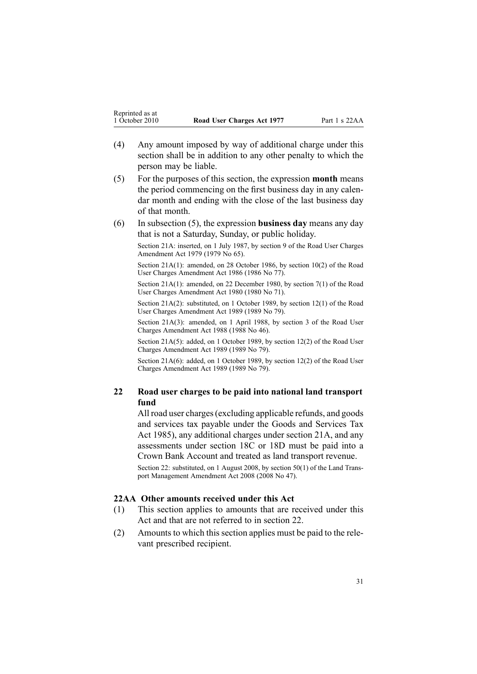- <span id="page-30-0"></span>(4) Any amount imposed by way of additional charge under this section shall be in addition to any other penalty to which the person may be liable.
- (5) For the purposes of this section, the expression **month** means the period commencing on the first business day in any calendar month and ending with the close of the last business day of that month.
- (6) In subsection (5), the expression **business day** means any day that is not <sup>a</sup> Saturday, Sunday, or public holiday.

Section 21A: inserted, on 1 July 1987, by [section](http://www.legislation.govt.nz/pdflink.aspx?id=DLM34699) 9 of the Road User Charges Amendment Act 1979 (1979 No 65).

Section 21A(1): amended, on 28 October 1986, by section 10(2) of the Road User Charges Amendment Act 1986 (1986 No 77).

Section 21A(1): amended, on 22 December 1980, by [section](http://www.legislation.govt.nz/pdflink.aspx?id=DLM38571) 7(1) of the Road User Charges Amendment Act 1980 (1980 No 71).

Section 21A(2): substituted, on 1 October 1989, by section 12(1) of the Road User Charges Amendment Act 1989 (1989 No 79).

Section 21A(3): amended, on 1 April 1988, by section 3 of the Road User Charges Amendment Act 1988 (1988 No 46).

Section 21A(5): added, on 1 October 1989, by section 12(2) of the Road User Charges Amendment Act 1989 (1989 No 79).

Section 21A(6): added, on 1 October 1989, by section 12(2) of the Road User Charges Amendment Act 1989 (1989 No 79).

# **22 Road user charges to be paid into national land transport fund**

All road user charges(excluding applicable refunds, and goods and services tax payable under the Goods and [Services](http://www.legislation.govt.nz/pdflink.aspx?id=DLM81034) Tax Act [1985](http://www.legislation.govt.nz/pdflink.aspx?id=DLM81034)), any additional charges under [section](#page-29-0) 21A, and any assessments under [section](#page-24-0) 18C or [18D](#page-25-0) must be paid into <sup>a</sup> Crown Bank Account and treated as land transport revenue.

Section 22: substituted, on 1 August 2008, by [section](http://www.legislation.govt.nz/pdflink.aspx?id=DLM1313622) 50(1) of the Land Transpor<sup>t</sup> Management Amendment Act 2008 (2008 No 47).

#### **22AA Other amounts received under this Act**

- (1) This section applies to amounts that are received under this Act and that are not referred to in section 22.
- (2) Amounts to which this section applies must be paid to the relevant prescribed recipient.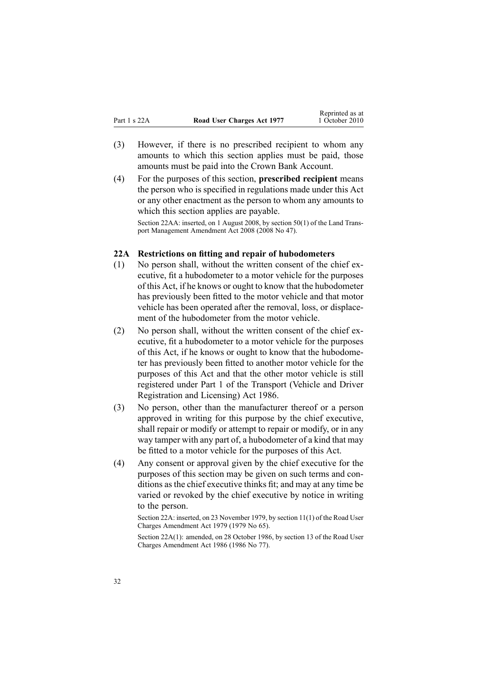- <span id="page-31-0"></span>(3) However, if there is no prescribed recipient to whom any amounts to which this section applies must be paid, those amounts must be paid into the Crown Bank Account.
- (4) For the purposes of this section, **prescribed recipient** means the person who is specified in regulations made under this Act or any other enactment as the person to whom any amounts to which this section applies are payable.

Section 22AA: inserted, on 1 August 2008, by [section](http://www.legislation.govt.nz/pdflink.aspx?id=DLM1313622) 50(1) of the Land Transpor<sup>t</sup> Management Amendment Act 2008 (2008 No 47).

#### **22A Restrictions on fitting and repair of hubodometers**

- (1) No person shall, without the written consent of the chief executive, fit <sup>a</sup> hubodometer to <sup>a</sup> motor vehicle for the purposes of this Act, if he knows or ought to know that the hubodometer has previously been fitted to the motor vehicle and that motor vehicle has been operated after the removal, loss, or displacement of the hubodometer from the motor vehicle.
- (2) No person shall, without the written consent of the chief executive, fit <sup>a</sup> hubodometer to <sup>a</sup> motor vehicle for the purposes of this Act, if he knows or ought to know that the hubodometer has previously been fitted to another motor vehicle for the purposes of this Act and that the other motor vehicle is still registered under [Part](http://www.legislation.govt.nz/pdflink.aspx?id=DLM91418) 1 of the Transport (Vehicle and Driver Registration and Licensing) Act 1986.
- (3) No person, other than the manufacturer thereof or <sup>a</sup> person approved in writing for this purpose by the chief executive, shall repair or modify or attempt to repair or modify, or in any way tamper with any par<sup>t</sup> of, <sup>a</sup> hubodometer of <sup>a</sup> kind that may be fitted to <sup>a</sup> motor vehicle for the purposes of this Act.
- (4) Any consent or approval given by the chief executive for the purposes of this section may be given on such terms and conditions as the chief executive thinks fit; and may at any time be varied or revoked by the chief executive by notice in writing to the person.

Section 22A: inserted, on 23 November 1979, by [section](http://www.legislation.govt.nz/pdflink.aspx?id=DLM35001) 11(1) of the Road User Charges Amendment Act 1979 (1979 No 65).

Section 22A(1): amended, on 28 October 1986, by section 13 of the Road User Charges Amendment Act 1986 (1986 No 77).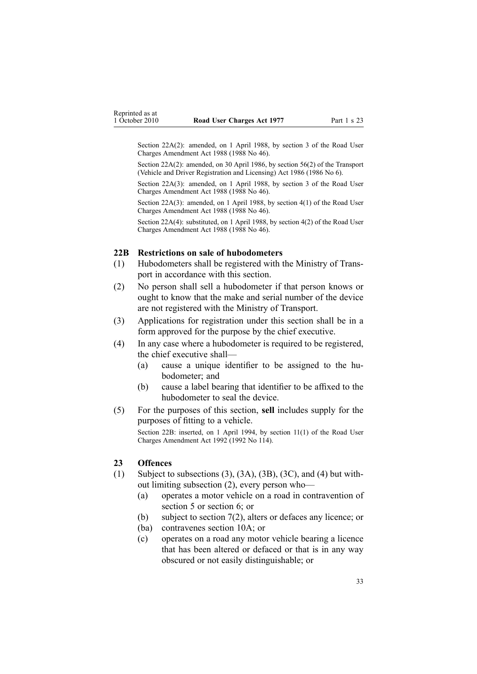<span id="page-32-0"></span>Section 22A(2): amended, on 1 April 1988, by section 3 of the Road User Charges Amendment Act 1988 (1988 No 46).

Section 22A(2): amended, on 30 April 1986, by [section](http://www.legislation.govt.nz/pdflink.aspx?id=DLM92149) 56(2) of the Transport (Vehicle and Driver Registration and Licensing) Act 1986 (1986 No 6).

Section 22A(3): amended, on 1 April 1988, by section 3 of the Road User Charges Amendment Act 1988 (1988 No 46).

Section 22A(3): amended, on 1 April 1988, by section 4(1) of the Road User Charges Amendment Act 1988 (1988 No 46).

Section 22A(4): substituted, on 1 April 1988, by section 4(2) of the Road User Charges Amendment Act 1988 (1988 No 46).

### **22B Restrictions on sale of hubodometers**

- (1) Hubodometers shall be registered with the Ministry of Transpor<sup>t</sup> in accordance with this section.
- (2) No person shall sell <sup>a</sup> hubodometer if that person knows or ought to know that the make and serial number of the device are not registered with the Ministry of Transport.
- (3) Applications for registration under this section shall be in <sup>a</sup> form approved for the purpose by the chief executive.
- (4) In any case where <sup>a</sup> hubodometer is required to be registered, the chief executive shall—
	- (a) cause <sup>a</sup> unique identifier to be assigned to the hubodometer; and
	- (b) cause <sup>a</sup> label bearing that identifier to be affixed to the hubodometer to seal the device.
- (5) For the purposes of this section, **sell** includes supply for the purposes of fitting to <sup>a</sup> vehicle.

Section 22B: inserted, on 1 April 1994, by section 11(1) of the Road User Charges Amendment Act 1992 (1992 No 114).

### **23 Offences**

- (1) Subject to subsections (3), (3A), (3B), (3C), and (4) but without limiting subsection (2), every person who—
	- (a) operates <sup>a</sup> motor vehicle on <sup>a</sup> road in contravention of [section](#page-9-0) 5 or [section](#page-10-0) 6; or
	- (b) subject to [section](#page-11-0) 7(2), alters or defaces any licence; or
	- (ba) contravenes [section](#page-14-0) 10A; or
	- (c) operates on <sup>a</sup> road any motor vehicle bearing <sup>a</sup> licence that has been altered or defaced or that is in any way obscured or not easily distinguishable; or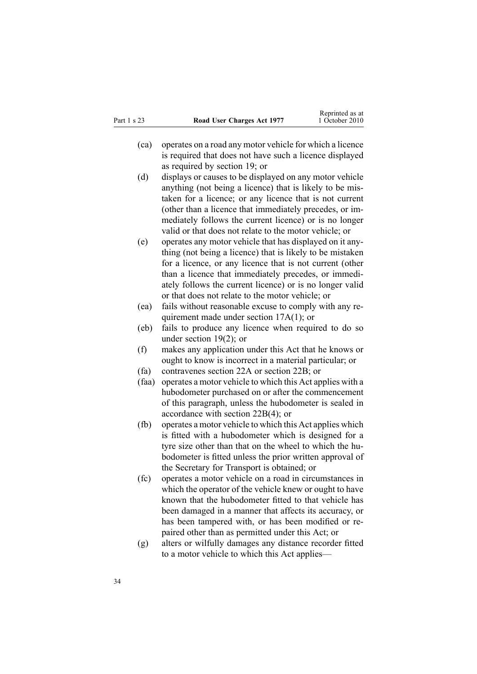- (ca) operates on <sup>a</sup> road any motor vehicle for which <sup>a</sup> licence is required that does not have such <sup>a</sup> licence displayed as required by [section](#page-26-0) 19; or
- (d) displays or causes to be displayed on any motor vehicle anything (not being <sup>a</sup> licence) that is likely to be mistaken for <sup>a</sup> licence; or any licence that is not current (other than <sup>a</sup> licence that immediately precedes, or immediately follows the current licence) or is no longer valid or that does not relate to the motor vehicle; or
- (e) operates any motor vehicle that has displayed on it anything (not being <sup>a</sup> licence) that is likely to be mistaken for <sup>a</sup> licence, or any licence that is not current (other than <sup>a</sup> licence that immediately precedes, or immediately follows the current licence) or is no longer valid or that does not relate to the motor vehicle; or
- (ea) fails without reasonable excuse to comply with any requirement made under section [17A\(1\)](#page-19-0); or
- (eb) fails to produce any licence when required to do so under [section](#page-26-0) 19(2); or
- (f) makes any application under this Act that he knows or ought to know is incorrect in <sup>a</sup> material particular; or
- (fa) contravenes [section](#page-31-0) 22A or [section](#page-32-0) 22B; or
- (faa) operates <sup>a</sup> motor vehicle to which this Act applies with <sup>a</sup> hubodometer purchased on or after the commencement of this paragraph, unless the hubodometer is sealed in accordance with section [22B\(4\)](#page-32-0); or
- (fb) operates <sup>a</sup> motor vehicle to which this Act applies which is fitted with <sup>a</sup> hubodometer which is designed for <sup>a</sup> tyre size other than that on the wheel to which the hubodometer is fitted unless the prior written approval of the Secretary for Transport is obtained; or
- (fc) operates <sup>a</sup> motor vehicle on <sup>a</sup> road in circumstances in which the operator of the vehicle knew or ought to have known that the hubodometer fitted to that vehicle has been damaged in <sup>a</sup> manner that affects its accuracy, or has been tampered with, or has been modified or repaired other than as permitted under this Act; or
- (g) alters or wilfully damages any distance recorder fitted to <sup>a</sup> motor vehicle to which this Act applies—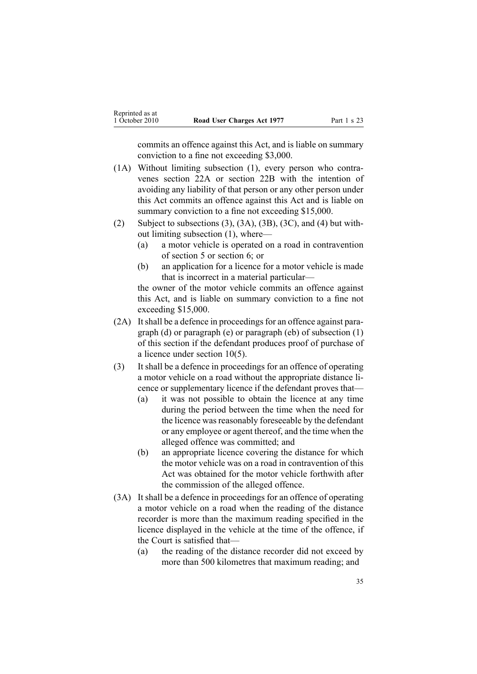commits an offence against this Act, and is liable on summary conviction to <sup>a</sup> fine not exceeding \$3,000.

- (1A) Without limiting subsection (1), every person who contravenes [section](#page-31-0) 22A or [section](#page-32-0) 22B with the intention of avoiding any liability of that person or any other person under this Act commits an offence against this Act and is liable on summary conviction to a fine not exceeding \$15,000.
- (2) Subject to subsections  $(3)$ ,  $(3A)$ ,  $(3B)$ ,  $(3C)$ , and  $(4)$  but without limiting subsection (1), where—
	- (a) <sup>a</sup> motor vehicle is operated on <sup>a</sup> road in contravention of [section](#page-9-0) 5 or [section](#page-10-0) 6; or
	- (b) an application for <sup>a</sup> licence for <sup>a</sup> motor vehicle is made that is incorrect in <sup>a</sup> material particular—

the owner of the motor vehicle commits an offence against this Act, and is liable on summary conviction to <sup>a</sup> fine not exceeding \$15,000.

- (2A) It shall be a defence in proceedings for an offence against paragraph (d) or paragraph (e) or paragraph (eb) of subsection (1) of this section if the defendant produces proof of purchase of <sup>a</sup> licence under [section](#page-13-0) 10(5).
- (3) It shall be <sup>a</sup> defence in proceedings for an offence of operating <sup>a</sup> motor vehicle on <sup>a</sup> road without the appropriate distance licence or supplementary licence if the defendant proves that—
	- (a) it was not possible to obtain the licence at any time during the period between the time when the need for the licence was reasonably foreseeable by the defendant or any employee or agen<sup>t</sup> thereof, and the time when the alleged offence was committed; and
	- (b) an appropriate licence covering the distance for which the motor vehicle was on <sup>a</sup> road in contravention of this Act was obtained for the motor vehicle forthwith after the commission of the alleged offence.
- (3A) It shall be <sup>a</sup> defence in proceedings for an offence of operating <sup>a</sup> motor vehicle on <sup>a</sup> road when the reading of the distance recorder is more than the maximum reading specified in the licence displayed in the vehicle at the time of the offence, if the Court is satisfied that—
	- (a) the reading of the distance recorder did not exceed by more than 500 kilometres that maximum reading; and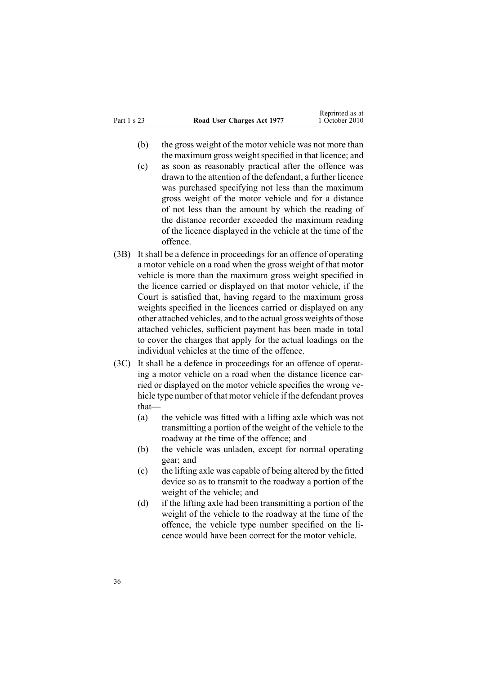- (b) the gross weight of the motor vehicle was not more than the maximum gross weight specified in that licence; and
- (c) as soon as reasonably practical after the offence was drawn to the attention of the defendant, <sup>a</sup> further licence was purchased specifying not less than the maximum gross weight of the motor vehicle and for <sup>a</sup> distance of not less than the amount by which the reading of the distance recorder exceeded the maximum reading of the licence displayed in the vehicle at the time of the offence.
- (3B) It shall be <sup>a</sup> defence in proceedings for an offence of operating <sup>a</sup> motor vehicle on <sup>a</sup> road when the gross weight of that motor vehicle is more than the maximum gross weight specified in the licence carried or displayed on that motor vehicle, if the Court is satisfied that, having regard to the maximum gross weights specified in the licences carried or displayed on any other attached vehicles, and to the actual gross weights of those attached vehicles, sufficient paymen<sup>t</sup> has been made in total to cover the charges that apply for the actual loadings on the individual vehicles at the time of the offence.
- (3C) It shall be <sup>a</sup> defence in proceedings for an offence of operating <sup>a</sup> motor vehicle on <sup>a</sup> road when the distance licence carried or displayed on the motor vehicle specifies the wrong vehicle type number of that motor vehicle if the defendant proves that—
	- (a) the vehicle was fitted with <sup>a</sup> lifting axle which was not transmitting <sup>a</sup> portion of the weight of the vehicle to the roadway at the time of the offence; and
	- (b) the vehicle was unladen, excep<sup>t</sup> for normal operating gear; and
	- (c) the lifting axle was capable of being altered by the fitted device so as to transmit to the roadway <sup>a</sup> portion of the weight of the vehicle; and
	- (d) if the lifting axle had been transmitting <sup>a</sup> portion of the weight of the vehicle to the roadway at the time of the offence, the vehicle type number specified on the licence would have been correct for the motor vehicle.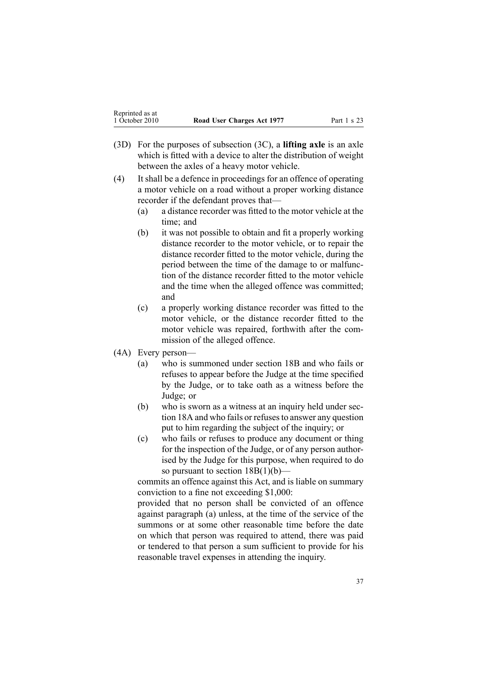- (3D) For the purposes of subsection (3C), <sup>a</sup> **lifting axle** is an axle which is fitted with <sup>a</sup> device to alter the distribution of weight between the axles of <sup>a</sup> heavy motor vehicle.
- (4) It shall be <sup>a</sup> defence in proceedings for an offence of operating <sup>a</sup> motor vehicle on <sup>a</sup> road without <sup>a</sup> proper working distance recorder if the defendant proves that—
	- (a) <sup>a</sup> distance recorder was fitted to the motor vehicle at the time; and
	- (b) it was not possible to obtain and fit <sup>a</sup> properly working distance recorder to the motor vehicle, or to repair the distance recorder fitted to the motor vehicle, during the period between the time of the damage to or malfunction of the distance recorder fitted to the motor vehicle and the time when the alleged offence was committed; and
	- (c) <sup>a</sup> properly working distance recorder was fitted to the motor vehicle, or the distance recorder fitted to the motor vehicle was repaired, forthwith after the commission of the alleged offence.
- (4A) Every person—
	- (a) who is summoned under [section](#page-22-0) 18B and who fails or refuses to appear before the Judge at the time specified by the Judge, or to take oath as <sup>a</sup> witness before the Judge; or
	- (b) who is sworn as <sup>a</sup> witness at an inquiry held under [sec](#page-21-0)-tion [18A](#page-21-0) and who fails or refuses to answer any question pu<sup>t</sup> to him regarding the subject of the inquiry; or
	- (c) who fails or refuses to produce any document or thing for the inspection of the Judge, or of any person authorised by the Judge for this purpose, when required to do so pursuant to section  $18B(1)(b)$ —

commits an offence against this Act, and is liable on summary conviction to <sup>a</sup> fine not exceeding \$1,000:

provided that no person shall be convicted of an offence against paragraph (a) unless, at the time of the service of the summons or at some other reasonable time before the date on which that person was required to attend, there was paid or tendered to that person <sup>a</sup> sum sufficient to provide for his reasonable travel expenses in attending the inquiry.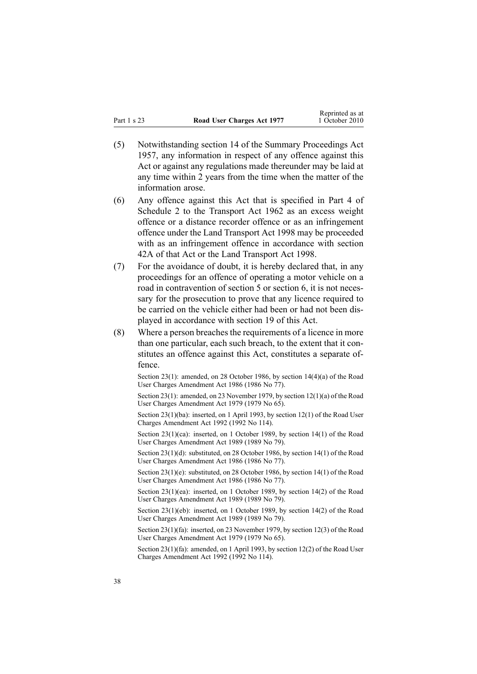- (5) Notwithstanding [section](http://www.legislation.govt.nz/pdflink.aspx?id=DLM311191) 14 of the Summary Proceedings Act 1957, any information in respec<sup>t</sup> of any offence against this Act or against any regulations made thereunder may be laid at any time within 2 years from the time when the matter of the information arose.
- (6) Any offence against this Act that is specified in [Part](http://www.legislation.govt.nz/pdflink.aspx?id=DLM345130) 4 of Schedule 2 to the Transport Act 1962 as an excess weight offence or <sup>a</sup> distance recorder offence or as an infringement offence under the Land [Transport](http://www.legislation.govt.nz/pdflink.aspx?id=DLM433612) Act 1998 may be proceeded with as an infringement offence in accordance with [section](http://www.legislation.govt.nz/pdflink.aspx?id=DLM342910) [42A](http://www.legislation.govt.nz/pdflink.aspx?id=DLM342910) of that Act or the Land Transport Act 1998.
- (7) For the avoidance of doubt, it is hereby declared that, in any proceedings for an offence of operating <sup>a</sup> motor vehicle on <sup>a</sup> road in contravention of [section](#page-9-0) 5 or [section](#page-10-0) 6, it is not necessary for the prosecution to prove that any licence required to be carried on the vehicle either had been or had not been displayed in accordance with [section](#page-26-0) 19 of this Act.
- $(8)$  Where a person breaches the requirements of a licence in more than one particular, each such breach, to the extent that it constitutes an offence against this Act, constitutes <sup>a</sup> separate offence.

Section 23(1): amended, on 28 October 1986, by section 14(4)(a) of the Road User Charges Amendment Act 1986 (1986 No 77).

Section 23(1): amended, on 23 November 1979, by section [12\(1\)\(a\)](http://www.legislation.govt.nz/pdflink.aspx?id=DLM35002) of the Road User Charges Amendment Act 1979 (1979 No 65).

Section 23(1)(ba): inserted, on 1 April 1993, by section 12(1) of the Road User Charges Amendment Act 1992 (1992 No 114).

Section 23(1)(ca): inserted, on 1 October 1989, by section 14(1) of the Road User Charges Amendment Act 1989 (1989 No 79).

Section 23(1)(d): substituted, on 28 October 1986, by section 14(1) of the Road User Charges Amendment Act 1986 (1986 No 77).

Section 23(1)(e): substituted, on 28 October 1986, by section 14(1) of the Road User Charges Amendment Act 1986 (1986 No 77).

Section 23(1)(ea): inserted, on 1 October 1989, by section 14(2) of the Road User Charges Amendment Act 1989 (1989 No 79).

Section 23(1)(eb): inserted, on 1 October 1989, by section 14(2) of the Road User Charges Amendment Act 1989 (1989 No 79).

Section 23(1)(fa): inserted, on 23 November 1979, by [section](http://www.legislation.govt.nz/pdflink.aspx?id=DLM35002) 12(3) of the Road User Charges Amendment Act 1979 (1979 No 65).

Section 23(1)(fa): amended, on 1 April 1993, by section 12(2) of the Road User Charges Amendment Act 1992 (1992 No 114).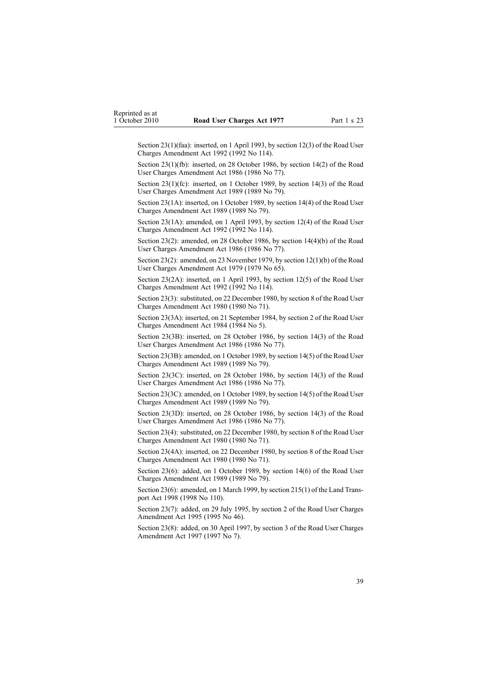Section 23(1)(faa): inserted, on 1 April 1993, by section 12(3) of the Road User Charges Amendment Act 1992 (1992 No 114).

Section 23(1)(fb): inserted, on 28 October 1986, by section 14(2) of the Road User Charges Amendment Act 1986 (1986 No 77).

Section 23(1)(fc): inserted, on 1 October 1989, by section 14(3) of the Road User Charges Amendment Act 1989 (1989 No 79).

Section 23(1A): inserted, on 1 October 1989, by section 14(4) of the Road User Charges Amendment Act 1989 (1989 No 79).

Section 23(1A): amended, on 1 April 1993, by section 12(4) of the Road User Charges Amendment Act 1992 (1992 No 114).

Section 23(2): amended, on 28 October 1986, by section 14(4)(b) of the Road User Charges Amendment Act 1986 (1986 No 77).

Section 23(2): amended, on 23 November 1979, by section [12\(1\)\(b\)](http://www.legislation.govt.nz/pdflink.aspx?id=DLM35002) of the Road User Charges Amendment Act 1979 (1979 No 65).

Section 23(2A): inserted, on 1 April 1993, by section 12(5) of the Road User Charges Amendment Act 1992 (1992 No 114).

Section 23(3): substituted, on 22 December 1980, by [section](http://www.legislation.govt.nz/pdflink.aspx?id=DLM38572) 8 of the Road User Charges Amendment Act 1980 (1980 No 71).

Section 23(3A): inserted, on 21 September 1984, by [section](http://www.legislation.govt.nz/pdflink.aspx?id=DLM75157) 2 of the Road User Charges Amendment Act 1984 (1984 No 5).

Section 23(3B): inserted, on 28 October 1986, by section 14(3) of the Road User Charges Amendment Act 1986 (1986 No 77).

Section 23(3B): amended, on 1 October 1989, by section 14(5) of the Road User Charges Amendment Act 1989 (1989 No 79).

Section 23(3C): inserted, on 28 October 1986, by section 14(3) of the Road User Charges Amendment Act 1986 (1986 No 77).

Section 23(3C): amended, on 1 October 1989, by section 14(5) of the Road User Charges Amendment Act 1989 (1989 No 79).

Section 23(3D): inserted, on 28 October 1986, by section 14(3) of the Road User Charges Amendment Act 1986 (1986 No 77).

Section 23(4): substituted, on 22 December 1980, by [section](http://www.legislation.govt.nz/pdflink.aspx?id=DLM38572) 8 of the Road User Charges Amendment Act 1980 (1980 No 71).

Section 23(4A): inserted, on 22 December 1980, by [section](http://www.legislation.govt.nz/pdflink.aspx?id=DLM38572) 8 of the Road User Charges Amendment Act 1980 (1980 No 71).

Section 23(6): added, on 1 October 1989, by section 14(6) of the Road User Charges Amendment Act 1989 (1989 No 79).

Section 23(6): amended, on 1 March 1999, by section [215\(1\)](http://www.legislation.govt.nz/pdflink.aspx?id=DLM435656) of the Land Transpor<sup>t</sup> Act 1998 (1998 No 110).

Section 23(7): added, on 29 July 1995, by section 2 of the Road User Charges Amendment Act 1995 (1995 No 46).

Section 23(8): added, on 30 April 1997, by [section](http://www.legislation.govt.nz/pdflink.aspx?id=DLM407965) 3 of the Road User Charges Amendment Act 1997 (1997 No 7).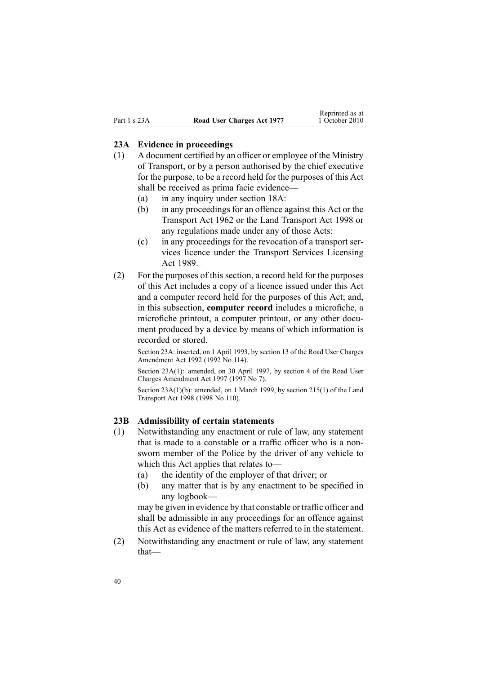#### <span id="page-39-0"></span>**23A Evidence in proceedings**

- (1) A document certified by an officer or employee of the Ministry of Transport, or by <sup>a</sup> person authorised by the chief executive for the purpose, to be <sup>a</sup> record held for the purposes of this Act shall be received as prima facie evidence—
	- (a) in any inquiry under [section](#page-21-0) 18A:
	- (b) in any proceedings for an offence against this Act or the [Transport](http://www.legislation.govt.nz/pdflink.aspx?id=DLM341189) Act 1962 or the Land [Transport](http://www.legislation.govt.nz/pdflink.aspx?id=DLM433612) Act 1998 or any regulations made under any of those Acts:
	- (c) in any proceedings for the revocation of <sup>a</sup> transport services licence under the Transport Services [Licensing](http://www.legislation.govt.nz/pdflink.aspx?id=DLM170942) Act [1989](http://www.legislation.govt.nz/pdflink.aspx?id=DLM170942).
- (2) For the purposes of this section, <sup>a</sup> record held for the purposes of this Act includes <sup>a</sup> copy of <sup>a</sup> licence issued under this Act and <sup>a</sup> computer record held for the purposes of this Act; and, in this subsection, **computer record** includes <sup>a</sup> microfiche, <sup>a</sup> microfiche printout, <sup>a</sup> computer printout, or any other document produced by <sup>a</sup> device by means of which information is recorded or stored.

Section 23A: inserted, on 1 April 1993, by section 13 of the Road User Charges Amendment Act 1992 (1992 No 114).

Section 23A(1): amended, on 30 April 1997, by [section](http://www.legislation.govt.nz/pdflink.aspx?id=DLM407966) 4 of the Road User Charges Amendment Act 1997 (1997 No 7).

Section 23A(1)(b): amended, on 1 March 1999, by section [215\(1\)](http://www.legislation.govt.nz/pdflink.aspx?id=DLM435656) of the Land Transport Act 1998 (1998 No 110).

### **23B Admissibility of certain statements**

- (1) Notwithstanding any enactment or rule of law, any statement that is made to <sup>a</sup> constable or <sup>a</sup> traffic officer who is <sup>a</sup> nonsworn member of the Police by the driver of any vehicle to which this Act applies that relates to—
	- (a) the identity of the employer of that driver; or
	- (b) any matter that is by any enactment to be specified in any logbook—

may be given in evidence by that constable or traffic officer and shall be admissible in any proceedings for an offence against this Act as evidence of the matters referred to in the statement.

(2) Notwithstanding any enactment or rule of law, any statement that—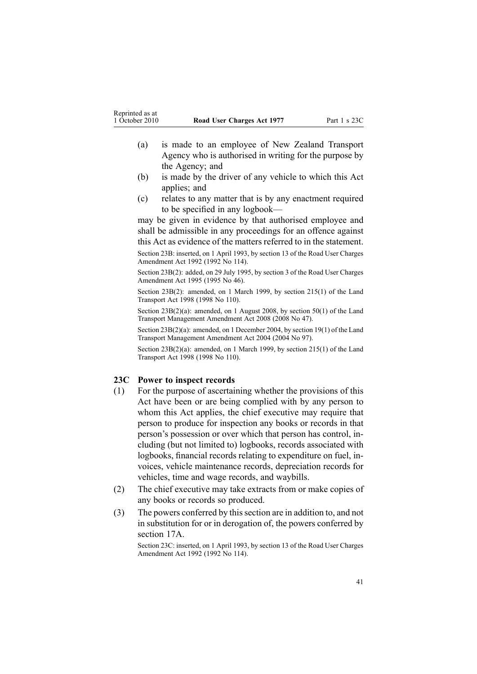- <span id="page-40-0"></span>(a) is made to an employee of New Zealand Transport Agency who is authorised in writing for the purpose by the Agency; and
- (b) is made by the driver of any vehicle to which this Act applies; and
- (c) relates to any matter that is by any enactment required to be specified in any logbook—

may be given in evidence by that authorised employee and shall be admissible in any proceedings for an offence against this Act as evidence of the matters referred to in the statement.

Section 23B: inserted, on 1 April 1993, by section 13 of the Road User Charges Amendment Act 1992 (1992 No 114).

Section 23B(2): added, on 29 July 1995, by section 3 of the Road User Charges Amendment Act 1995 (1995 No 46).

Section 23B(2): amended, on 1 March 1999, by section [215\(1\)](http://www.legislation.govt.nz/pdflink.aspx?id=DLM435656) of the Land Transport Act 1998 (1998 No 110).

Section 23B(2)(a): amended, on 1 August 2008, by [section](http://www.legislation.govt.nz/pdflink.aspx?id=DLM1313622) 50(1) of the Land Transport Management Amendment Act 2008 (2008 No 47).

Section 23B(2)(a): amended, on 1 December 2004, by [section](http://www.legislation.govt.nz/pdflink.aspx?id=DLM321838) 19(1) of the Land Transport Management Amendment Act 2004 (2004 No 97).

Section 23B(2)(a): amended, on 1 March 1999, by section [215\(1\)](http://www.legislation.govt.nz/pdflink.aspx?id=DLM435656) of the Land Transport Act 1998 (1998 No 110).

#### **23C Power to inspect records**

- (1) For the purpose of ascertaining whether the provisions of this Act have been or are being complied with by any person to whom this Act applies, the chief executive may require that person to produce for inspection any books or records in that person's possession or over which that person has control, including (but not limited to) logbooks, records associated with logbooks, financial records relating to expenditure on fuel, invoices, vehicle maintenance records, depreciation records for vehicles, time and wage records, and waybills.
- (2) The chief executive may take extracts from or make copies of any books or records so produced.
- (3) The powers conferred by thissection are in addition to, and not in substitution for or in derogation of, the powers conferred by [section](#page-19-0) 17A.

Section 23C: inserted, on 1 April 1993, by section 13 of the Road User Charges Amendment Act 1992 (1992 No 114).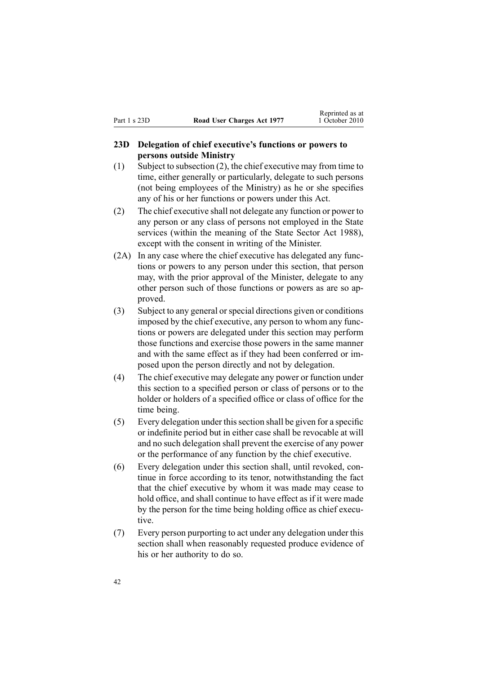# <span id="page-41-0"></span>**23D Delegation of chief executive's functions or powers to persons outside Ministry**

- (1) Subject to subsection (2), the chief executive may from time to time, either generally or particularly, delegate to such persons (not being employees of the Ministry) as he or she specifies any of his or her functions or powers under this Act.
- (2) The chief executive shall not delegate any function or power to any person or any class of persons not employed in the State services (within the meaning of the State [Sector](http://www.legislation.govt.nz/pdflink.aspx?id=DLM129109) Act 1988), excep<sup>t</sup> with the consent in writing of the Minister.
- (2A) In any case where the chief executive has delegated any functions or powers to any person under this section, that person may, with the prior approval of the Minister, delegate to any other person such of those functions or powers as are so approved.
- (3) Subject to any general orspecial directions given or conditions imposed by the chief executive, any person to whom any functions or powers are delegated under this section may perform those functions and exercise those powers in the same manner and with the same effect as if they had been conferred or imposed upon the person directly and not by delegation.
- (4) The chief executive may delegate any power or function under this section to <sup>a</sup> specified person or class of persons or to the holder or holders of <sup>a</sup> specified office or class of office for the time being.
- (5) Every delegation under thissection shall be given for <sup>a</sup> specific or indefinite period but in either case shall be revocable at will and no such delegation shall preven<sup>t</sup> the exercise of any power or the performance of any function by the chief executive.
- (6) Every delegation under this section shall, until revoked, continue in force according to its tenor, notwithstanding the fact that the chief executive by whom it was made may cease to hold office, and shall continue to have effect as if it were made by the person for the time being holding office as chief executive.
- (7) Every person purporting to act under any delegation under this section shall when reasonably requested produce evidence of his or her authority to do so.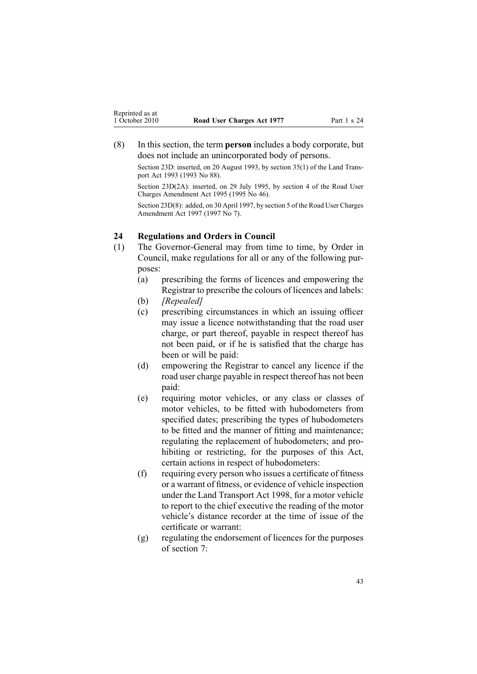<span id="page-42-0"></span>(8) In this section, the term **person** includes <sup>a</sup> body corporate, but does not include an unincorporated body of persons.

Section 23D: inserted, on 20 August 1993, by section 35(1) of the Land Transpor<sup>t</sup> Act 1993 (1993 No 88).

Section 23D(2A): inserted, on 29 July 1995, by section 4 of the Road User Charges Amendment Act 1995 (1995 No 46).

Section 23D(8): added, on 30 April 1997, by [section](http://www.legislation.govt.nz/pdflink.aspx?id=DLM407967) 5 of the Road User Charges Amendment Act 1997 (1997 No 7).

# **24 Regulations and Orders in Council**

- (1) The Governor-General may from time to time, by Order in Council, make regulations for all or any of the following purposes:
	- (a) prescribing the forms of licences and empowering the Registrar to prescribe the colours of licences and labels:
	- (b) *[Repealed]*
	- (c) prescribing circumstances in which an issuing officer may issue <sup>a</sup> licence notwithstanding that the road user charge, or par<sup>t</sup> thereof, payable in respec<sup>t</sup> thereof has not been paid, or if he is satisfied that the charge has been or will be paid:
	- (d) empowering the Registrar to cancel any licence if the road user charge payable in respec<sup>t</sup> thereof has not been paid:
	- (e) requiring motor vehicles, or any class or classes of motor vehicles, to be fitted with hubodometers from specified dates; prescribing the types of hubodometers to be fitted and the manner of fitting and maintenance; regulating the replacement of hubodometers; and prohibiting or restricting, for the purposes of this Act, certain actions in respec<sup>t</sup> of hubodometers:
	- (f) requiring every person who issues <sup>a</sup> certificate of fitness or <sup>a</sup> warrant of fitness, or evidence of vehicle inspection under the Land [Transport](http://www.legislation.govt.nz/pdflink.aspx?id=DLM433612) Act 1998, for <sup>a</sup> motor vehicle to repor<sup>t</sup> to the chief executive the reading of the motor vehicle's distance recorder at the time of issue of the certificate or warrant:
	- (g) regulating the endorsement of licences for the purposes of [section](#page-11-0) 7: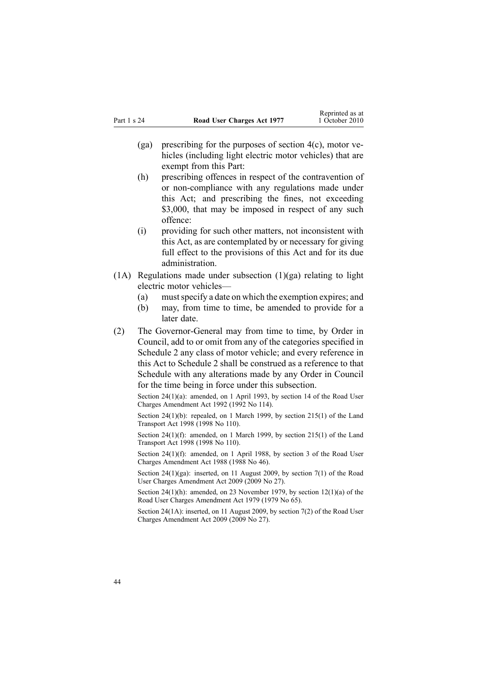- (ga) prescribing for the purposes of [section](#page-9-0)  $4(c)$ , motor vehicles (including light electric motor vehicles) that are exemp<sup>t</sup> from this Part:
- (h) prescribing offences in respec<sup>t</sup> of the contravention of or non-compliance with any regulations made under this Act; and prescribing the fines, not exceeding \$3,000, that may be imposed in respect of any such offence:
- (i) providing for such other matters, not inconsistent with this Act, as are contemplated by or necessary for giving full effect to the provisions of this Act and for its due administration.
- $(1)$  Regulations made under subsection  $(1)(ga)$  relating to light electric motor vehicles—
	- (a) mustspecify <sup>a</sup> date on which the exemption expires; and
	- (b) may, from time to time, be amended to provide for <sup>a</sup> later date.
- (2) The Governor-General may from time to time, by Order in Council, add to or omit from any of the categories specified in [Schedule](#page-49-0) 2 any class of motor vehicle; and every reference in this Act to Schedule 2 shall be construed as <sup>a</sup> reference to that Schedule with any alterations made by any Order in Council for the time being in force under this subsection.

Section 24(1)(a): amended, on 1 April 1993, by section 14 of the Road User Charges Amendment Act 1992 (1992 No 114).

Section 24(1)(b): repealed, on 1 March 1999, by section [215\(1\)](http://www.legislation.govt.nz/pdflink.aspx?id=DLM435656) of the Land Transport Act 1998 (1998 No 110).

Section 24(1)(f): amended, on 1 March 1999, by section [215\(1\)](http://www.legislation.govt.nz/pdflink.aspx?id=DLM435656) of the Land Transport Act 1998 (1998 No 110).

Section 24(1)(f): amended, on 1 April 1988, by section 3 of the Road User Charges Amendment Act 1988 (1988 No 46).

Section 24(1)(ga): inserted, on 11 August 2009, by [section](http://www.legislation.govt.nz/pdflink.aspx?id=DLM2172216) 7(1) of the Road User Charges Amendment Act 2009 (2009 No 27).

Section 24(1)(h): amended, on 23 November 1979, by section [12\(1\)\(a\)](http://www.legislation.govt.nz/pdflink.aspx?id=DLM35002) of the Road User Charges Amendment Act 1979 (1979 No 65).

Section 24(1A): inserted, on 11 August 2009, by [section](http://www.legislation.govt.nz/pdflink.aspx?id=DLM2172216) 7(2) of the Road User Charges Amendment Act 2009 (2009 No 27).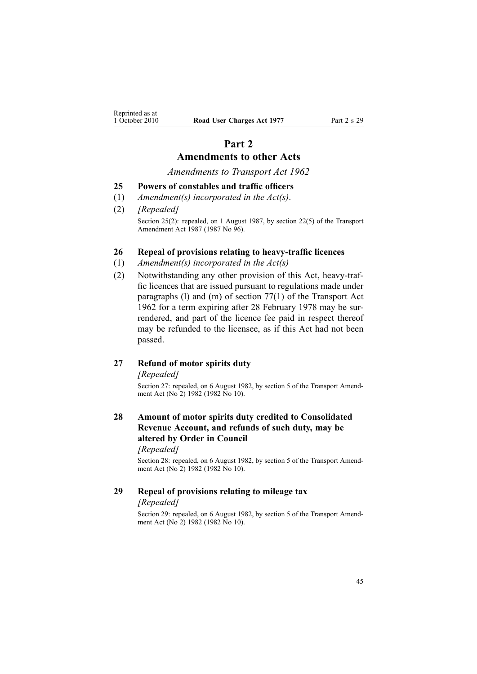# **Part 2 Amendments to other Acts**

*Amendments to Transport Act 1962*

#### <span id="page-44-0"></span>**25 Powers of constables and traffic officers**

- (1) *Amendment(s) incorporated in the [Act\(s\)](http://www.legislation.govt.nz/pdflink.aspx?id=DLM343552)*.
- (2) *[Repealed]* Section 25(2): repealed, on 1 August 1987, by section 22(5) of the Transport Amendment Act 1987 (1987 No 96).

#### **26 Repeal of provisions relating to heavy-traffic licences**

- (1) *Amendment(s) incorporated in the [Act\(s\)](http://www.legislation.govt.nz/pdflink.aspx?id=DLM341189)*
- (2) Notwithstanding any other provision of this Act, heavy-traffic licences that are issued pursuan<sup>t</sup> to regulations made under paragraphs (l) and (m) of [section](http://www.legislation.govt.nz/pdflink.aspx?id=DLM343978) 77(1) of the Transport Act 1962 for <sup>a</sup> term expiring after 28 February 1978 may be surrendered, and par<sup>t</sup> of the licence fee paid in respec<sup>t</sup> thereof may be refunded to the licensee, as if this Act had not been passed.

# **27 Refund of motor spirits duty**

*[Repealed]*

Section 27: repealed, on 6 August 1982, by section 5 of the Transport Amendment Act (No<sup>2</sup>) 1982 (1982 No 10).

# **28 Amount of motor spirits duty credited to Consolidated Revenue Account, and refunds of such duty, may be altered by Order in Council**

*[Repealed]*

Section 28: repealed, on 6 August 1982, by section 5 of the Transport Amendment Act (No<sup>2</sup>) 1982 (1982 No 10).

# **29 Repeal of provisions relating to mileage tax** *[Repealed]*

Section 29: repealed, on 6 August 1982, by section 5 of the Transport Amendment Act (No<sup>2</sup>) 1982 (1982 No 10).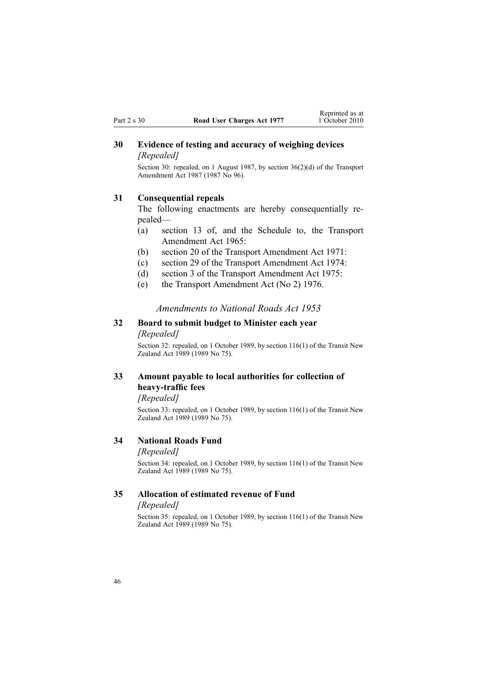# <span id="page-45-0"></span>**30 Evidence of testing and accuracy of weighing devices** *[Repealed]*

Section 30: repealed, on 1 August 1987, by section 36(2)(d) of the Transport Amendment Act 1987 (1987 No 96).

#### **31 Consequential repeals**

The following enactments are hereby consequentially repealed—

- (a) section 13 of, and the Schedule to, the Transport Amendment Act 1965:
- (b) section 20 of the Transport Amendment Act 1971:
- (c) section 29 of the Transport Amendment Act 1974:
- (d) section 3 of the Transport Amendment Act 1975:
- (e) the Transport Amendment Act (No 2) 1976.

#### *Amendments to National Roads Act 1953*

# **32 Board to submit budget to Minister each year** *[Repealed]*

Section 32: repealed, on 1 October 1989, by section [116\(1\)](http://www.legislation.govt.nz/pdflink.aspx?id=DLM175926) of the Transit New Zealand Act 1989 (1989 No 75).

# **33 Amount payable to local authorities for collection of heavy-traffic fees**

*[Repealed]*

Section 33: repealed, on 1 October 1989, by section [116\(1\)](http://www.legislation.govt.nz/pdflink.aspx?id=DLM175926) of the Transit New Zealand Act 1989 (1989 No 75).

#### **34 National Roads Fund**

#### *[Repealed]*

Section 34: repealed, on 1 October 1989, by section [116\(1\)](http://www.legislation.govt.nz/pdflink.aspx?id=DLM175926) of the Transit New Zealand Act 1989 (1989 No 75).

### **35 Allocation of estimated revenue of Fund**

#### *[Repealed]*

Section 35: repealed, on 1 October 1989, by section [116\(1\)](http://www.legislation.govt.nz/pdflink.aspx?id=DLM175926) of the Transit New Zealand Act 1989 (1989 No 75).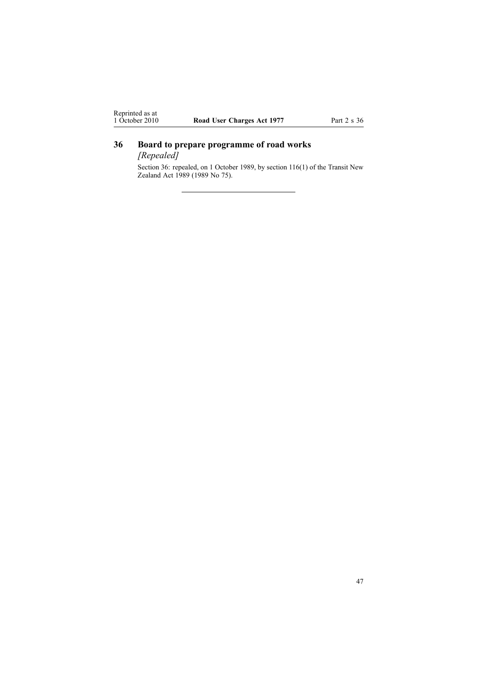# <span id="page-46-0"></span>**36 Board to prepare programme of road works**

*[Repealed]*

Section 36: repealed, on 1 October 1989, by section [116\(1\)](http://www.legislation.govt.nz/pdflink.aspx?id=DLM175926) of the Transit New Zealand Act 1989 (1989 No 75).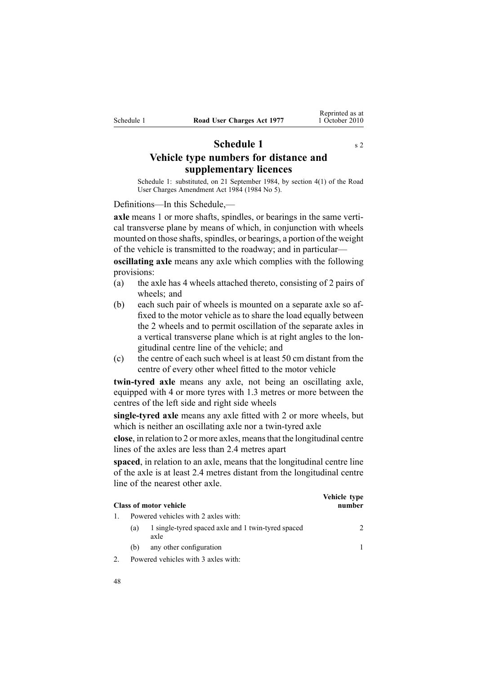# **Schedule 1** s [2](#page-3-0)

<span id="page-47-0"></span>**Vehicle type numbers for distance and supplementary licences**

Schedule 1: substituted, on 21 September 1984, by [section](http://www.legislation.govt.nz/pdflink.aspx?id=DLM75159) 4(1) of the Road User Charges Amendment Act 1984 (1984 No 5).

Definitions—In this Schedule,—

**axle** means 1 or more shafts, spindles, or bearings in the same vertical transverse plane by means of which, in conjunction with wheels mounted on those shafts, spindles, or bearings, a portion of the weight of the vehicle is transmitted to the roadway; and in particular—

**oscillating axle** means any axle which complies with the following provisions:

- (a) the axle has 4 wheels attached thereto, consisting of 2 pairs of wheels; and
- (b) each such pair of wheels is mounted on <sup>a</sup> separate axle so affixed to the motor vehicle as to share the load equally between the 2 wheels and to permit oscillation of the separate axles in <sup>a</sup> vertical transverse plane which is at right angles to the longitudinal centre line of the vehicle; and
- (c) the centre of each such wheel is at least 50 cm distant from the centre of every other wheel fitted to the motor vehicle

**twin-tyred axle** means any axle, not being an oscillating axle, equipped with 4 or more tyres with 1.3 metres or more between the centres of the left side and right side wheels

**single-tyred axle** means any axle fitted with 2 or more wheels, but which is neither an oscillating axle nor <sup>a</sup> twin-tyred axle

**close**, in relation to 2 or more axles, meansthat the longitudinal centre lines of the axles are less than 2.4 metres apar<sup>t</sup>

**spaced**, in relation to an axle, means that the longitudinal centre line of the axle is at least 2.4 metres distant from the longitudinal centre line of the nearest other axle.

| <b>Class of motor vehicle</b>                                     | Vehicle type<br>number      |
|-------------------------------------------------------------------|-----------------------------|
| Powered vehicles with 2 axles with:                               |                             |
| 1 single-tyred spaced axle and 1 twin-tyred spaced<br>(a)<br>axle | $\mathcal{D}_{\mathcal{A}}$ |
| any other configuration<br>(b)                                    |                             |
| Powered vehicles with 3 axles with:                               |                             |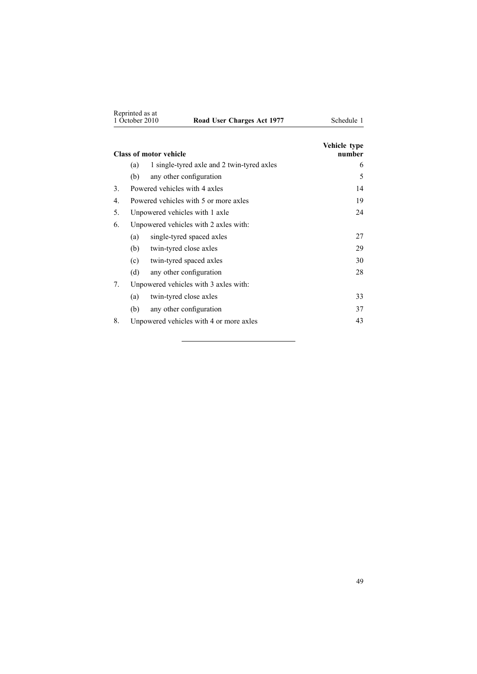| Reprinted as at<br>1 October 2010 |                                       | Road User Charges Act 1977                 | Schedule 1             |
|-----------------------------------|---------------------------------------|--------------------------------------------|------------------------|
|                                   |                                       | <b>Class of motor vehicle</b>              | Vehicle type<br>number |
|                                   | (a)                                   | 1 single-tyred axle and 2 twin-tyred axles | 6                      |
|                                   | (b)                                   | any other configuration                    | 5                      |
| 3.                                |                                       | Powered vehicles with 4 axles              | 14                     |
| $\overline{4}$ .                  |                                       | Powered vehicles with 5 or more axles      | 19                     |
| 5.                                |                                       | Unpowered vehicles with 1 axle             | 24                     |
| 6.                                | Unpowered vehicles with 2 axles with: |                                            |                        |
|                                   | (a)                                   | single-tyred spaced axles                  | 27                     |
|                                   | (b)                                   | twin-tyred close axles                     | 29                     |
|                                   | (c)                                   | twin-tyred spaced axles                    | 30                     |
|                                   | (d)                                   | any other configuration                    | 28                     |
| 7.                                |                                       | Unpowered vehicles with 3 axles with:      |                        |
|                                   | (a)                                   | twin-tyred close axles                     | 33                     |
|                                   | (b)                                   | any other configuration                    | 37                     |
| 8.                                |                                       | Unpowered vehicles with 4 or more axles    | 43                     |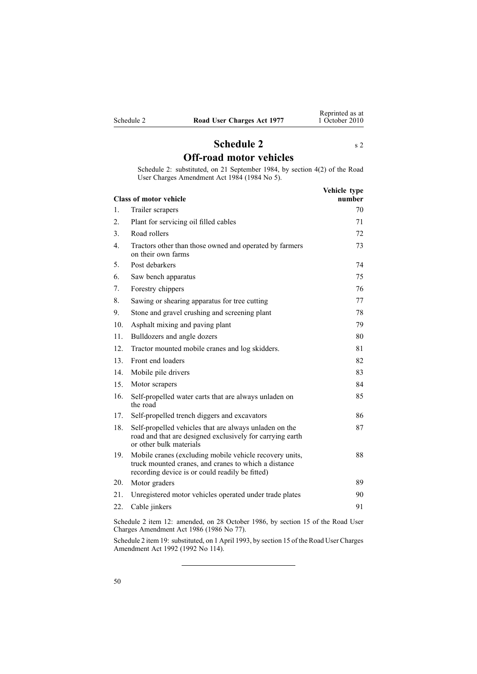<span id="page-49-0"></span>

| Schedule 2 |  |  |  |
|------------|--|--|--|
|            |  |  |  |

# **Schedule [2](#page-3-0)** s 2 **Off-road motor vehicles**

Schedule 2: substituted, on 21 September 1984, by [section](http://www.legislation.govt.nz/pdflink.aspx?id=DLM75159) 4(2) of the Road User Charges Amendment Act 1984 (1984 No 5).

|                  | <b>Class of motor vehicle</b>                                                                                                                                      | Vehicle type<br>number |
|------------------|--------------------------------------------------------------------------------------------------------------------------------------------------------------------|------------------------|
| 1.               | Trailer scrapers                                                                                                                                                   | 70                     |
| 2.               | Plant for servicing oil filled cables                                                                                                                              | 71                     |
| 3.               | Road rollers                                                                                                                                                       | 72                     |
| $\overline{4}$ . | Tractors other than those owned and operated by farmers<br>on their own farms                                                                                      | 73                     |
| 5.               | Post debarkers                                                                                                                                                     | 74                     |
| 6.               | Saw bench apparatus                                                                                                                                                | 75                     |
| 7.               | Forestry chippers                                                                                                                                                  | 76                     |
| 8.               | Sawing or shearing apparatus for tree cutting                                                                                                                      | 77                     |
| 9.               | Stone and gravel crushing and screening plant                                                                                                                      | 78                     |
| 10.              | Asphalt mixing and paving plant                                                                                                                                    | 79                     |
| 11.              | Bulldozers and angle dozers                                                                                                                                        | 80                     |
| 12.              | Tractor mounted mobile cranes and log skidders.                                                                                                                    | 81                     |
| 13.              | Front end loaders                                                                                                                                                  | 82                     |
| 14.              | Mobile pile drivers                                                                                                                                                | 83                     |
| 15               | Motor scrapers                                                                                                                                                     | 84                     |
| 16.              | Self-propelled water carts that are always unladen on<br>the road                                                                                                  | 85                     |
| 17.              | Self-propelled trench diggers and excavators                                                                                                                       | 86                     |
| 18.              | Self-propelled vehicles that are always unladen on the<br>road and that are designed exclusively for carrying earth<br>or other bulk materials                     | 87                     |
| 19.              | Mobile cranes (excluding mobile vehicle recovery units,<br>truck mounted cranes, and cranes to which a distance<br>recording device is or could readily be fitted) | 88                     |
| 20.              | Motor graders                                                                                                                                                      | 89                     |
| 21.              | Unregistered motor vehicles operated under trade plates                                                                                                            | 90                     |
| 22.              | Cable jinkers                                                                                                                                                      | 91                     |
|                  |                                                                                                                                                                    |                        |

Schedule 2 item 12: amended, on 28 October 1986, by section 15 of the Road User Charges Amendment Act 1986 (1986 No 77).

Schedule 2 item 19: substituted, on 1 April 1993, by section 15 of the Road User Charges Amendment Act 1992 (1992 No 114).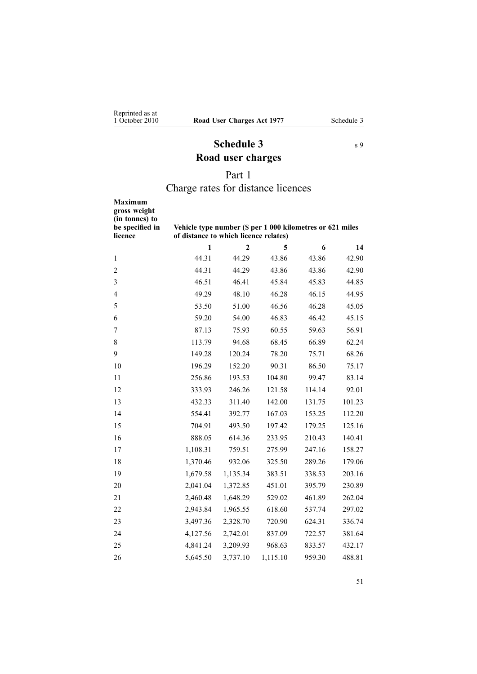# **Schedule 3** s [9](#page-13-0) **Road user charges**

# Part 1

# Charge rates for distance licences

<span id="page-50-0"></span>

| <b>Maximum</b><br>gross weight<br>(in tonnes) to<br>be specified in<br>licence | Vehicle type number (\$ per 1 000 kilometres or 621 miles<br>of distance to which licence relates) |                |          |        |        |
|--------------------------------------------------------------------------------|----------------------------------------------------------------------------------------------------|----------------|----------|--------|--------|
|                                                                                | $\mathbf{1}$                                                                                       | $\overline{2}$ | 5        | 6      | 14     |
| 1                                                                              | 44.31                                                                                              | 44.29          | 43.86    | 43.86  | 42.90  |
| $\overline{c}$                                                                 | 44.31                                                                                              | 44.29          | 43.86    | 43.86  | 42.90  |
| 3                                                                              | 46.51                                                                                              | 46.41          | 45.84    | 45.83  | 44.85  |
| $\overline{4}$                                                                 | 49.29                                                                                              | 48.10          | 46.28    | 46.15  | 44.95  |
| 5                                                                              | 53.50                                                                                              | 51.00          | 46.56    | 46.28  | 45.05  |
| 6                                                                              | 59.20                                                                                              | 54.00          | 46.83    | 46.42  | 45.15  |
| 7                                                                              | 87.13                                                                                              | 75.93          | 60.55    | 59.63  | 56.91  |
| $8\,$                                                                          | 113.79                                                                                             | 94.68          | 68.45    | 66.89  | 62.24  |
| 9                                                                              | 149.28                                                                                             | 120.24         | 78.20    | 75.71  | 68.26  |
| 10                                                                             | 196.29                                                                                             | 152.20         | 90.31    | 86.50  | 75.17  |
| 11                                                                             | 256.86                                                                                             | 193.53         | 104.80   | 99.47  | 83.14  |
| 12                                                                             | 333.93                                                                                             | 246.26         | 121.58   | 114.14 | 92.01  |
| 13                                                                             | 432.33                                                                                             | 311.40         | 142.00   | 131.75 | 101.23 |
| 14                                                                             | 554.41                                                                                             | 392.77         | 167.03   | 153.25 | 112.20 |
| 15                                                                             | 704.91                                                                                             | 493.50         | 197.42   | 179.25 | 125.16 |
| 16                                                                             | 888.05                                                                                             | 614.36         | 233.95   | 210.43 | 140.41 |
| 17                                                                             | 1,108.31                                                                                           | 759.51         | 275.99   | 247.16 | 158.27 |
| 18                                                                             | 1,370.46                                                                                           | 932.06         | 325.50   | 289.26 | 179.06 |
| 19                                                                             | 1,679.58                                                                                           | 1,135.34       | 383.51   | 338.53 | 203.16 |
| 20                                                                             | 2,041.04                                                                                           | 1,372.85       | 451.01   | 395.79 | 230.89 |
| 21                                                                             | 2,460.48                                                                                           | 1,648.29       | 529.02   | 461.89 | 262.04 |
| 22                                                                             | 2,943.84                                                                                           | 1,965.55       | 618.60   | 537.74 | 297.02 |
| 23                                                                             | 3,497.36                                                                                           | 2,328.70       | 720.90   | 624.31 | 336.74 |
| 24                                                                             | 4,127.56                                                                                           | 2,742.01       | 837.09   | 722.57 | 381.64 |
| 25                                                                             | 4,841.24                                                                                           | 3,209.93       | 968.63   | 833.57 | 432.17 |
| 26                                                                             | 5,645.50                                                                                           | 3,737.10       | 1,115.10 | 959.30 | 488.81 |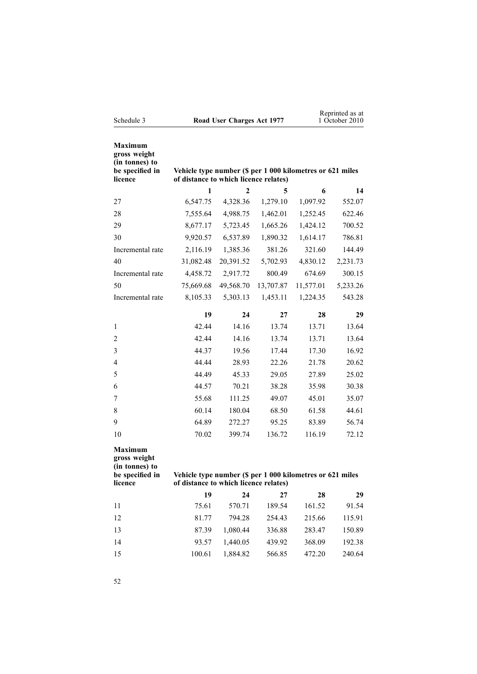| Schedule 3                                                                     | Road User Charges Act 1977                                                                         |           |           |           | Reprinted as at<br>1 October 2010 |
|--------------------------------------------------------------------------------|----------------------------------------------------------------------------------------------------|-----------|-----------|-----------|-----------------------------------|
| <b>Maximum</b><br>gross weight<br>(in tonnes) to<br>be specified in<br>licence | Vehicle type number (\$ per 1 000 kilometres or 621 miles<br>of distance to which licence relates) |           |           |           |                                   |
|                                                                                | 1                                                                                                  | 2         | 5         | 6         | 14                                |
| 27                                                                             | 6,547.75                                                                                           | 4,328.36  | 1,279.10  | 1,097.92  | 552.07                            |
| 28                                                                             | 7,555.64                                                                                           | 4,988.75  | 1,462.01  | 1,252.45  | 622.46                            |
| 29                                                                             | 8,677.17                                                                                           | 5,723.45  | 1,665.26  | 1,424.12  | 700.52                            |
| 30                                                                             | 9,920.57                                                                                           | 6,537.89  | 1,890.32  | 1,614.17  | 786.81                            |
| Incremental rate                                                               | 2,116.19                                                                                           | 1,385.36  | 381.26    | 321.60    | 144.49                            |
| 40                                                                             | 31,082.48                                                                                          | 20,391.52 | 5,702.93  | 4,830.12  | 2,231.73                          |
| Incremental rate                                                               | 4,458.72                                                                                           | 2,917.72  | 800.49    | 674.69    | 300.15                            |
| 50                                                                             | 75,669.68                                                                                          | 49,568.70 | 13,707.87 | 11,577.01 | 5,233.26                          |
| Incremental rate                                                               | 8,105.33                                                                                           | 5,303.13  | 1,453.11  | 1,224.35  | 543.28                            |
|                                                                                | 19                                                                                                 | 24        | 27        | 28        | 29                                |
| 1                                                                              | 42.44                                                                                              | 14.16     | 13.74     | 13.71     | 13.64                             |
| $\overline{2}$                                                                 | 42.44                                                                                              | 14.16     | 13.74     | 13.71     | 13.64                             |
| 3                                                                              | 44.37                                                                                              | 19.56     | 17.44     | 17.30     | 16.92                             |
| 4                                                                              | 44.44                                                                                              | 28.93     | 22.26     | 21.78     | 20.62                             |
| 5                                                                              | 44.49                                                                                              | 45.33     | 29.05     | 27.89     | 25.02                             |
| 6                                                                              | 44.57                                                                                              | 70.21     | 38.28     | 35.98     | 30.38                             |
| 7                                                                              | 55.68                                                                                              | 111.25    | 49.07     | 45.01     | 35.07                             |
| 8                                                                              | 60.14                                                                                              | 180.04    | 68.50     | 61.58     | 44.61                             |
| 9                                                                              | 64.89                                                                                              | 272.27    | 95.25     | 83.89     | 56.74                             |
| 10                                                                             | 70.02                                                                                              | 399.74    | 136.72    | 116.19    | 72.12                             |
| Maximum<br>gross weight<br>(in tonnes) to<br>be specified in<br>licence        | Vehicle type number (\$ per 1 000 kilometres or 621 miles<br>of distance to which licence relates) |           |           |           |                                   |
|                                                                                | 19                                                                                                 | 24        | 27        | 28        | 29                                |
| 11                                                                             | 75.61                                                                                              | 570.71    | 189.54    | 161.52    | 91.54                             |
| 12                                                                             | 81.77                                                                                              | 794.28    | 254.43    | 215.66    | 115.91                            |
| 13                                                                             | 87.39                                                                                              | 1,080.44  | 336.88    | 283.47    | 150.89                            |
| 14                                                                             | 93.57                                                                                              | 1,440.05  | 439.92    | 368.09    | 192.38                            |
| 15                                                                             | 100.61                                                                                             | 1,884.82  | 566.85    | 472.20    | 240.64                            |

52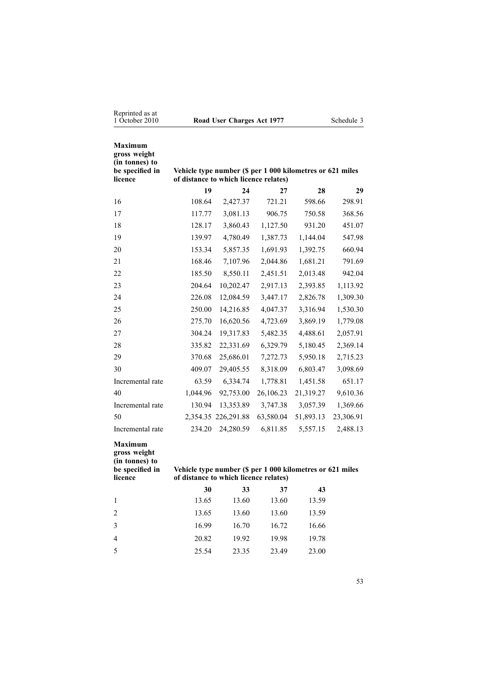| Reprinted as at<br>1 October 2010                                              |                                                                                                    | Road User Charges Act 1977                                |           |           | Schedule 3 |
|--------------------------------------------------------------------------------|----------------------------------------------------------------------------------------------------|-----------------------------------------------------------|-----------|-----------|------------|
| <b>Maximum</b><br>gross weight<br>(in tonnes) to<br>be specified in<br>licence | Vehicle type number (\$ per 1 000 kilometres or 621 miles<br>of distance to which licence relates) |                                                           |           |           |            |
|                                                                                | 19                                                                                                 | 24                                                        | 27        | 28        | 29         |
| 16                                                                             | 108.64                                                                                             | 2,427.37                                                  | 721.21    | 598.66    | 298.91     |
| 17                                                                             | 117.77                                                                                             | 3,081.13                                                  | 906.75    | 750.58    | 368.56     |
| 18                                                                             | 128.17                                                                                             | 3,860.43                                                  | 1,127.50  | 931.20    | 451.07     |
| 19                                                                             | 139.97                                                                                             | 4,780.49                                                  | 1,387.73  | 1,144.04  | 547.98     |
| 20                                                                             | 153.34                                                                                             | 5,857.35                                                  | 1,691.93  | 1,392.75  | 660.94     |
| 21                                                                             | 168.46                                                                                             | 7,107.96                                                  | 2,044.86  | 1,681.21  | 791.69     |
| 22                                                                             | 185.50                                                                                             | 8,550.11                                                  | 2,451.51  | 2,013.48  | 942.04     |
| 23                                                                             | 204.64                                                                                             | 10,202.47                                                 | 2,917.13  | 2,393.85  | 1,113.92   |
| 24                                                                             | 226.08                                                                                             | 12,084.59                                                 | 3,447.17  | 2,826.78  | 1,309.30   |
| 25                                                                             | 250.00                                                                                             | 14,216.85                                                 | 4,047.37  | 3,316.94  | 1,530.30   |
| 26                                                                             | 275.70                                                                                             | 16,620.56                                                 | 4,723.69  | 3,869.19  | 1,779.08   |
| 27                                                                             | 304.24                                                                                             | 19,317.83                                                 | 5,482.35  | 4,488.61  | 2,057.91   |
| 28                                                                             | 335.82                                                                                             | 22,331.69                                                 | 6,329.79  | 5,180.45  | 2,369.14   |
| 29                                                                             | 370.68                                                                                             | 25,686.01                                                 | 7,272.73  | 5,950.18  | 2,715.23   |
| 30                                                                             | 409.07                                                                                             | 29,405.55                                                 | 8,318.09  | 6,803.47  | 3,098.69   |
| Incremental rate                                                               | 63.59                                                                                              | 6,334.74                                                  | 1,778.81  | 1,451.58  | 651.17     |
| 40                                                                             | 1,044.96                                                                                           | 92,753.00                                                 | 26,106.23 | 21,319.27 | 9,610.36   |
| Incremental rate                                                               | 130.94                                                                                             | 13,353.89                                                 | 3,747.38  | 3,057.39  | 1,369.66   |
| 50                                                                             |                                                                                                    | 2,354.35 226,291.88                                       | 63,580.04 | 51,893.13 | 23,306.91  |
| Incremental rate                                                               | 234.20                                                                                             | 24,280.59                                                 | 6,811.85  | 5,557.15  | 2,488.13   |
| <b>Maximum</b><br>gross weight<br>(in tonnes) to                               |                                                                                                    |                                                           |           |           |            |
| be specified in<br>licence                                                     | of distance to which licence relates)                                                              | Vehicle type number (\$ per 1 000 kilometres or 621 miles |           |           |            |
|                                                                                | 30                                                                                                 | 33                                                        | 37        | 43        |            |
| $\mathbf{1}$                                                                   | 13.65                                                                                              | 13.60                                                     | 13.60     | 13.59     |            |
| 2                                                                              | 13.65                                                                                              | 13.60                                                     | 13.60     | 13.59     |            |
| 3                                                                              | 16.99                                                                                              | 16.70                                                     | 16.72     | 16.66     |            |
| $\overline{4}$                                                                 | 20.82                                                                                              | 19.92                                                     | 19.98     | 19.78     |            |
| 5                                                                              | 25.54                                                                                              | 23.35                                                     | 23.49     | 23.00     |            |
|                                                                                |                                                                                                    |                                                           |           |           |            |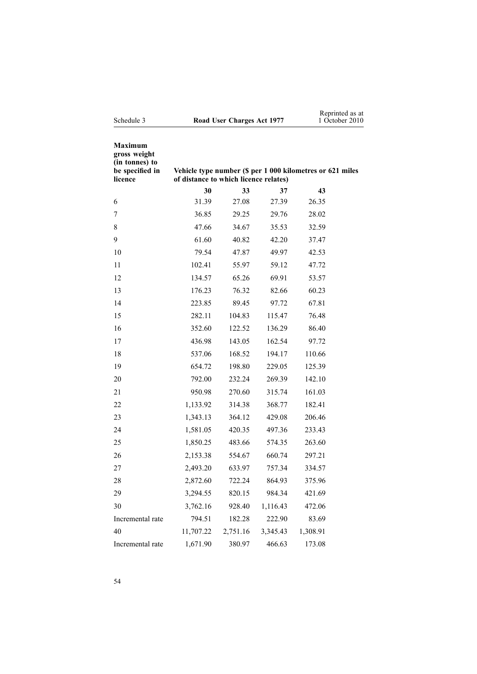| Schedule 3                                                                     | Road User Charges Act 1977            |          | Reprinted as at<br>1 October 2010 |                                                           |  |
|--------------------------------------------------------------------------------|---------------------------------------|----------|-----------------------------------|-----------------------------------------------------------|--|
| <b>Maximum</b><br>gross weight<br>(in tonnes) to<br>be specified in<br>licence | of distance to which licence relates) |          |                                   | Vehicle type number (\$ per 1 000 kilometres or 621 miles |  |
|                                                                                | 30                                    | 33       | 37                                | 43                                                        |  |
| 6                                                                              | 31.39                                 | 27.08    | 27.39                             | 26.35                                                     |  |
| 7                                                                              | 36.85                                 | 29.25    | 29.76                             | 28.02                                                     |  |
| 8                                                                              | 47.66                                 | 34.67    | 35.53                             | 32.59                                                     |  |
| 9                                                                              | 61.60                                 | 40.82    | 42.20                             | 37.47                                                     |  |
| 10                                                                             | 79.54                                 | 47.87    | 49.97                             | 42.53                                                     |  |
| 11                                                                             | 102.41                                | 55.97    | 59.12                             | 47.72                                                     |  |
| 12                                                                             | 134.57                                | 65.26    | 69.91                             | 53.57                                                     |  |
| 13                                                                             | 176.23                                | 76.32    | 82.66                             | 60.23                                                     |  |
| 14                                                                             | 223.85                                | 89.45    | 97.72                             | 67.81                                                     |  |
| 15                                                                             | 282.11                                | 104.83   | 115.47                            | 76.48                                                     |  |
| 16                                                                             | 352.60                                | 122.52   | 136.29                            | 86.40                                                     |  |
| 17                                                                             | 436.98                                | 143.05   | 162.54                            | 97.72                                                     |  |
| 18                                                                             | 537.06                                | 168.52   | 194.17                            | 110.66                                                    |  |
| 19                                                                             | 654.72                                | 198.80   | 229.05                            | 125.39                                                    |  |
| 20                                                                             | 792.00                                | 232.24   | 269.39                            | 142.10                                                    |  |
| 21                                                                             | 950.98                                | 270.60   | 315.74                            | 161.03                                                    |  |
| 22                                                                             | 1,133.92                              | 314.38   | 368.77                            | 182.41                                                    |  |
| 23                                                                             | 1,343.13                              | 364.12   | 429.08                            | 206.46                                                    |  |
| 24                                                                             | 1,581.05                              | 420.35   | 497.36                            | 233.43                                                    |  |
| 25                                                                             | 1,850.25                              | 483.66   | 574.35                            | 263.60                                                    |  |
| 26                                                                             | 2,153.38                              | 554.67   | 660.74                            | 297.21                                                    |  |
| 27                                                                             | 2,493.20                              | 633.97   | 757.34                            | 334.57                                                    |  |
| 28                                                                             | 2,872.60                              | 722.24   | 864.93                            | 375.96                                                    |  |
| 29                                                                             | 3,294.55                              | 820.15   | 984.34                            | 421.69                                                    |  |
| 30                                                                             | 3,762.16                              | 928.40   | 1,116.43                          | 472.06                                                    |  |
| Incremental rate                                                               | 794.51                                | 182.28   | 222.90                            | 83.69                                                     |  |
| 40                                                                             | 11,707.22                             | 2,751.16 | 3,345.43                          | 1,308.91                                                  |  |
| Incremental rate                                                               | 1,671.90                              | 380.97   | 466.63                            | 173.08                                                    |  |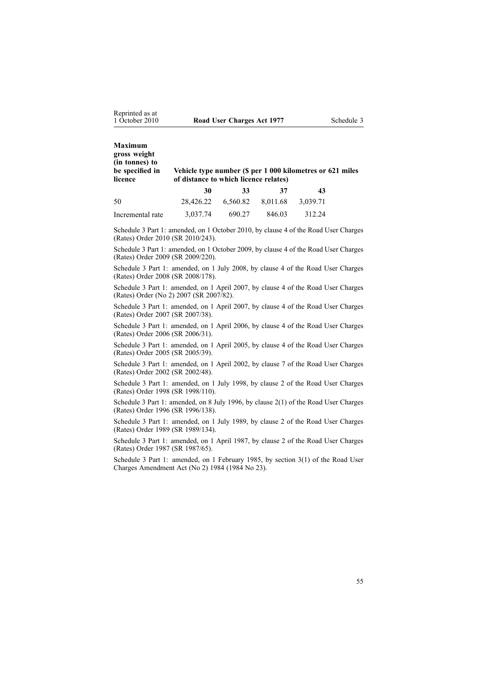| <b>Maximum</b><br>gross weight<br>(in tonnes) to<br>be specified in<br>licence | Vehicle type number (\$ per 1 000 kilometres or 621 miles<br>of distance to which licence relates) |          |          |          |  |
|--------------------------------------------------------------------------------|----------------------------------------------------------------------------------------------------|----------|----------|----------|--|
|                                                                                | 30                                                                                                 | 33       | 37       | 43       |  |
| 50                                                                             | 28.426.22                                                                                          | 6.560.82 | 8,011.68 | 3,039.71 |  |
| Incremental rate                                                               | 3.037.74                                                                                           | 690.27   | 846.03   | 312.24   |  |

Schedule 3 Part 1: amended, on 1 October 2010, by [clause](http://www.legislation.govt.nz/pdflink.aspx?id=DLM3150108) 4 of the Road User Charges (Rates) Order 2010 (SR 2010/243).

Schedule 3 Part 1: amended, on 1 October 2009, by [clause](http://www.legislation.govt.nz/pdflink.aspx?id=DLM2249607) 4 of the Road User Charges (Rates) Order 2009 (SR 2009/220).

Schedule 3 Part 1: amended, on 1 July 2008, by [clause](http://www.legislation.govt.nz/pdflink.aspx?id=DLM1375208) 4 of the Road User Charges (Rates) Order 2008 (SR 2008/178).

Schedule 3 Part 1: amended, on 1 April 2007, by [clause](http://www.legislation.govt.nz/pdflink.aspx?id=DLM432355) 4 of the Road User Charges (Rates) Order (No 2) 2007 (SR 2007/82).

Schedule 3 Part 1: amended, on 1 April 2007, by clause 4 of the Road User Charges (Rates) Order 2007 (SR 2007/38).

Schedule 3 Part 1: amended, on 1 April 2006, by clause 4 of the Road User Charges (Rates) Order 2006 (SR 2006/31).

Schedule 3 Part 1: amended, on 1 April 2005, by clause 4 of the Road User Charges (Rates) Order 2005 (SR 2005/39).

Schedule 3 Part 1: amended, on 1 April 2002, by clause 7 of the Road User Charges (Rates) Order 2002 (SR 2002/48).

Schedule 3 Part 1: amended, on 1 July 1998, by clause 2 of the Road User Charges (Rates) Order 1998 (SR 1998/110).

Schedule 3 Part 1: amended, on 8 July 1996, by [clause](http://www.legislation.govt.nz/pdflink.aspx?id=DLM212117) 2(1) of the Road User Charges (Rates) Order 1996 (SR 1996/138).

Schedule 3 Part 1: amended, on 1 July 1989, by clause 2 of the Road User Charges (Rates) Order 1989 (SR 1989/134).

Schedule 3 Part 1: amended, on 1 April 1987, by clause 2 of the Road User Charges (Rates) Order 1987 (SR 1987/65).

Schedule 3 Part 1: amended, on 1 February 1985, by section 3(1) of the Road User Charges Amendment Act (No 2) 1984 (1984 No 23).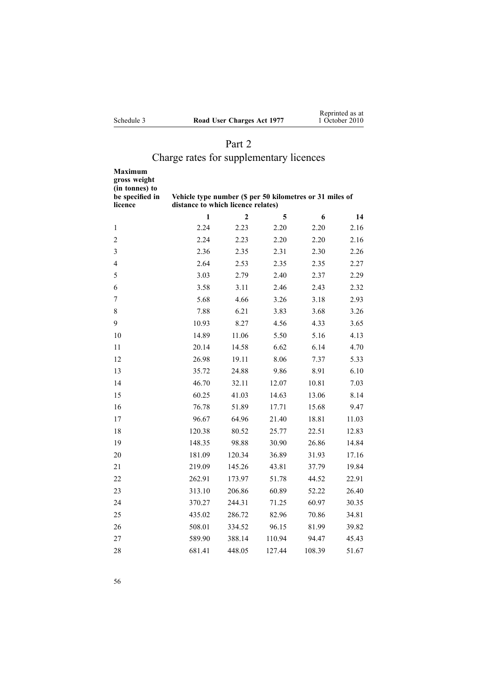| Schedule 3 |  |
|------------|--|
|            |  |

# Part 2

# Charge rates for supplementary licences

| Maximum<br>gross weight<br>(in tonnes) to<br>be specified in<br>licence | Vehicle type number (\$ per 50 kilometres or 31 miles of<br>distance to which licence relates) |                |        |        |       |
|-------------------------------------------------------------------------|------------------------------------------------------------------------------------------------|----------------|--------|--------|-------|
|                                                                         | 1                                                                                              | $\overline{2}$ | 5      | 6      | 14    |
| 1                                                                       | 2.24                                                                                           | 2.23           | 2.20   | 2.20   | 2.16  |
| $\overline{2}$                                                          | 2.24                                                                                           | 2.23           | 2.20   | 2.20   | 2.16  |
| 3                                                                       | 2.36                                                                                           | 2.35           | 2.31   | 2.30   | 2.26  |
| 4                                                                       | 2.64                                                                                           | 2.53           | 2.35   | 2.35   | 2.27  |
| 5                                                                       | 3.03                                                                                           | 2.79           | 2.40   | 2.37   | 2.29  |
| 6                                                                       | 3.58                                                                                           | 3.11           | 2.46   | 2.43   | 2.32  |
| 7                                                                       | 5.68                                                                                           | 4.66           | 3.26   | 3.18   | 2.93  |
| 8                                                                       | 7.88                                                                                           | 6.21           | 3.83   | 3.68   | 3.26  |
| 9                                                                       | 10.93                                                                                          | 8.27           | 4.56   | 4.33   | 3.65  |
| 10                                                                      | 14.89                                                                                          | 11.06          | 5.50   | 5.16   | 4.13  |
| 11                                                                      | 20.14                                                                                          | 14.58          | 6.62   | 6.14   | 4.70  |
| 12                                                                      | 26.98                                                                                          | 19.11          | 8.06   | 7.37   | 5.33  |
| 13                                                                      | 35.72                                                                                          | 24.88          | 9.86   | 8.91   | 6.10  |
| 14                                                                      | 46.70                                                                                          | 32.11          | 12.07  | 10.81  | 7.03  |
| 15                                                                      | 60.25                                                                                          | 41.03          | 14.63  | 13.06  | 8.14  |
| 16                                                                      | 76.78                                                                                          | 51.89          | 17.71  | 15.68  | 9.47  |
| 17                                                                      | 96.67                                                                                          | 64.96          | 21.40  | 18.81  | 11.03 |
| 18                                                                      | 120.38                                                                                         | 80.52          | 25.77  | 22.51  | 12.83 |
| 19                                                                      | 148.35                                                                                         | 98.88          | 30.90  | 26.86  | 14.84 |
| 20                                                                      | 181.09                                                                                         | 120.34         | 36.89  | 31.93  | 17.16 |
| 21                                                                      | 219.09                                                                                         | 145.26         | 43.81  | 37.79  | 19.84 |
| 22                                                                      | 262.91                                                                                         | 173.97         | 51.78  | 44.52  | 22.91 |
| 23                                                                      | 313.10                                                                                         | 206.86         | 60.89  | 52.22  | 26.40 |
| 24                                                                      | 370.27                                                                                         | 244.31         | 71.25  | 60.97  | 30.35 |
| 25                                                                      | 435.02                                                                                         | 286.72         | 82.96  | 70.86  | 34.81 |
| 26                                                                      | 508.01                                                                                         | 334.52         | 96.15  | 81.99  | 39.82 |
| 27                                                                      | 589.90                                                                                         | 388.14         | 110.94 | 94.47  | 45.43 |
| 28                                                                      | 681.41                                                                                         | 448.05         | 127.44 | 108.39 | 51.67 |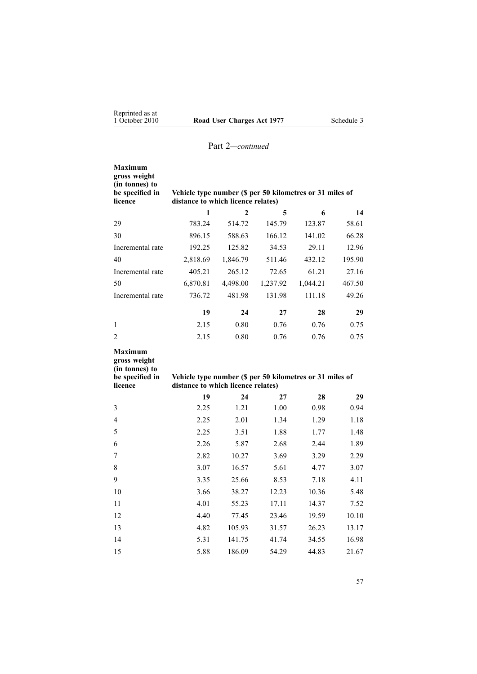| <b>Maximum</b><br>gross weight<br>(in tonnes) to<br>be specified in<br>licence                                                                                                   | Vehicle type number (\$ per 50 kilometres or 31 miles of<br>distance to which licence relates) |              |          |          |        |
|----------------------------------------------------------------------------------------------------------------------------------------------------------------------------------|------------------------------------------------------------------------------------------------|--------------|----------|----------|--------|
|                                                                                                                                                                                  | 1                                                                                              | $\mathbf{2}$ | 5        | 6        | 14     |
| 29                                                                                                                                                                               | 783.24                                                                                         | 514.72       | 145.79   | 123.87   | 58.61  |
| 30                                                                                                                                                                               | 896.15                                                                                         | 588.63       | 166.12   | 141.02   | 66.28  |
| Incremental rate                                                                                                                                                                 | 192.25                                                                                         | 125.82       | 34.53    | 29.11    | 12.96  |
| 40                                                                                                                                                                               | 2,818.69                                                                                       | 1,846.79     | 511.46   | 432.12   | 195.90 |
| Incremental rate                                                                                                                                                                 | 405.21                                                                                         | 265.12       | 72.65    | 61.21    | 27.16  |
| 50                                                                                                                                                                               | 6,870.81                                                                                       | 4,498.00     | 1,237.92 | 1,044.21 | 467.50 |
| Incremental rate                                                                                                                                                                 | 736.72                                                                                         | 481.98       | 131.98   | 111.18   | 49.26  |
|                                                                                                                                                                                  | 19                                                                                             | 24           | 27       | 28       | 29     |
| 1                                                                                                                                                                                | 2.15                                                                                           | 0.80         | 0.76     | 0.76     | 0.75   |
| $\overline{2}$                                                                                                                                                                   | 2.15                                                                                           | 0.80         | 0.76     | 0.76     | 0.75   |
| <b>Maximum</b><br>gross weight<br>(in tonnes) to<br>be specified in<br>Vehicle type number (\$ per 50 kilometres or 31 miles of<br>licence<br>distance to which licence relates) |                                                                                                |              |          |          |        |
|                                                                                                                                                                                  | 19                                                                                             | 24           | 27       | 28       | 29     |
| 3                                                                                                                                                                                | 2.25                                                                                           | 1.21         | 1.00     | 0.98     | 0.94   |
| $\overline{4}$                                                                                                                                                                   | 2.25                                                                                           | 2.01         | 1.34     | 1.29     | 1.18   |
| 5                                                                                                                                                                                | 2.25                                                                                           | 3.51         | 1.88     | 1.77     | 1.48   |
| 6                                                                                                                                                                                | 2.26                                                                                           | 5.87         | 2.68     | 2.44     | 1.89   |
| 7                                                                                                                                                                                | 2.82                                                                                           | 10.27        | 3.69     | 3.29     | 2.29   |
| 8                                                                                                                                                                                | 3.07                                                                                           | 16.57        | 5.61     | 4.77     | 3.07   |
| 9                                                                                                                                                                                | 3.35                                                                                           | 25.66        | 8.53     | 7.18     | 4.11   |
| 10                                                                                                                                                                               | 3.66                                                                                           | 38.27        | 12.23    | 10.36    | 5.48   |

 4.01 55.23 17.11 14.37 7.52 4.40 77.45 23.46 19.59 10.10 4.82 105.93 31.57 26.23 13.17 5.31 141.75 41.74 34.55 16.98 5.88 186.09 54.29 44.83 21.67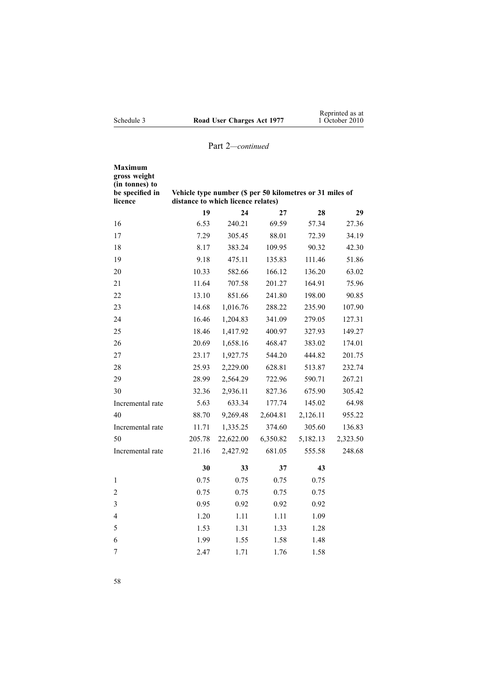|            |                            | Reprinted as at |
|------------|----------------------------|-----------------|
| Schedule 3 | Road User Charges Act 1977 | 1 October 2010  |

| <b>Maximum</b><br>gross weight<br>(in tonnes) to<br>be specified in<br>licence | Vehicle type number (\$ per 50 kilometres or 31 miles of<br>distance to which licence relates) |           |          |          |          |
|--------------------------------------------------------------------------------|------------------------------------------------------------------------------------------------|-----------|----------|----------|----------|
|                                                                                | 19                                                                                             | 24        | 27       | 28       | 29       |
| 16                                                                             | 6.53                                                                                           | 240.21    | 69.59    | 57.34    | 27.36    |
| 17                                                                             | 7.29                                                                                           | 305.45    | 88.01    | 72.39    | 34.19    |
| 18                                                                             | 8.17                                                                                           | 383.24    | 109.95   | 90.32    | 42.30    |
| 19                                                                             | 9.18                                                                                           | 475.11    | 135.83   | 111.46   | 51.86    |
| 20                                                                             | 10.33                                                                                          | 582.66    | 166.12   | 136.20   | 63.02    |
| 21                                                                             | 11.64                                                                                          | 707.58    | 201.27   | 164.91   | 75.96    |
| 22                                                                             | 13.10                                                                                          | 851.66    | 241.80   | 198.00   | 90.85    |
| 23                                                                             | 14.68                                                                                          | 1,016.76  | 288.22   | 235.90   | 107.90   |
| 24                                                                             | 16.46                                                                                          | 1,204.83  | 341.09   | 279.05   | 127.31   |
| 25                                                                             | 18.46                                                                                          | 1,417.92  | 400.97   | 327.93   | 149.27   |
| 26                                                                             | 20.69                                                                                          | 1,658.16  | 468.47   | 383.02   | 174.01   |
| 27                                                                             | 23.17                                                                                          | 1,927.75  | 544.20   | 444.82   | 201.75   |
| 28                                                                             | 25.93                                                                                          | 2,229.00  | 628.81   | 513.87   | 232.74   |
| 29                                                                             | 28.99                                                                                          | 2,564.29  | 722.96   | 590.71   | 267.21   |
| 30                                                                             | 32.36                                                                                          | 2,936.11  | 827.36   | 675.90   | 305.42   |
| Incremental rate                                                               | 5.63                                                                                           | 633.34    | 177.74   | 145.02   | 64.98    |
| 40                                                                             | 88.70                                                                                          | 9,269.48  | 2,604.81 | 2,126.11 | 955.22   |
| Incremental rate                                                               | 11.71                                                                                          | 1,335.25  | 374.60   | 305.60   | 136.83   |
| 50                                                                             | 205.78                                                                                         | 22,622.00 | 6,350.82 | 5,182.13 | 2,323.50 |
| Incremental rate                                                               | 21.16                                                                                          | 2,427.92  | 681.05   | 555.58   | 248.68   |
|                                                                                | 30                                                                                             | 33        | 37       | 43       |          |
| 1                                                                              | 0.75                                                                                           | 0.75      | 0.75     | 0.75     |          |
| $\overline{2}$                                                                 | 0.75                                                                                           | 0.75      | 0.75     | 0.75     |          |
| $\mathfrak{Z}$                                                                 | 0.95                                                                                           | 0.92      | 0.92     | 0.92     |          |
| $\overline{\mathcal{L}}$                                                       | 1.20                                                                                           | 1.11      | 1.11     | 1.09     |          |
| 5                                                                              | 1.53                                                                                           | 1.31      | 1.33     | 1.28     |          |
| 6                                                                              | 1.99                                                                                           | 1.55      | 1.58     | 1.48     |          |
| 7                                                                              | 2.47                                                                                           | 1.71      | 1.76     | 1.58     |          |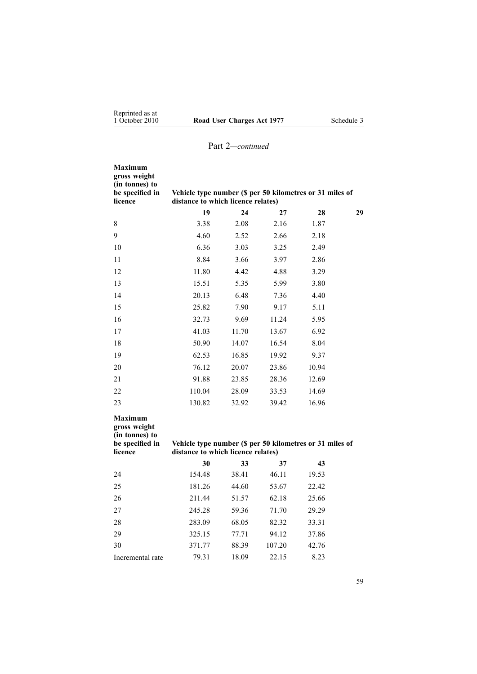| Maximum<br>gross weight<br>(in tonnes) to<br>be specified in<br>licence        | Vehicle type number (\$ per 50 kilometres or 31 miles of<br>distance to which licence relates) |       |        |       |    |
|--------------------------------------------------------------------------------|------------------------------------------------------------------------------------------------|-------|--------|-------|----|
|                                                                                | 19                                                                                             | 24    | 27     | 28    | 29 |
| $8\,$                                                                          | 3.38                                                                                           | 2.08  | 2.16   | 1.87  |    |
| 9                                                                              | 4.60                                                                                           | 2.52  | 2.66   | 2.18  |    |
| 10                                                                             | 6.36                                                                                           | 3.03  | 3.25   | 2.49  |    |
| 11                                                                             | 8.84                                                                                           | 3.66  | 3.97   | 2.86  |    |
| 12                                                                             | 11.80                                                                                          | 4.42  | 4.88   | 3.29  |    |
| 13                                                                             | 15.51                                                                                          | 5.35  | 5.99   | 3.80  |    |
| 14                                                                             | 20.13                                                                                          | 6.48  | 7.36   | 4.40  |    |
| 15                                                                             | 25.82                                                                                          | 7.90  | 9.17   | 5.11  |    |
| 16                                                                             | 32.73                                                                                          | 9.69  | 11.24  | 5.95  |    |
| 17                                                                             | 41.03                                                                                          | 11.70 | 13.67  | 6.92  |    |
| 18                                                                             | 50.90                                                                                          | 14.07 | 16.54  | 8.04  |    |
| 19                                                                             | 62.53                                                                                          | 16.85 | 19.92  | 9.37  |    |
| 20                                                                             | 76.12                                                                                          | 20.07 | 23.86  | 10.94 |    |
| 21                                                                             | 91.88                                                                                          | 23.85 | 28.36  | 12.69 |    |
| 22                                                                             | 110.04                                                                                         | 28.09 | 33.53  | 14.69 |    |
| 23                                                                             | 130.82                                                                                         | 32.92 | 39.42  | 16.96 |    |
| <b>Maximum</b><br>gross weight<br>(in tonnes) to<br>be specified in<br>licence | Vehicle type number (\$ per 50 kilometres or 31 miles of<br>distance to which licence relates) |       |        |       |    |
|                                                                                | 30                                                                                             | 33    | 37     | 43    |    |
| 24                                                                             | 154.48                                                                                         | 38.41 | 46.11  | 19.53 |    |
| 25                                                                             | 181.26                                                                                         | 44.60 | 53.67  | 22.42 |    |
| 26                                                                             | 211.44                                                                                         | 51.57 | 62.18  | 25.66 |    |
| 27                                                                             | 245.28                                                                                         | 59.36 | 71.70  | 29.29 |    |
| 28                                                                             | 283.09                                                                                         | 68.05 | 82.32  | 33.31 |    |
| 29                                                                             | 325.15                                                                                         | 77.71 | 94.12  | 37.86 |    |
| 30                                                                             | 371.77                                                                                         | 88.39 | 107.20 | 42.76 |    |
| Incremental rate                                                               | 79.31                                                                                          | 18.09 | 22.15  | 8.23  |    |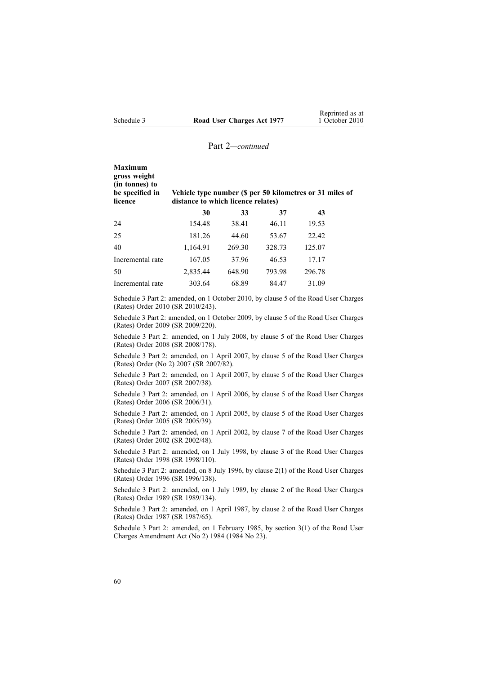| <b>Maximum</b><br>gross weight<br>(in tonnes) to<br>be specified in<br>licence | Vehicle type number (\$ per 50 kilometres or 31 miles of<br>distance to which licence relates) |        |        |        |  |
|--------------------------------------------------------------------------------|------------------------------------------------------------------------------------------------|--------|--------|--------|--|
|                                                                                | 30                                                                                             | 33     | 37     | 43     |  |
| 24                                                                             | 154.48                                                                                         | 38.41  | 46.11  | 19.53  |  |
| 25                                                                             | 181.26                                                                                         | 44.60  | 53.67  | 22.42  |  |
| 40                                                                             | 1,164.91                                                                                       | 269.30 | 328.73 | 125.07 |  |
| Incremental rate                                                               | 167.05                                                                                         | 37.96  | 46.53  | 17.17  |  |
| 50                                                                             | 2,835.44                                                                                       | 648.90 | 793.98 | 296.78 |  |
| Incremental rate                                                               | 303.64                                                                                         | 68.89  | 84.47  | 31.09  |  |

Schedule 3 Part 2: amended, on 1 October 2010, by [clause](http://www.legislation.govt.nz/pdflink.aspx?id=DLM3150110) 5 of the Road User Charges (Rates) Order 2010 (SR 2010/243).

Schedule 3 Part 2: amended, on 1 October 2009, by [clause](http://www.legislation.govt.nz/pdflink.aspx?id=DLM2249608) 5 of the Road User Charges (Rates) Order 2009 (SR 2009/220).

Schedule 3 Part 2: amended, on 1 July 2008, by [clause](http://www.legislation.govt.nz/pdflink.aspx?id=DLM1375209) 5 of the Road User Charges (Rates) Order 2008 (SR 2008/178).

Schedule 3 Part 2: amended, on 1 April 2007, by [clause](http://www.legislation.govt.nz/pdflink.aspx?id=DLM432356) 5 of the Road User Charges (Rates) Order (No 2) 2007 (SR 2007/82).

Schedule 3 Part 2: amended, on 1 April 2007, by clause 5 of the Road User Charges (Rates) Order 2007 (SR 2007/38).

Schedule 3 Part 2: amended, on 1 April 2006, by clause 5 of the Road User Charges (Rates) Order 2006 (SR 2006/31).

Schedule 3 Part 2: amended, on 1 April 2005, by clause 5 of the Road User Charges (Rates) Order 2005 (SR 2005/39).

Schedule 3 Part 2: amended, on 1 April 2002, by clause 7 of the Road User Charges (Rates) Order 2002 (SR 2002/48).

Schedule 3 Part 2: amended, on 1 July 1998, by clause 3 of the Road User Charges (Rates) Order 1998 (SR 1998/110).

Schedule 3 Part 2: amended, on 8 July 1996, by [clause](http://www.legislation.govt.nz/pdflink.aspx?id=DLM212117) 2(1) of the Road User Charges (Rates) Order 1996 (SR 1996/138).

Schedule 3 Part 2: amended, on 1 July 1989, by clause 2 of the Road User Charges (Rates) Order 1989 (SR 1989/134).

Schedule 3 Part 2: amended, on 1 April 1987, by clause 2 of the Road User Charges (Rates) Order 1987 (SR 1987/65).

Schedule 3 Part 2: amended, on 1 February 1985, by section 3(1) of the Road User Charges Amendment Act (No 2) 1984 (1984 No 23).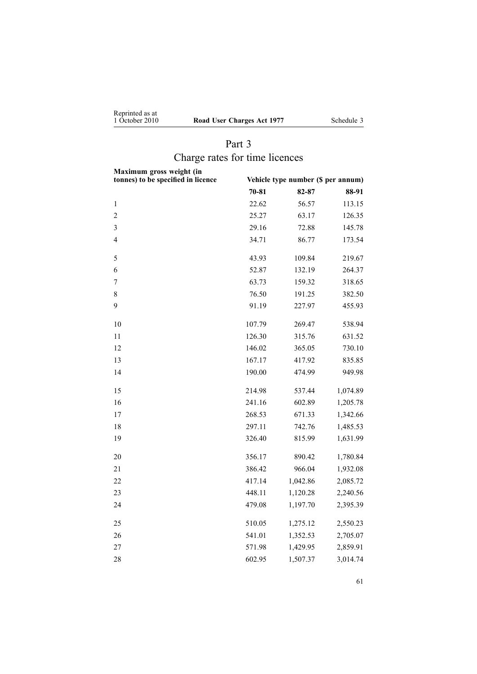<span id="page-60-0"></span>

| Reprinted as at |                           |
|-----------------|---------------------------|
| 1 October 2010  | Road User Charges Act 197 |

**177** Schedule 3

# Part 3 Charge rates for time licences

| Maximum gross weight (in<br>tonnes) to be specified in licence | Vehicle type number (\$ per annum) |          |          |  |
|----------------------------------------------------------------|------------------------------------|----------|----------|--|
|                                                                | $70 - 81$                          | 82-87    | 88-91    |  |
| 1                                                              | 22.62                              | 56.57    | 113.15   |  |
| $\overline{c}$                                                 | 25.27                              | 63.17    | 126.35   |  |
| $\overline{\mathbf{3}}$                                        | 29.16                              | 72.88    | 145.78   |  |
| $\overline{4}$                                                 | 34.71                              | 86.77    | 173.54   |  |
| 5                                                              | 43.93                              | 109.84   | 219.67   |  |
| 6                                                              | 52.87                              | 132.19   | 264.37   |  |
| $\overline{7}$                                                 | 63.73                              | 159.32   | 318.65   |  |
| 8                                                              | 76.50                              | 191.25   | 382.50   |  |
| 9                                                              | 91.19                              | 227.97   | 455.93   |  |
| 10                                                             | 107.79                             | 269.47   | 538.94   |  |
| 11                                                             | 126.30                             | 315.76   | 631.52   |  |
| 12                                                             | 146.02                             | 365.05   | 730.10   |  |
| 13                                                             | 167.17                             | 417.92   | 835.85   |  |
| 14                                                             | 190.00                             | 474.99   | 949.98   |  |
| 15                                                             | 214.98                             | 537.44   | 1,074.89 |  |
| 16                                                             | 241.16                             | 602.89   | 1,205.78 |  |
| 17                                                             | 268.53                             | 671.33   | 1,342.66 |  |
| 18                                                             | 297.11                             | 742.76   | 1,485.53 |  |
| 19                                                             | 326.40                             | 815.99   | 1,631.99 |  |
| 20                                                             | 356.17                             | 890.42   | 1,780.84 |  |
| 21                                                             | 386.42                             | 966.04   | 1,932.08 |  |
| 22                                                             | 417.14                             | 1,042.86 | 2,085.72 |  |
| 23                                                             | 448.11                             | 1,120.28 | 2,240.56 |  |
| 24                                                             | 479.08                             | 1,197.70 | 2,395.39 |  |
| 25                                                             | 510.05                             | 1,275.12 | 2,550.23 |  |
| 26                                                             | 541.01                             | 1,352.53 | 2,705.07 |  |
| 27                                                             | 571.98                             | 1,429.95 | 2,859.91 |  |
| 28                                                             | 602.95                             | 1,507.37 | 3,014.74 |  |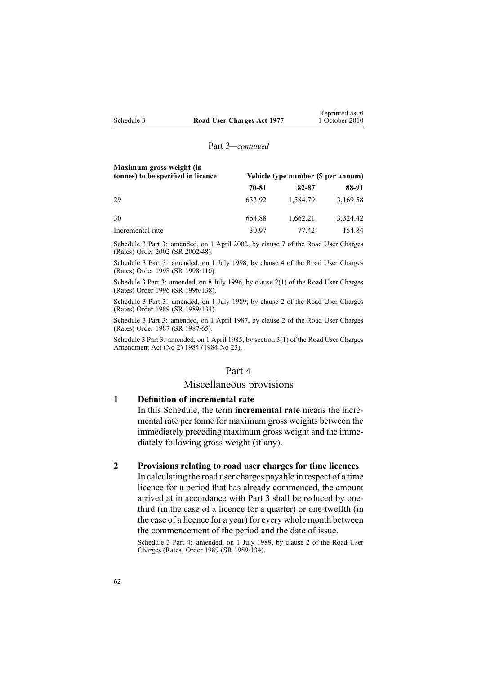| Maximum gross weight (in<br>tonnes) to be specified in licence |        | Vehicle type number (\$ per annum) |          |  |
|----------------------------------------------------------------|--------|------------------------------------|----------|--|
|                                                                | 70-81  | 82-87                              | 88-91    |  |
| 29                                                             | 633.92 | 1,584.79                           | 3,169.58 |  |
| 30                                                             | 664.88 | 1,662.21                           | 3,324.42 |  |
| Incremental rate                                               | 30.97  | 77.42                              | 154.84   |  |

Schedule 3 Part 3: amended, on 1 April 2002, by clause 7 of the Road User Charges (Rates) Order 2002 (SR 2002/48).

Schedule 3 Part 3: amended, on 1 July 1998, by clause 4 of the Road User Charges (Rates) Order 1998 (SR 1998/110).

Schedule 3 Part 3: amended, on 8 July 1996, by [clause](http://www.legislation.govt.nz/pdflink.aspx?id=DLM212117) 2(1) of the Road User Charges (Rates) Order 1996 (SR 1996/138).

Schedule 3 Part 3: amended, on 1 July 1989, by clause 2 of the Road User Charges (Rates) Order 1989 (SR 1989/134).

Schedule 3 Part 3: amended, on 1 April 1987, by clause 2 of the Road User Charges (Rates) Order 1987 (SR 1987/65).

Schedule 3 Part 3: amended, on 1 April 1985, by section 3(1) of the Road User Charges Amendment Act (No 2) 1984 (1984 No 23).

### Part 4

# Miscellaneous provisions

# **1 Definition of incremental rate**

In this Schedule, the term **incremental rate** means the incremental rate per tonne for maximum gross weights between the immediately preceding maximum gross weight and the immediately following gross weight (if any).

# **2 Provisions relating to road user charges for time licences**

In calculating the road user charges payable in respec<sup>t</sup> of <sup>a</sup> time licence for <sup>a</sup> period that has already commenced, the amount arrived at in accordance with [Part](#page-60-0) 3 shall be reduced by onethird (in the case of <sup>a</sup> licence for <sup>a</sup> quarter) or one-twelfth (in the case of <sup>a</sup> licence for <sup>a</sup> year) for every whole month between the commencement of the period and the date of issue.

Schedule 3 Part 4: amended, on 1 July 1989, by clause 2 of the Road User Charges (Rates) Order 1989 (SR 1989/134).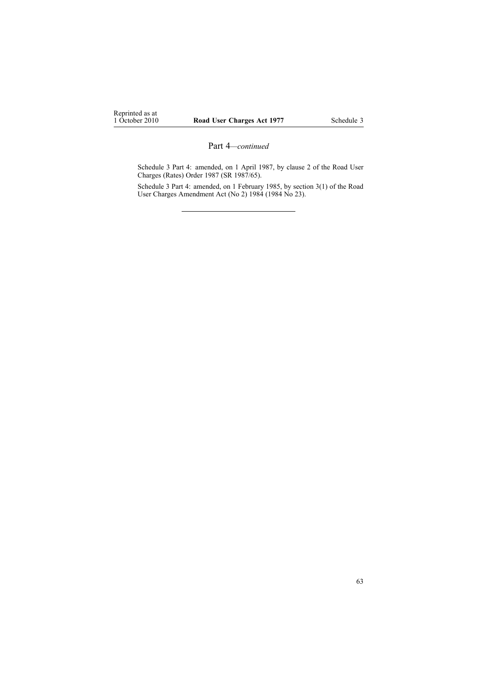Schedule 3 Part 4: amended, on 1 April 1987, by clause 2 of the Road User Charges (Rates) Order 1987 (SR 1987/65).

Schedule 3 Part 4: amended, on 1 February 1985, by section 3(1) of the Road User Charges Amendment Act (No 2) 1984 (1984 No 23).